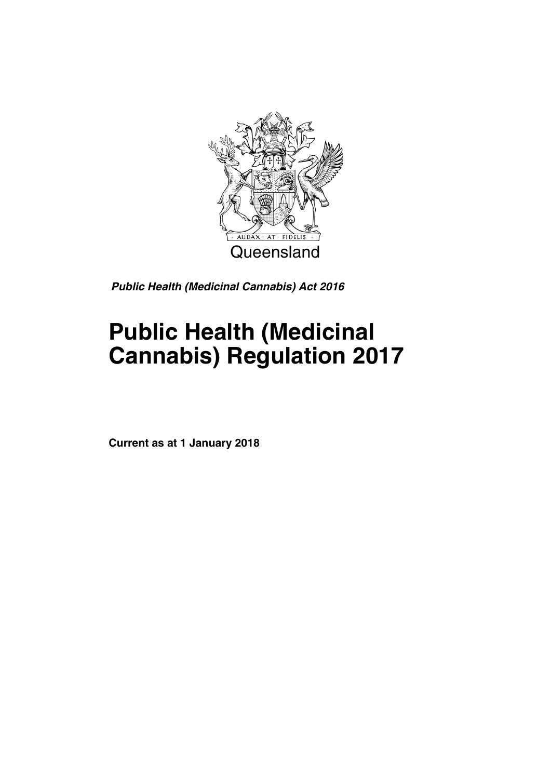

*Public Health (Medicinal Cannabis) Act 2016*

# **Public Health (Medicinal Cannabis) Regulation 2017**

**Current as at 1 January 2018**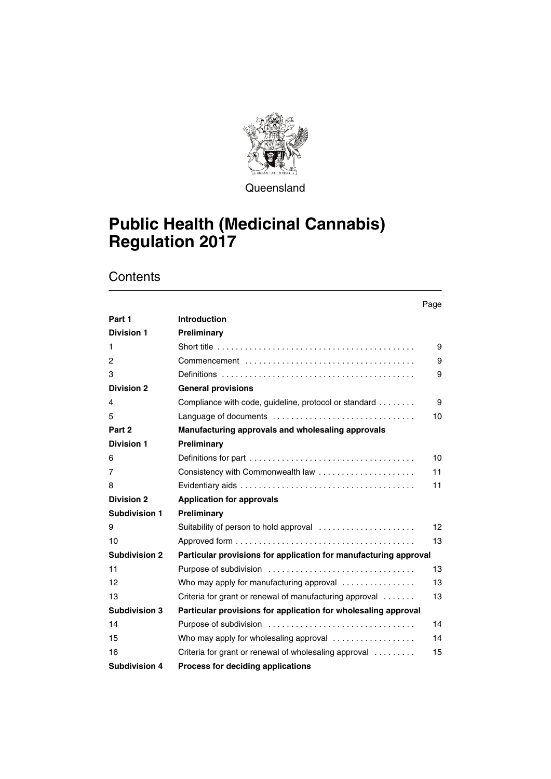

**Queensland** 

# **Public Health (Medicinal Cannabis) Regulation 2017**

|                      |                                                                                                          | Page |
|----------------------|----------------------------------------------------------------------------------------------------------|------|
| Part 1               | <b>Introduction</b>                                                                                      |      |
| <b>Division 1</b>    | Preliminary                                                                                              |      |
| 1.                   | Short title $\ldots \ldots \ldots \ldots \ldots \ldots \ldots \ldots \ldots \ldots \ldots \ldots \ldots$ | 9    |
| 2                    |                                                                                                          | 9    |
| 3                    |                                                                                                          | 9    |
| <b>Division 2</b>    | <b>General provisions</b>                                                                                |      |
| 4                    | Compliance with code, guideline, protocol or standard                                                    | 9    |
| 5                    | Language of documents                                                                                    | 10   |
| Part 2               | Manufacturing approvals and wholesaling approvals                                                        |      |
| <b>Division 1</b>    | Preliminary                                                                                              |      |
| 6                    |                                                                                                          | 10   |
| 7                    |                                                                                                          | 11   |
| 8                    |                                                                                                          | 11   |
| <b>Division 2</b>    | <b>Application for approvals</b>                                                                         |      |
| <b>Subdivision 1</b> | Preliminary                                                                                              |      |
| 9                    | Suitability of person to hold approval                                                                   | 12   |
| 10                   |                                                                                                          | 13   |
| <b>Subdivision 2</b> | Particular provisions for application for manufacturing approval                                         |      |
| 11                   |                                                                                                          | 13   |
| 12                   | Who may apply for manufacturing approval $\ldots$                                                        | 13   |
| 13                   | Criteria for grant or renewal of manufacturing approval                                                  | 13   |
| <b>Subdivision 3</b> | Particular provisions for application for wholesaling approval                                           |      |
| 14                   |                                                                                                          | 14   |
| 15                   | Who may apply for wholesaling approval $\ldots$                                                          | 14   |
| 16                   | Criteria for grant or renewal of wholesaling approval                                                    | 15   |
| <b>Subdivision 4</b> | Process for deciding applications                                                                        |      |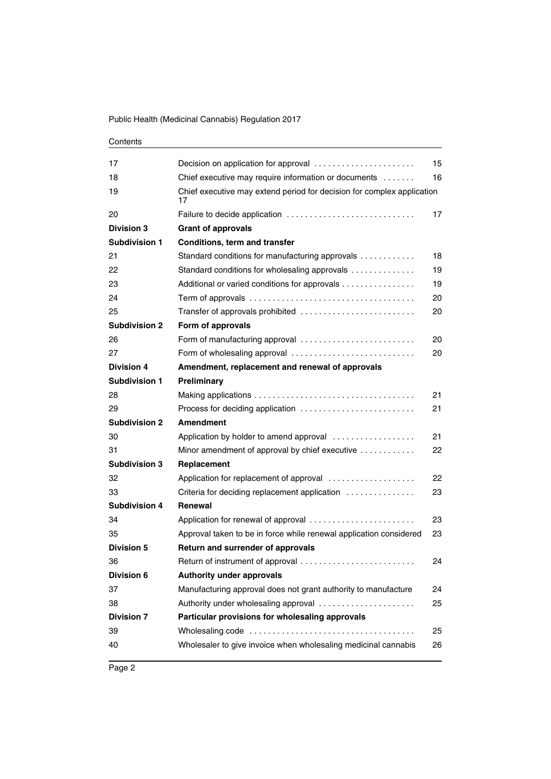| Contents |
|----------|
|----------|

| 17                   | Decision on application for approval                                         | 15  |
|----------------------|------------------------------------------------------------------------------|-----|
| 18                   | Chief executive may require information or documents                         | 16  |
| 19                   | Chief executive may extend period for decision for complex application<br>17 |     |
| 20                   | Failure to decide application                                                | 17  |
| <b>Division 3</b>    | <b>Grant of approvals</b>                                                    |     |
| Subdivision 1        | <b>Conditions, term and transfer</b>                                         |     |
| 21                   | Standard conditions for manufacturing approvals                              | 18  |
| 22                   | Standard conditions for wholesaling approvals                                | 19  |
| 23                   | Additional or varied conditions for approvals                                | 19  |
| 24                   |                                                                              | 20  |
| 25                   | Transfer of approvals prohibited                                             | 20  |
| <b>Subdivision 2</b> | Form of approvals                                                            |     |
| 26                   | Form of manufacturing approval                                               | 20  |
| 27                   | Form of wholesaling approval                                                 | 20  |
| <b>Division 4</b>    | Amendment, replacement and renewal of approvals                              |     |
| <b>Subdivision 1</b> | Preliminary                                                                  |     |
| 28                   |                                                                              | 21  |
| 29                   | Process for deciding application                                             | 21  |
| <b>Subdivision 2</b> | <b>Amendment</b>                                                             |     |
| 30                   | Application by holder to amend approval                                      | 21  |
| 31                   | Minor amendment of approval by chief executive                               | 22  |
| <b>Subdivision 3</b> | Replacement                                                                  |     |
| 32                   | Application for replacement of approval                                      | 22  |
| 33                   | Criteria for deciding replacement application                                | 23  |
| <b>Subdivision 4</b> | Renewal                                                                      |     |
| 34                   | Application for renewal of approval                                          | 23  |
| 35                   | Approval taken to be in force while renewal application considered           | 23. |
| <b>Division 5</b>    | Return and surrender of approvals                                            |     |
| 36                   | Return of instrument of approval                                             | 24  |
| <b>Division 6</b>    | <b>Authority under approvals</b>                                             |     |
| 37                   | Manufacturing approval does not grant authority to manufacture               | 24  |
| 38                   | Authority under wholesaling approval                                         | 25  |
| <b>Division 7</b>    | Particular provisions for wholesaling approvals                              |     |
| 39                   |                                                                              | 25  |
| 40                   | Wholesaler to give invoice when wholesaling medicinal cannabis               | 26  |
|                      |                                                                              |     |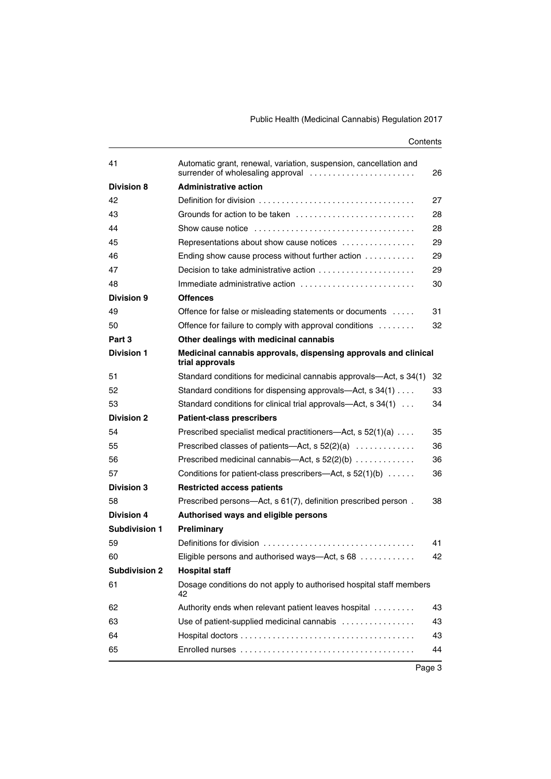| 41                   | Automatic grant, renewal, variation, suspension, cancellation and<br>surrender of wholesaling approval | 26 |
|----------------------|--------------------------------------------------------------------------------------------------------|----|
| <b>Division 8</b>    | <b>Administrative action</b>                                                                           |    |
| 42                   |                                                                                                        | 27 |
| 43                   | Grounds for action to be taken                                                                         | 28 |
| 44                   |                                                                                                        | 28 |
| 45                   | Representations about show cause notices                                                               | 29 |
| 46                   | Ending show cause process without further action                                                       | 29 |
| 47                   | Decision to take administrative action                                                                 | 29 |
| 48                   | Immediate administrative action                                                                        | 30 |
| <b>Division 9</b>    | <b>Offences</b>                                                                                        |    |
| 49                   | Offence for false or misleading statements or documents                                                | 31 |
| 50                   | Offence for failure to comply with approval conditions                                                 | 32 |
| Part 3               | Other dealings with medicinal cannabis                                                                 |    |
| <b>Division 1</b>    | Medicinal cannabis approvals, dispensing approvals and clinical<br>trial approvals                     |    |
| 51                   | Standard conditions for medicinal cannabis approvals—Act, s 34(1)                                      | 32 |
| 52                   | Standard conditions for dispensing approvals—Act, s 34(1)                                              | 33 |
| 53                   | Standard conditions for clinical trial approvals-Act, s 34(1)                                          | 34 |
| <b>Division 2</b>    | <b>Patient-class prescribers</b>                                                                       |    |
| 54                   | Prescribed specialist medical practitioners—Act, s $52(1)(a)$                                          | 35 |
| 55                   | Prescribed classes of patients—Act, s 52(2)(a)                                                         | 36 |
| 56                   | Prescribed medicinal cannabis—Act, $s$ 52(2)(b) $\dots \dots \dots$                                    | 36 |
| 57                   | Conditions for patient-class prescribers-Act, s $52(1)(b)$                                             | 36 |
| <b>Division 3</b>    | <b>Restricted access patients</b>                                                                      |    |
| 58                   | Prescribed persons—Act, s 61(7), definition prescribed person.                                         | 38 |
| <b>Division 4</b>    | Authorised ways and eligible persons                                                                   |    |
| Subdivision 1        | Preliminary                                                                                            |    |
| 59                   |                                                                                                        | 41 |
| 60                   | Eligible persons and authorised ways—Act, s 68                                                         | 42 |
| <b>Subdivision 2</b> | <b>Hospital staff</b>                                                                                  |    |
| 61                   | Dosage conditions do not apply to authorised hospital staff members<br>42                              |    |
| 62                   | Authority ends when relevant patient leaves hospital                                                   | 43 |
| 63                   | Use of patient-supplied medicinal cannabis                                                             | 43 |
| 64                   |                                                                                                        | 43 |
| 65                   |                                                                                                        | 44 |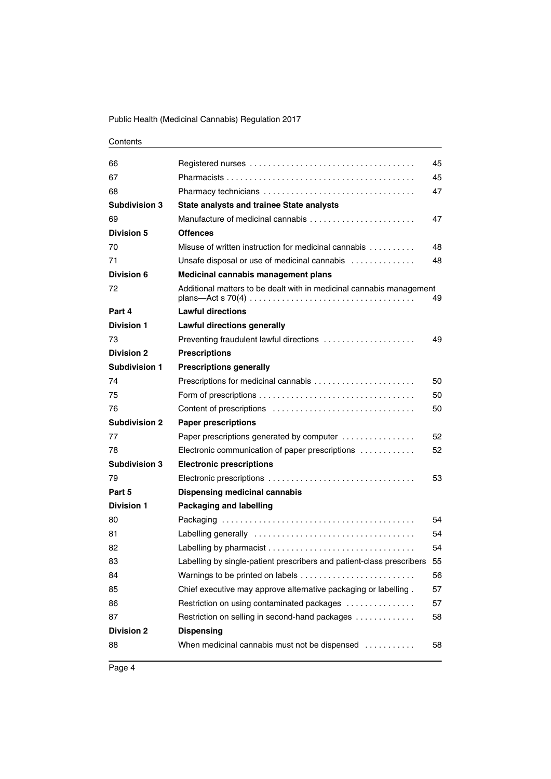| 66                   |                                                                                    | 45 |
|----------------------|------------------------------------------------------------------------------------|----|
| 67                   |                                                                                    | 45 |
| 68                   | Pharmacy technicians                                                               | 47 |
| <b>Subdivision 3</b> | <b>State analysts and trainee State analysts</b>                                   |    |
| 69                   | Manufacture of medicinal cannabis $\ldots, \ldots, \ldots, \ldots, \ldots, \ldots$ | 47 |
| <b>Division 5</b>    | <b>Offences</b>                                                                    |    |
| 70                   | Misuse of written instruction for medicinal cannabis                               | 48 |
| 71                   | Unsafe disposal or use of medicinal cannabis                                       | 48 |
| Division 6           | Medicinal cannabis management plans                                                |    |
| 72                   | Additional matters to be dealt with in medicinal cannabis management               | 49 |
| Part 4               | <b>Lawful directions</b>                                                           |    |
| <b>Division 1</b>    | <b>Lawful directions generally</b>                                                 |    |
| 73                   | Preventing fraudulent lawful directions                                            | 49 |
| <b>Division 2</b>    | <b>Prescriptions</b>                                                               |    |
| Subdivision 1        | <b>Prescriptions generally</b>                                                     |    |
| 74                   |                                                                                    | 50 |
| 75                   |                                                                                    | 50 |
| 76                   |                                                                                    | 50 |
| <b>Subdivision 2</b> | <b>Paper prescriptions</b>                                                         |    |
| 77                   | Paper prescriptions generated by computer                                          | 52 |
| 78                   | Electronic communication of paper prescriptions                                    | 52 |
| <b>Subdivision 3</b> | <b>Electronic prescriptions</b>                                                    |    |
| 79                   |                                                                                    | 53 |
| Part 5               | <b>Dispensing medicinal cannabis</b>                                               |    |
| <b>Division 1</b>    | <b>Packaging and labelling</b>                                                     |    |
| 80                   |                                                                                    | 54 |
| 81                   |                                                                                    | 54 |
| 82                   |                                                                                    | 54 |
| 83                   | Labelling by single-patient prescribers and patient-class prescribers              | 55 |
| 84                   |                                                                                    | 56 |
| 85                   | Chief executive may approve alternative packaging or labelling.                    | 57 |
| 86                   | Restriction on using contaminated packages                                         | 57 |
| 87                   | Restriction on selling in second-hand packages                                     | 58 |
| <b>Division 2</b>    | <b>Dispensing</b>                                                                  |    |
| 88                   | When medicinal cannabis must not be dispensed                                      | 58 |
|                      |                                                                                    |    |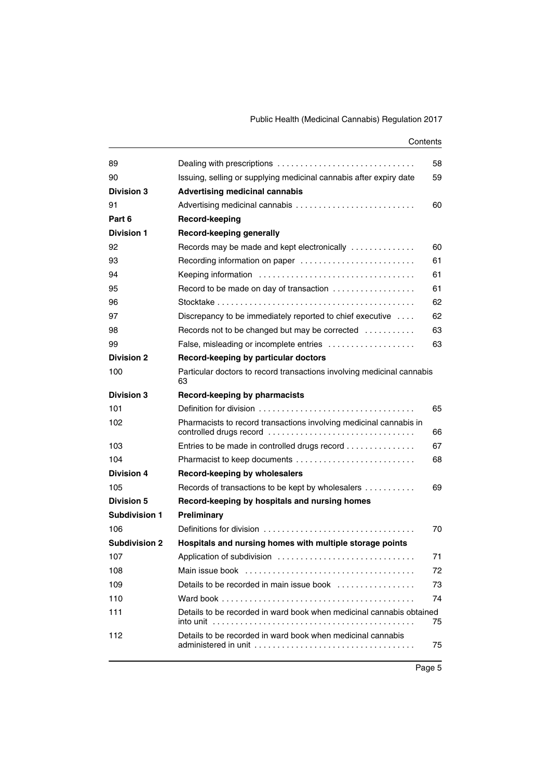| 89                   |                                                                              | 58 |
|----------------------|------------------------------------------------------------------------------|----|
| 90                   | Issuing, selling or supplying medicinal cannabis after expiry date           | 59 |
| <b>Division 3</b>    | <b>Advertising medicinal cannabis</b>                                        |    |
| 91                   |                                                                              | 60 |
| Part 6               | Record-keeping                                                               |    |
| <b>Division 1</b>    | Record-keeping generally                                                     |    |
| 92                   | Records may be made and kept electronically                                  | 60 |
| 93                   | Recording information on paper                                               | 61 |
| 94                   |                                                                              | 61 |
| 95                   | Record to be made on day of transaction                                      | 61 |
| 96                   |                                                                              | 62 |
| 97                   | Discrepancy to be immediately reported to chief executive $\dots$            | 62 |
| 98                   | Records not to be changed but may be corrected $\ldots \ldots \ldots$        | 63 |
| 99                   | False, misleading or incomplete entries                                      | 63 |
| <b>Division 2</b>    | Record-keeping by particular doctors                                         |    |
| 100                  | Particular doctors to record transactions involving medicinal cannabis<br>63 |    |
| <b>Division 3</b>    | Record-keeping by pharmacists                                                |    |
| 101                  |                                                                              | 65 |
| 102                  | Pharmacists to record transactions involving medicinal cannabis in           | 66 |
| 103                  | Entries to be made in controlled drugs record                                | 67 |
| 104                  |                                                                              | 68 |
| Division 4           | Record-keeping by wholesalers                                                |    |
| 105                  | Records of transactions to be kept by wholesalers                            | 69 |
| Division 5           | Record-keeping by hospitals and nursing homes                                |    |
| Subdivision 1        | Preliminary                                                                  |    |
| 106                  |                                                                              | 70 |
| <b>Subdivision 2</b> | Hospitals and nursing homes with multiple storage points                     |    |
| 107                  |                                                                              | 71 |
| 108                  |                                                                              | 72 |
| 109                  | Details to be recorded in main issue book                                    | 73 |
| 110                  |                                                                              | 74 |
| 111                  | Details to be recorded in ward book when medicinal cannabis obtained         | 75 |
| 112                  | Details to be recorded in ward book when medicinal cannabis                  | 75 |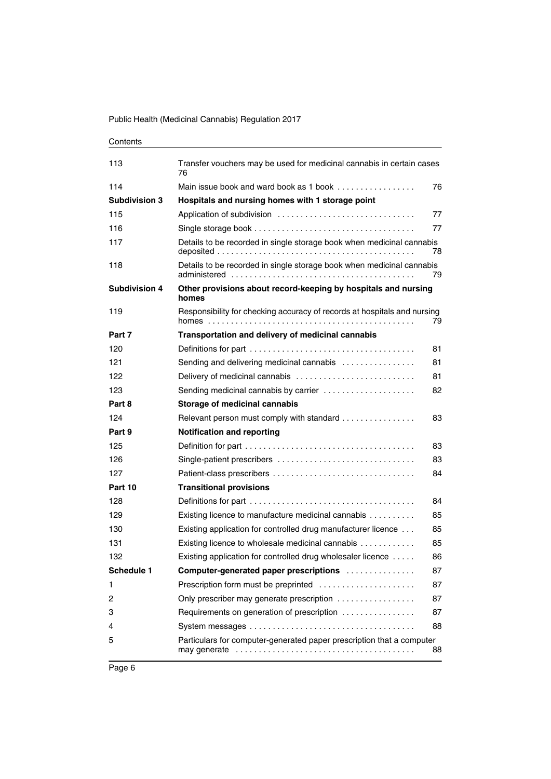| 113                  | Transfer vouchers may be used for medicinal cannabis in certain cases<br>76 |    |
|----------------------|-----------------------------------------------------------------------------|----|
| 114                  |                                                                             | 76 |
| <b>Subdivision 3</b> | Hospitals and nursing homes with 1 storage point                            |    |
| 115                  |                                                                             | 77 |
| 116                  |                                                                             | 77 |
| 117                  | Details to be recorded in single storage book when medicinal cannabis       | 78 |
| 118                  | Details to be recorded in single storage book when medicinal cannabis       | 79 |
| <b>Subdivision 4</b> | Other provisions about record-keeping by hospitals and nursing<br>homes     |    |
| 119                  | Responsibility for checking accuracy of records at hospitals and nursing    | 79 |
| Part 7               | Transportation and delivery of medicinal cannabis                           |    |
| 120                  |                                                                             | 81 |
| 121                  | Sending and delivering medicinal cannabis                                   | 81 |
| 122                  | Delivery of medicinal cannabis                                              | 81 |
| 123                  | Sending medicinal cannabis by carrier                                       | 82 |
| Part 8               | Storage of medicinal cannabis                                               |    |
| 124                  | Relevant person must comply with standard                                   | 83 |
| Part 9               | <b>Notification and reporting</b>                                           |    |
| 125                  |                                                                             | 83 |
| 126                  | Single-patient prescribers                                                  | 83 |
| 127                  |                                                                             | 84 |
| Part 10              | <b>Transitional provisions</b>                                              |    |
| 128                  |                                                                             | 84 |
| 129                  | Existing licence to manufacture medicinal cannabis                          | 85 |
| 130                  | Existing application for controlled drug manufacturer licence               | 85 |
| 131                  | Existing licence to wholesale medicinal cannabis                            | 85 |
| 132                  | Existing application for controlled drug wholesaler licence                 | 86 |
| Schedule 1           | Computer-generated paper prescriptions                                      | 87 |
| 1                    | Prescription form must be preprinted                                        | 87 |
| 2                    | Only prescriber may generate prescription                                   | 87 |
| 3                    | Requirements on generation of prescription                                  | 87 |
| 4                    |                                                                             | 88 |
| 5                    | Particulars for computer-generated paper prescription that a computer       | 88 |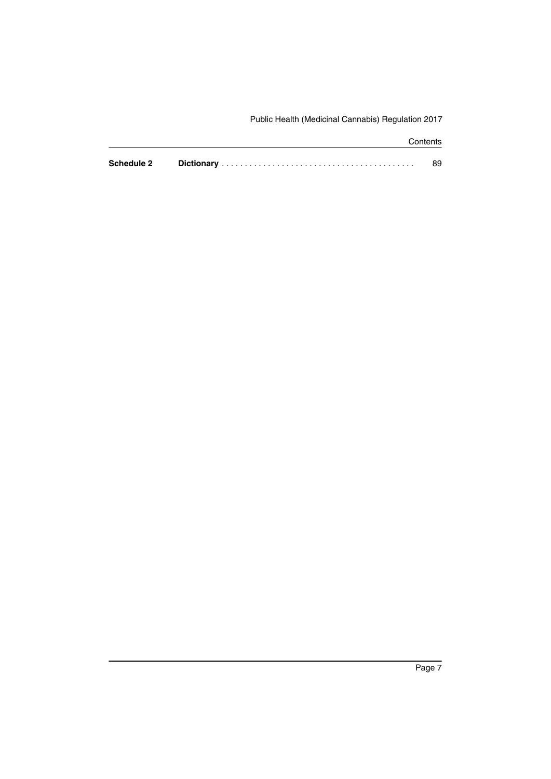|                   | Contents |
|-------------------|----------|
| <b>Schedule 2</b> | 89       |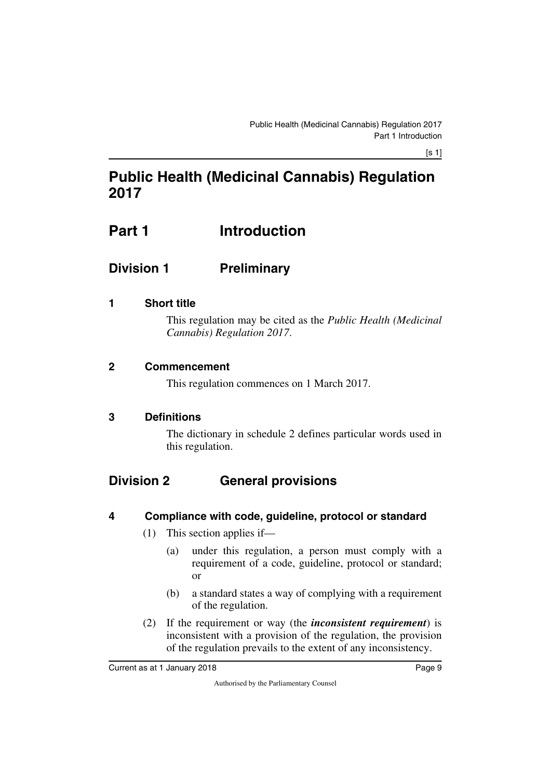# **Public Health (Medicinal Cannabis) Regulation 2017**

# <span id="page-10-1"></span><span id="page-10-0"></span>**Part 1** Introduction

# <span id="page-10-2"></span>**Division 1 Preliminary**

## <span id="page-10-4"></span>**1 Short title**

<span id="page-10-5"></span><span id="page-10-3"></span>This regulation may be cited as the *Public Health (Medicinal Cannabis) Regulation 2017*.

### <span id="page-10-6"></span>**2 Commencement**

<span id="page-10-7"></span>This regulation commences on 1 March 2017.

#### <span id="page-10-8"></span>**3 Definitions**

<span id="page-10-11"></span><span id="page-10-9"></span>The dictionary in schedule 2 defines particular words used in this regulation.

# <span id="page-10-10"></span>**Division 2 General provisions**

## <span id="page-10-12"></span>**4 Compliance with code, guideline, protocol or standard**

- <span id="page-10-13"></span>(1) This section applies if—
	- (a) under this regulation, a person must comply with a requirement of a code, guideline, protocol or standard; or
	- (b) a standard states a way of complying with a requirement of the regulation.
- (2) If the requirement or way (the *inconsistent requirement*) is inconsistent with a provision of the regulation, the provision of the regulation prevails to the extent of any inconsistency.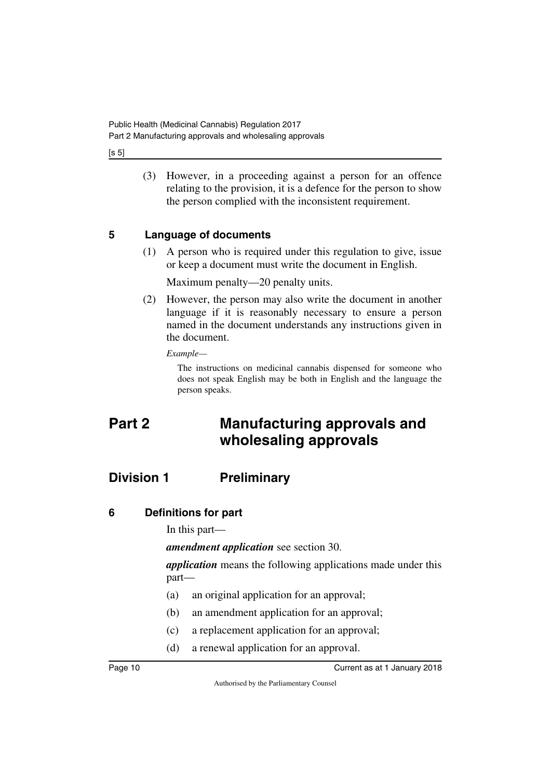$[s 5]$ 

(3) However, in a proceeding against a person for an offence relating to the provision, it is a defence for the person to show the person complied with the inconsistent requirement.

### <span id="page-11-0"></span>**5 Language of documents**

<span id="page-11-1"></span>(1) A person who is required under this regulation to give, issue or keep a document must write the document in English.

Maximum penalty—20 penalty units.

(2) However, the person may also write the document in another language if it is reasonably necessary to ensure a person named in the document understands any instructions given in the document.

*Example—*

<span id="page-11-3"></span>The instructions on medicinal cannabis dispensed for someone who does not speak English may be both in English and the language the person speaks.

# <span id="page-11-2"></span>**Part 2 Manufacturing approvals and wholesaling approvals**

# <span id="page-11-4"></span>**Division 1 Preliminary**

## <span id="page-11-6"></span>**6 Definitions for part**

<span id="page-11-7"></span><span id="page-11-5"></span>In this part—

*amendment application* see section 30.

*application* means the following applications made under this part—

- (a) an original application for an approval;
- (b) an amendment application for an approval;
- (c) a replacement application for an approval;
- (d) a renewal application for an approval.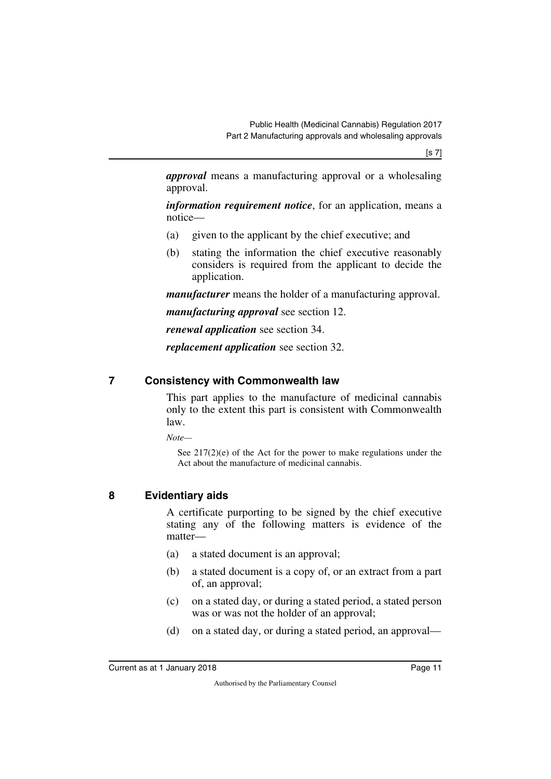[s 7]

*approval* means a manufacturing approval or a wholesaling approval.

*information requirement notice*, for an application, means a notice—

- (a) given to the applicant by the chief executive; and
- (b) stating the information the chief executive reasonably considers is required from the applicant to decide the application.

*manufacturer* means the holder of a manufacturing approval.

*manufacturing approval* see section 12.

*renewal application* see section 34.

<span id="page-12-1"></span>*replacement application* see section 32.

#### <span id="page-12-0"></span>**7 Consistency with Commonwealth law**

This part applies to the manufacture of medicinal cannabis only to the extent this part is consistent with Commonwealth law.

*Note—*

See 217(2)(e) of the Act for the power to make regulations under the Act about the manufacture of medicinal cannabis.

#### <span id="page-12-2"></span>**8 Evidentiary aids**

<span id="page-12-3"></span>A certificate purporting to be signed by the chief executive stating any of the following matters is evidence of the matter—

- (a) a stated document is an approval;
- (b) a stated document is a copy of, or an extract from a part of, an approval;
- (c) on a stated day, or during a stated period, a stated person was or was not the holder of an approval;
- (d) on a stated day, or during a stated period, an approval—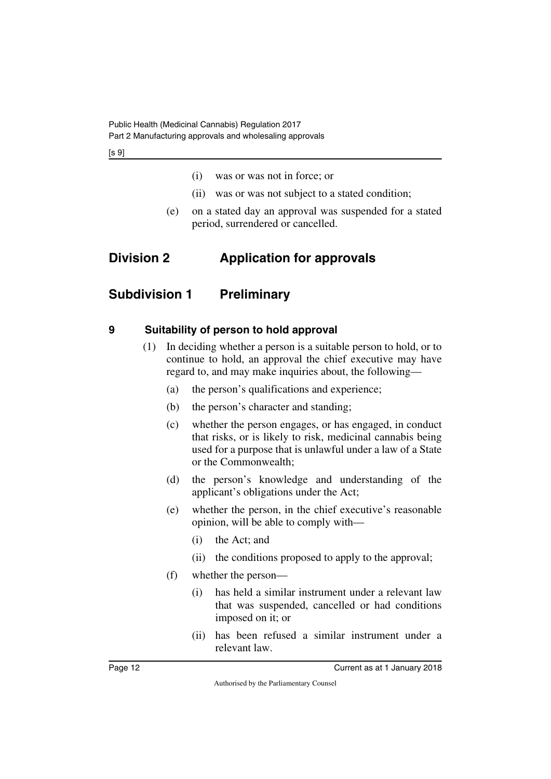- (i) was or was not in force; or
- <span id="page-13-1"></span>(ii) was or was not subject to a stated condition;
- <span id="page-13-3"></span>(e) on a stated day an approval was suspended for a stated period, surrendered or cancelled.

# <span id="page-13-0"></span>**Division 2 Application for approvals**

# <span id="page-13-2"></span>**Subdivision 1 Preliminary**

## <span id="page-13-4"></span>**9 Suitability of person to hold approval**

- <span id="page-13-5"></span>(1) In deciding whether a person is a suitable person to hold, or to continue to hold, an approval the chief executive may have regard to, and may make inquiries about, the following—
	- (a) the person's qualifications and experience;
	- (b) the person's character and standing;
	- (c) whether the person engages, or has engaged, in conduct that risks, or is likely to risk, medicinal cannabis being used for a purpose that is unlawful under a law of a State or the Commonwealth;
	- (d) the person's knowledge and understanding of the applicant's obligations under the Act;
	- (e) whether the person, in the chief executive's reasonable opinion, will be able to comply with—
		- (i) the Act; and
		- (ii) the conditions proposed to apply to the approval;
	- (f) whether the person—
		- (i) has held a similar instrument under a relevant law that was suspended, cancelled or had conditions imposed on it; or
		- (ii) has been refused a similar instrument under a relevant law.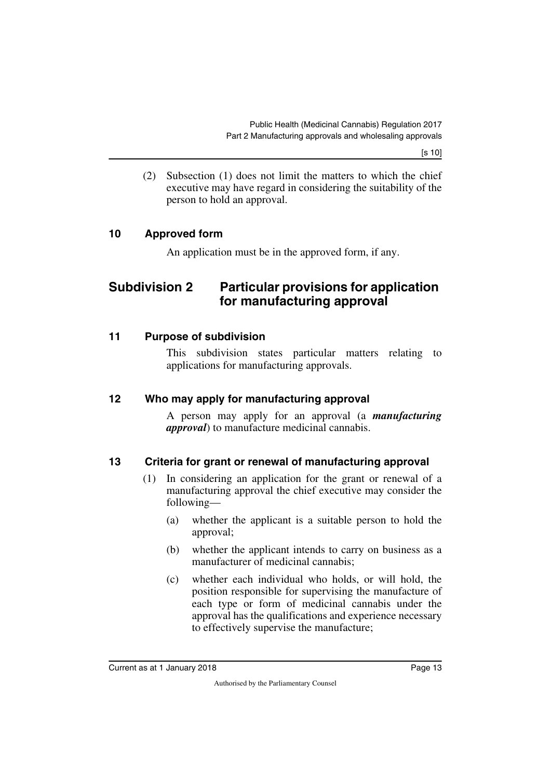[s 10]

(2) Subsection (1) does not limit the matters to which the chief executive may have regard in considering the suitability of the person to hold an approval.

#### <span id="page-14-0"></span>**10 Approved form**

<span id="page-14-3"></span><span id="page-14-1"></span>An application must be in the approved form, if any.

# <span id="page-14-2"></span>**Subdivision 2 Particular provisions for application for manufacturing approval**

#### <span id="page-14-4"></span>**11 Purpose of subdivision**

<span id="page-14-5"></span>This subdivision states particular matters relating to applications for manufacturing approvals.

#### <span id="page-14-6"></span>**12 Who may apply for manufacturing approval**

<span id="page-14-7"></span>A person may apply for an approval (a *manufacturing approval*) to manufacture medicinal cannabis.

#### <span id="page-14-8"></span>**13 Criteria for grant or renewal of manufacturing approval**

- <span id="page-14-9"></span>(1) In considering an application for the grant or renewal of a manufacturing approval the chief executive may consider the following—
	- (a) whether the applicant is a suitable person to hold the approval;
	- (b) whether the applicant intends to carry on business as a manufacturer of medicinal cannabis;
	- (c) whether each individual who holds, or will hold, the position responsible for supervising the manufacture of each type or form of medicinal cannabis under the approval has the qualifications and experience necessary to effectively supervise the manufacture;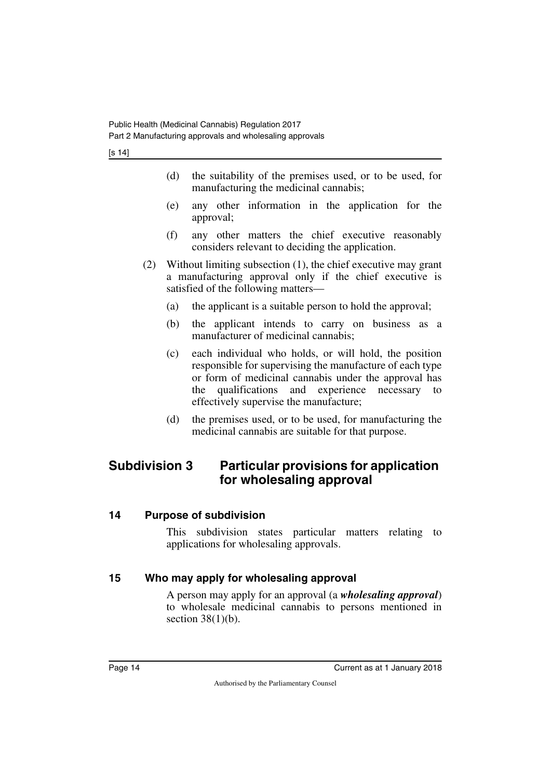- (d) the suitability of the premises used, or to be used, for manufacturing the medicinal cannabis;
- (e) any other information in the application for the approval;
- (f) any other matters the chief executive reasonably considers relevant to deciding the application.
- (2) Without limiting subsection (1), the chief executive may grant a manufacturing approval only if the chief executive is satisfied of the following matters—
	- (a) the applicant is a suitable person to hold the approval;
	- (b) the applicant intends to carry on business as a manufacturer of medicinal cannabis;
	- (c) each individual who holds, or will hold, the position responsible for supervising the manufacture of each type or form of medicinal cannabis under the approval has the qualifications and experience necessary to effectively supervise the manufacture;
	- (d) the premises used, or to be used, for manufacturing the medicinal cannabis are suitable for that purpose.

# <span id="page-15-0"></span>**Subdivision 3 Particular provisions for application for wholesaling approval**

#### <span id="page-15-2"></span>**14 Purpose of subdivision**

<span id="page-15-3"></span><span id="page-15-1"></span>This subdivision states particular matters relating to applications for wholesaling approvals.

## <span id="page-15-4"></span>**15 Who may apply for wholesaling approval**

<span id="page-15-5"></span>A person may apply for an approval (a *wholesaling approval*) to wholesale medicinal cannabis to persons mentioned in section  $38(1)(b)$ .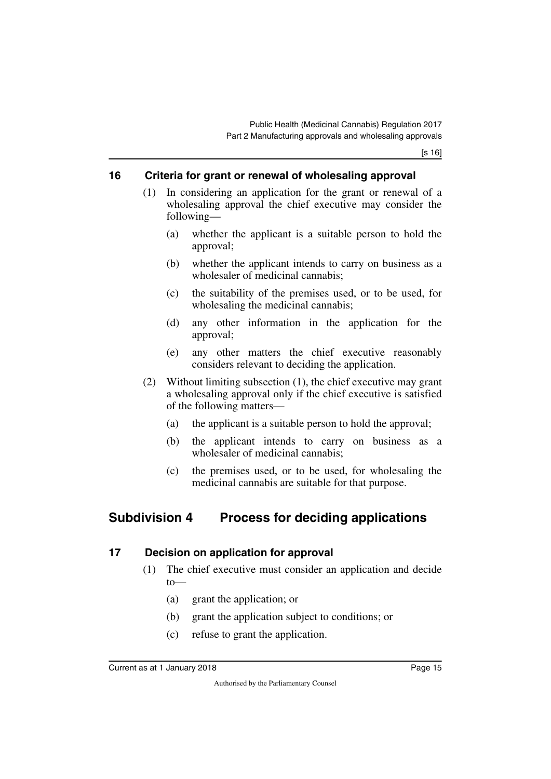#### <span id="page-16-0"></span>**16 Criteria for grant or renewal of wholesaling approval**

- <span id="page-16-1"></span>(1) In considering an application for the grant or renewal of a wholesaling approval the chief executive may consider the following—
	- (a) whether the applicant is a suitable person to hold the approval;
	- (b) whether the applicant intends to carry on business as a wholesaler of medicinal cannabis;
	- (c) the suitability of the premises used, or to be used, for wholesaling the medicinal cannabis;
	- (d) any other information in the application for the approval;
	- (e) any other matters the chief executive reasonably considers relevant to deciding the application.
- (2) Without limiting subsection (1), the chief executive may grant a wholesaling approval only if the chief executive is satisfied of the following matters—
	- (a) the applicant is a suitable person to hold the approval;
	- (b) the applicant intends to carry on business as a wholesaler of medicinal cannabis;
	- (c) the premises used, or to be used, for wholesaling the medicinal cannabis are suitable for that purpose.

# <span id="page-16-2"></span>**Subdivision 4 Process for deciding applications**

## <span id="page-16-4"></span>**17 Decision on application for approval**

- <span id="page-16-5"></span><span id="page-16-3"></span>(1) The chief executive must consider an application and decide to—
	- (a) grant the application; or
	- (b) grant the application subject to conditions; or
	- (c) refuse to grant the application.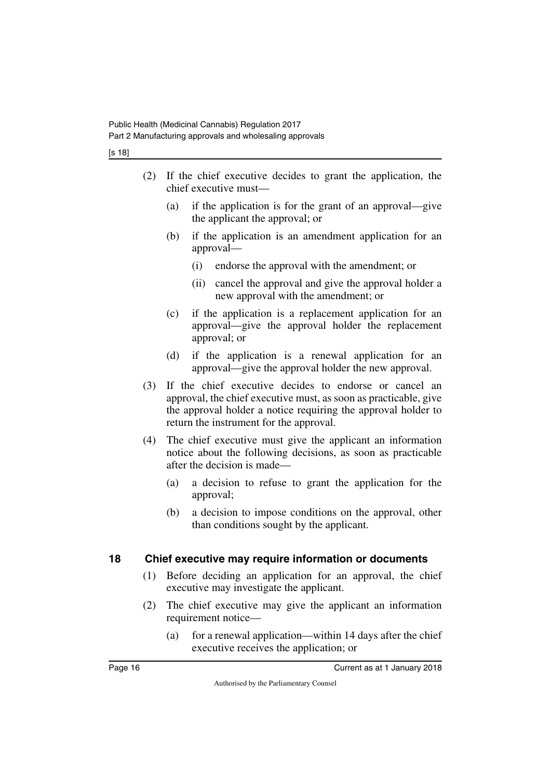- (2) If the chief executive decides to grant the application, the chief executive must—
	- (a) if the application is for the grant of an approval—give the applicant the approval; or
	- (b) if the application is an amendment application for an approval—
		- (i) endorse the approval with the amendment; or
		- (ii) cancel the approval and give the approval holder a new approval with the amendment; or
	- (c) if the application is a replacement application for an approval—give the approval holder the replacement approval; or
	- (d) if the application is a renewal application for an approval—give the approval holder the new approval.
- (3) If the chief executive decides to endorse or cancel an approval, the chief executive must, as soon as practicable, give the approval holder a notice requiring the approval holder to return the instrument for the approval.
- (4) The chief executive must give the applicant an information notice about the following decisions, as soon as practicable after the decision is made—
	- (a) a decision to refuse to grant the application for the approval;
	- (b) a decision to impose conditions on the approval, other than conditions sought by the applicant.

#### <span id="page-17-0"></span>**18 Chief executive may require information or documents**

- <span id="page-17-1"></span>(1) Before deciding an application for an approval, the chief executive may investigate the applicant.
- (2) The chief executive may give the applicant an information requirement notice—
	- (a) for a renewal application—within 14 days after the chief executive receives the application; or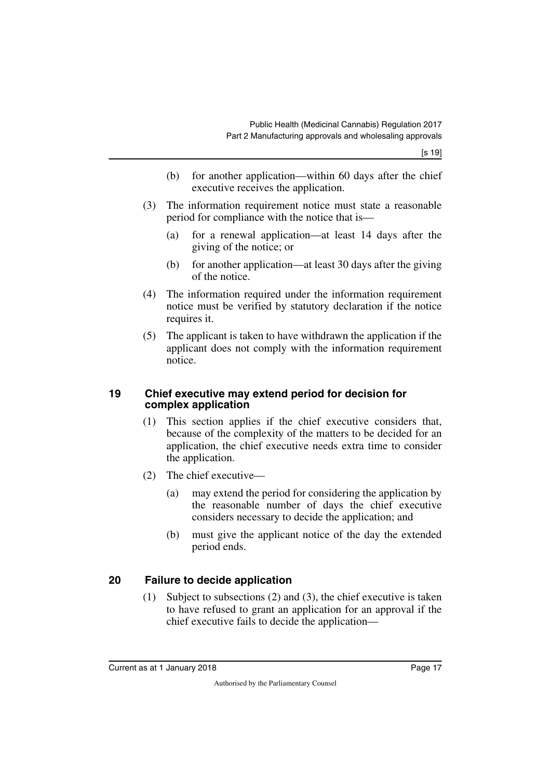- (b) for another application—within 60 days after the chief executive receives the application.
- (3) The information requirement notice must state a reasonable period for compliance with the notice that is—
	- (a) for a renewal application—at least 14 days after the giving of the notice; or
	- (b) for another application—at least 30 days after the giving of the notice.
- (4) The information required under the information requirement notice must be verified by statutory declaration if the notice requires it.
- (5) The applicant is taken to have withdrawn the application if the applicant does not comply with the information requirement notice.

#### <span id="page-18-1"></span><span id="page-18-0"></span>**19 Chief executive may extend period for decision for complex application**

- (1) This section applies if the chief executive considers that, because of the complexity of the matters to be decided for an application, the chief executive needs extra time to consider the application.
- (2) The chief executive—
	- (a) may extend the period for considering the application by the reasonable number of days the chief executive considers necessary to decide the application; and
	- (b) must give the applicant notice of the day the extended period ends.

## <span id="page-18-2"></span>**20 Failure to decide application**

<span id="page-18-3"></span>(1) Subject to subsections (2) and (3), the chief executive is taken to have refused to grant an application for an approval if the chief executive fails to decide the application—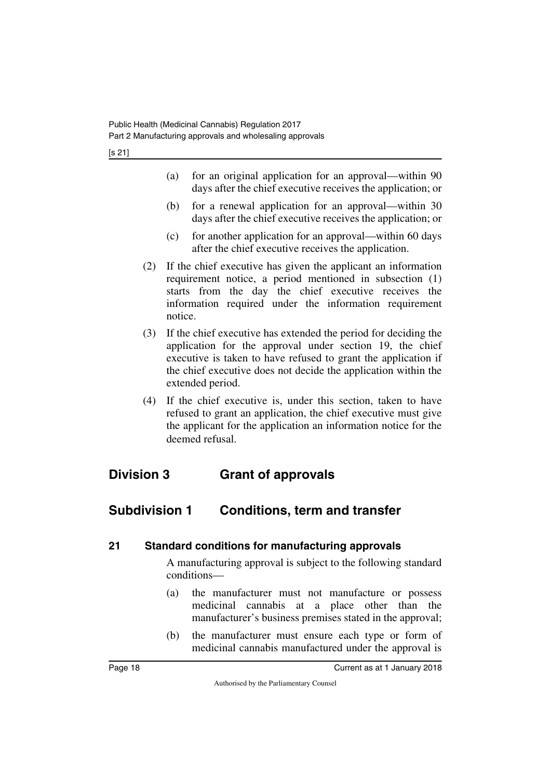- (a) for an original application for an approval—within 90 days after the chief executive receives the application; or
- (b) for a renewal application for an approval—within 30 days after the chief executive receives the application; or
- (c) for another application for an approval—within 60 days after the chief executive receives the application.
- (2) If the chief executive has given the applicant an information requirement notice, a period mentioned in subsection (1) starts from the day the chief executive receives the information required under the information requirement notice.
- (3) If the chief executive has extended the period for deciding the application for the approval under section 19, the chief executive is taken to have refused to grant the application if the chief executive does not decide the application within the extended period.
- <span id="page-19-1"></span>(4) If the chief executive is, under this section, taken to have refused to grant an application, the chief executive must give the applicant for the application an information notice for the deemed refusal.

# <span id="page-19-0"></span>**Division 3 Grant of approvals**

# <span id="page-19-2"></span>**Subdivision 1 Conditions, term and transfer**

#### <span id="page-19-4"></span>**21 Standard conditions for manufacturing approvals**

<span id="page-19-5"></span><span id="page-19-3"></span>A manufacturing approval is subject to the following standard conditions—

- (a) the manufacturer must not manufacture or possess medicinal cannabis at a place other than the manufacturer's business premises stated in the approval;
- (b) the manufacturer must ensure each type or form of medicinal cannabis manufactured under the approval is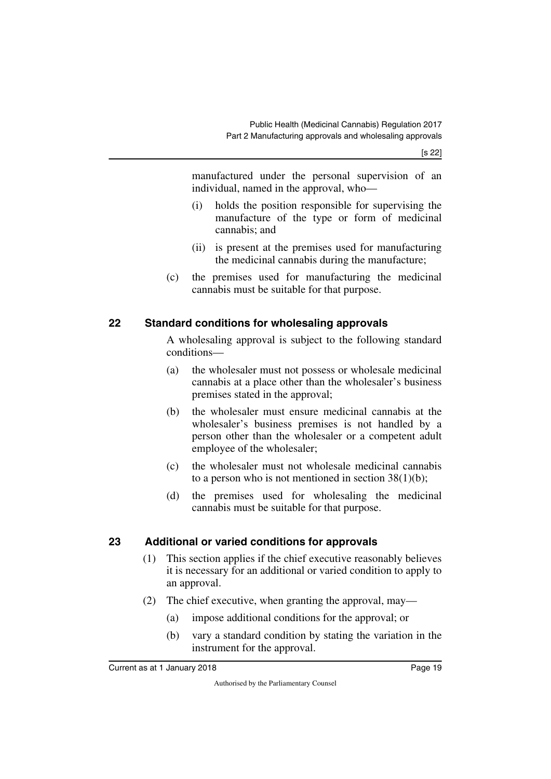manufactured under the personal supervision of an individual, named in the approval, who—

- (i) holds the position responsible for supervising the manufacture of the type or form of medicinal cannabis; and
- (ii) is present at the premises used for manufacturing the medicinal cannabis during the manufacture;
- (c) the premises used for manufacturing the medicinal cannabis must be suitable for that purpose.

## <span id="page-20-0"></span>**22 Standard conditions for wholesaling approvals**

<span id="page-20-1"></span>A wholesaling approval is subject to the following standard conditions—

- (a) the wholesaler must not possess or wholesale medicinal cannabis at a place other than the wholesaler's business premises stated in the approval;
- (b) the wholesaler must ensure medicinal cannabis at the wholesaler's business premises is not handled by a person other than the wholesaler or a competent adult employee of the wholesaler;
- (c) the wholesaler must not wholesale medicinal cannabis to a person who is not mentioned in section  $38(1)(b)$ ;
- (d) the premises used for wholesaling the medicinal cannabis must be suitable for that purpose.

## <span id="page-20-2"></span>**23 Additional or varied conditions for approvals**

- <span id="page-20-3"></span>(1) This section applies if the chief executive reasonably believes it is necessary for an additional or varied condition to apply to an approval.
- (2) The chief executive, when granting the approval, may—
	- (a) impose additional conditions for the approval; or
	- (b) vary a standard condition by stating the variation in the instrument for the approval.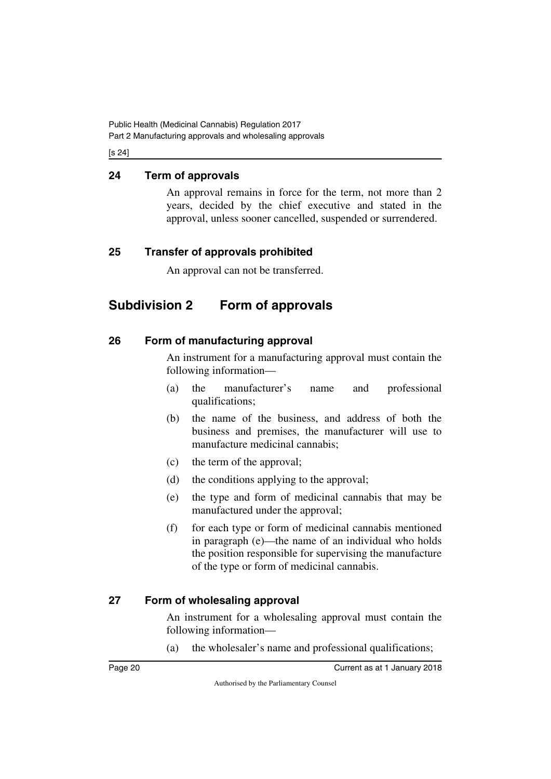#### [s 24]

### <span id="page-21-0"></span>**24 Term of approvals**

<span id="page-21-1"></span>An approval remains in force for the term, not more than 2 years, decided by the chief executive and stated in the approval, unless sooner cancelled, suspended or surrendered.

### <span id="page-21-2"></span>**25 Transfer of approvals prohibited**

<span id="page-21-5"></span><span id="page-21-3"></span>An approval can not be transferred.

# <span id="page-21-4"></span>**Subdivision 2 Form of approvals**

### <span id="page-21-6"></span>**26 Form of manufacturing approval**

<span id="page-21-7"></span>An instrument for a manufacturing approval must contain the following information—

- (a) the manufacturer's name and professional qualifications;
- (b) the name of the business, and address of both the business and premises, the manufacturer will use to manufacture medicinal cannabis;
- (c) the term of the approval;
- (d) the conditions applying to the approval;
- (e) the type and form of medicinal cannabis that may be manufactured under the approval;
- (f) for each type or form of medicinal cannabis mentioned in paragraph (e)—the name of an individual who holds the position responsible for supervising the manufacture of the type or form of medicinal cannabis.

## <span id="page-21-8"></span>**27 Form of wholesaling approval**

<span id="page-21-9"></span>An instrument for a wholesaling approval must contain the following information—

(a) the wholesaler's name and professional qualifications;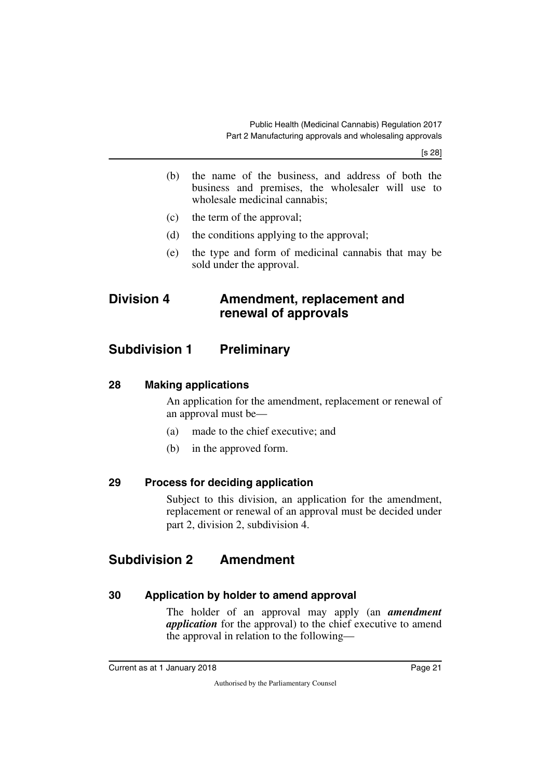[s 28]

- (b) the name of the business, and address of both the business and premises, the wholesaler will use to wholesale medicinal cannabis;
- (c) the term of the approval;
- (d) the conditions applying to the approval;
- <span id="page-22-1"></span>(e) the type and form of medicinal cannabis that may be sold under the approval.

# <span id="page-22-0"></span>**Division 4 Amendment, replacement and renewal of approvals**

# <span id="page-22-2"></span>**Subdivision 1 Preliminary**

#### <span id="page-22-4"></span>**28 Making applications**

<span id="page-22-5"></span><span id="page-22-3"></span>An application for the amendment, replacement or renewal of an approval must be—

- (a) made to the chief executive; and
- <span id="page-22-7"></span>(b) in the approved form.

#### <span id="page-22-6"></span>**29 Process for deciding application**

<span id="page-22-9"></span>Subject to this division, an application for the amendment, replacement or renewal of an approval must be decided under part 2, division 2, subdivision 4.

# <span id="page-22-8"></span>**Subdivision 2 Amendment**

#### <span id="page-22-10"></span>**30 Application by holder to amend approval**

<span id="page-22-11"></span>The holder of an approval may apply (an *amendment application* for the approval) to the chief executive to amend the approval in relation to the following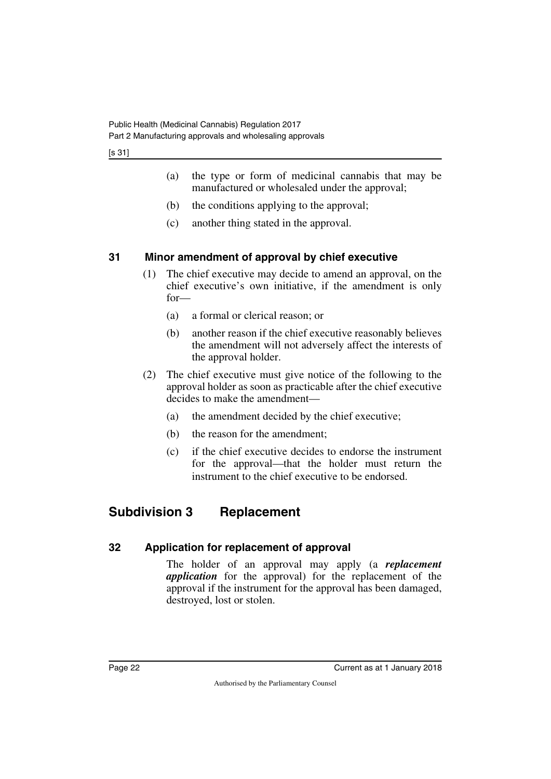[s 31]

- (a) the type or form of medicinal cannabis that may be manufactured or wholesaled under the approval;
- (b) the conditions applying to the approval;
- (c) another thing stated in the approval.

### <span id="page-23-0"></span>**31 Minor amendment of approval by chief executive**

- <span id="page-23-1"></span>(1) The chief executive may decide to amend an approval, on the chief executive's own initiative, if the amendment is only for—
	- (a) a formal or clerical reason; or
	- (b) another reason if the chief executive reasonably believes the amendment will not adversely affect the interests of the approval holder.
- (2) The chief executive must give notice of the following to the approval holder as soon as practicable after the chief executive decides to make the amendment—
	- (a) the amendment decided by the chief executive;
	- (b) the reason for the amendment;
	- (c) if the chief executive decides to endorse the instrument for the approval—that the holder must return the instrument to the chief executive to be endorsed.

# <span id="page-23-2"></span>**Subdivision 3 Replacement**

## <span id="page-23-4"></span>**32 Application for replacement of approval**

<span id="page-23-5"></span><span id="page-23-3"></span>The holder of an approval may apply (a *replacement application* for the approval) for the replacement of the approval if the instrument for the approval has been damaged, destroyed, lost or stolen.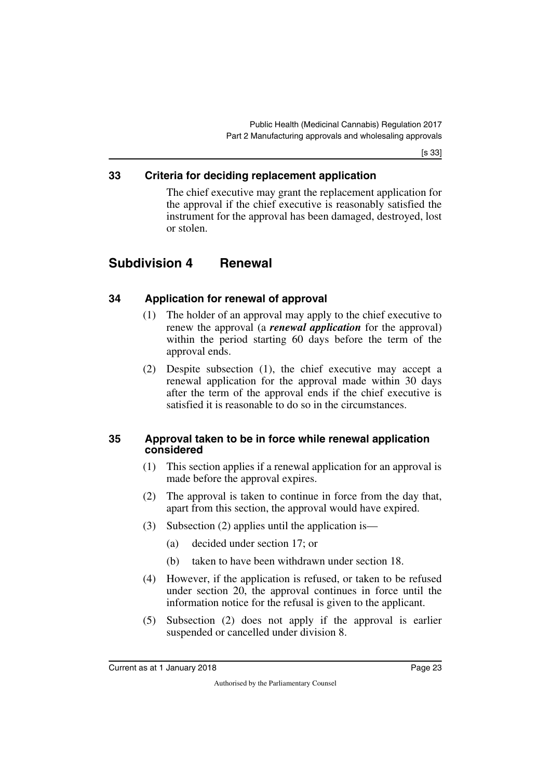[s 33]

#### <span id="page-24-0"></span>**33 Criteria for deciding replacement application**

<span id="page-24-3"></span><span id="page-24-1"></span>The chief executive may grant the replacement application for the approval if the chief executive is reasonably satisfied the instrument for the approval has been damaged, destroyed, lost or stolen.

# <span id="page-24-2"></span>**Subdivision 4 Renewal**

### <span id="page-24-4"></span>**34 Application for renewal of approval**

- <span id="page-24-5"></span>(1) The holder of an approval may apply to the chief executive to renew the approval (a *renewal application* for the approval) within the period starting 60 days before the term of the approval ends.
- (2) Despite subsection (1), the chief executive may accept a renewal application for the approval made within 30 days after the term of the approval ends if the chief executive is satisfied it is reasonable to do so in the circumstances.

#### <span id="page-24-7"></span><span id="page-24-6"></span>**35 Approval taken to be in force while renewal application considered**

- (1) This section applies if a renewal application for an approval is made before the approval expires.
- (2) The approval is taken to continue in force from the day that, apart from this section, the approval would have expired.
- (3) Subsection (2) applies until the application is—
	- (a) decided under section 17; or
	- (b) taken to have been withdrawn under section 18.
- (4) However, if the application is refused, or taken to be refused under section 20, the approval continues in force until the information notice for the refusal is given to the applicant.
- (5) Subsection (2) does not apply if the approval is earlier suspended or cancelled under division 8.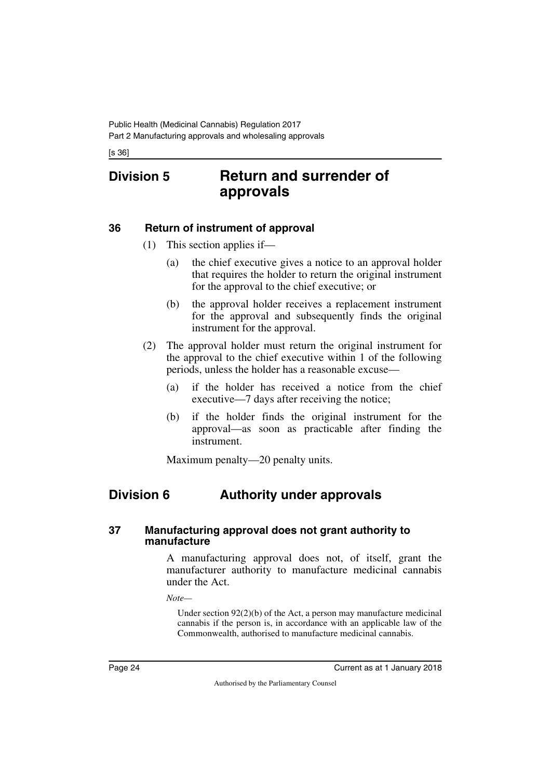<span id="page-25-1"></span>[s 36]

# <span id="page-25-0"></span>**Division 5 Return and surrender of approvals**

#### <span id="page-25-2"></span>**36 Return of instrument of approval**

- <span id="page-25-3"></span>(1) This section applies if—
	- (a) the chief executive gives a notice to an approval holder that requires the holder to return the original instrument for the approval to the chief executive; or
	- (b) the approval holder receives a replacement instrument for the approval and subsequently finds the original instrument for the approval.
- (2) The approval holder must return the original instrument for the approval to the chief executive within 1 of the following periods, unless the holder has a reasonable excuse—
	- (a) if the holder has received a notice from the chief executive—7 days after receiving the notice;
	- (b) if the holder finds the original instrument for the approval—as soon as practicable after finding the instrument.

<span id="page-25-5"></span>Maximum penalty—20 penalty units.

# <span id="page-25-4"></span>**Division 6 Authority under approvals**

#### <span id="page-25-7"></span><span id="page-25-6"></span>**37 Manufacturing approval does not grant authority to manufacture**

A manufacturing approval does not, of itself, grant the manufacturer authority to manufacture medicinal cannabis under the Act.

*Note—*

Under section 92(2)(b) of the Act, a person may manufacture medicinal cannabis if the person is, in accordance with an applicable law of the Commonwealth, authorised to manufacture medicinal cannabis.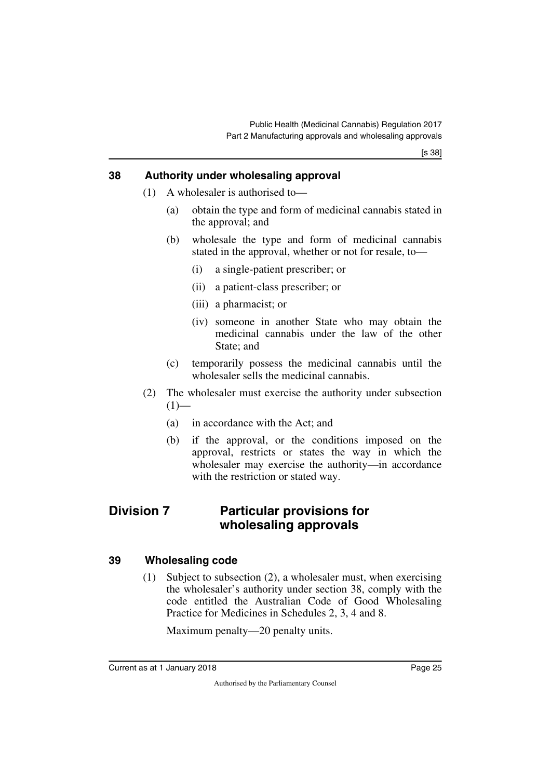#### <span id="page-26-0"></span>**38 Authority under wholesaling approval**

- <span id="page-26-1"></span>(1) A wholesaler is authorised to—
	- (a) obtain the type and form of medicinal cannabis stated in the approval; and
	- (b) wholesale the type and form of medicinal cannabis stated in the approval, whether or not for resale, to—
		- (i) a single-patient prescriber; or
		- (ii) a patient-class prescriber; or
		- (iii) a pharmacist; or
		- (iv) someone in another State who may obtain the medicinal cannabis under the law of the other State; and
	- (c) temporarily possess the medicinal cannabis until the wholesaler sells the medicinal cannabis.
- (2) The wholesaler must exercise the authority under subsection  $(1)$ —
	- (a) in accordance with the Act; and
	- (b) if the approval, or the conditions imposed on the approval, restricts or states the way in which the wholesaler may exercise the authority—in accordance with the restriction or stated way.

# <span id="page-26-2"></span>**Division 7 Particular provisions for wholesaling approvals**

#### <span id="page-26-4"></span>**39 Wholesaling code**

<span id="page-26-5"></span><span id="page-26-3"></span>(1) Subject to subsection (2), a wholesaler must, when exercising the wholesaler's authority under section 38, comply with the code entitled the Australian Code of Good Wholesaling Practice for Medicines in Schedules 2, 3, 4 and 8.

Maximum penalty—20 penalty units.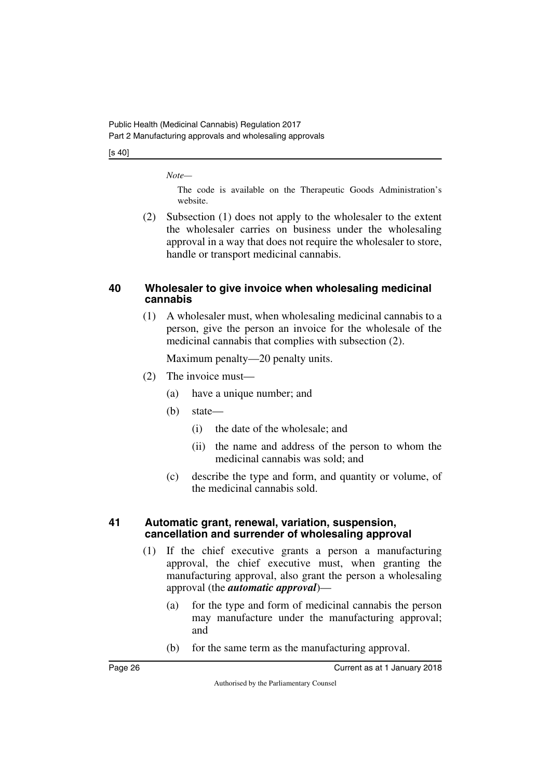[s 40]

*Note—*

The code is available on the Therapeutic Goods Administration's website.

(2) Subsection (1) does not apply to the wholesaler to the extent the wholesaler carries on business under the wholesaling approval in a way that does not require the wholesaler to store, handle or transport medicinal cannabis.

#### <span id="page-27-1"></span><span id="page-27-0"></span>**40 Wholesaler to give invoice when wholesaling medicinal cannabis**

(1) A wholesaler must, when wholesaling medicinal cannabis to a person, give the person an invoice for the wholesale of the medicinal cannabis that complies with subsection (2).

Maximum penalty—20 penalty units.

- (2) The invoice must—
	- (a) have a unique number; and
	- (b) state—
		- (i) the date of the wholesale; and
		- (ii) the name and address of the person to whom the medicinal cannabis was sold; and
	- (c) describe the type and form, and quantity or volume, of the medicinal cannabis sold.

#### <span id="page-27-3"></span><span id="page-27-2"></span>**41 Automatic grant, renewal, variation, suspension, cancellation and surrender of wholesaling approval**

- (1) If the chief executive grants a person a manufacturing approval, the chief executive must, when granting the manufacturing approval, also grant the person a wholesaling approval (the *automatic approval*)—
	- (a) for the type and form of medicinal cannabis the person may manufacture under the manufacturing approval; and
	- (b) for the same term as the manufacturing approval.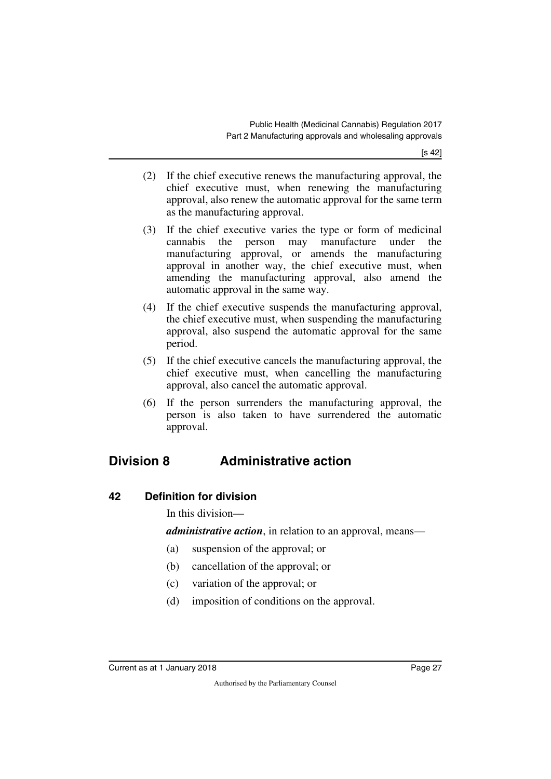[s 42]

- (2) If the chief executive renews the manufacturing approval, the chief executive must, when renewing the manufacturing approval, also renew the automatic approval for the same term as the manufacturing approval.
- (3) If the chief executive varies the type or form of medicinal cannabis the person may manufacture under the manufacturing approval, or amends the manufacturing approval in another way, the chief executive must, when amending the manufacturing approval, also amend the automatic approval in the same way.
- (4) If the chief executive suspends the manufacturing approval, the chief executive must, when suspending the manufacturing approval, also suspend the automatic approval for the same period.
- (5) If the chief executive cancels the manufacturing approval, the chief executive must, when cancelling the manufacturing approval, also cancel the automatic approval.
- (6) If the person surrenders the manufacturing approval, the person is also taken to have surrendered the automatic approval.

# <span id="page-28-0"></span>**Division 8 Administrative action**

#### <span id="page-28-2"></span>**42 Definition for division**

<span id="page-28-3"></span><span id="page-28-1"></span>In this division—

*administrative action*, in relation to an approval, means—

- (a) suspension of the approval; or
- (b) cancellation of the approval; or
- (c) variation of the approval; or
- (d) imposition of conditions on the approval.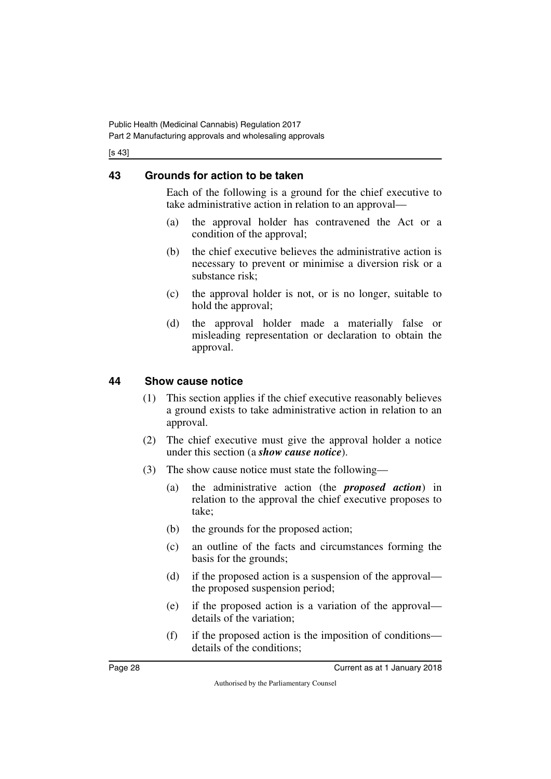[s 43]

## <span id="page-29-0"></span>**43 Grounds for action to be taken**

<span id="page-29-1"></span>Each of the following is a ground for the chief executive to take administrative action in relation to an approval—

- (a) the approval holder has contravened the Act or a condition of the approval;
- (b) the chief executive believes the administrative action is necessary to prevent or minimise a diversion risk or a substance risk;
- (c) the approval holder is not, or is no longer, suitable to hold the approval;
- (d) the approval holder made a materially false or misleading representation or declaration to obtain the approval.

### <span id="page-29-2"></span>**44 Show cause notice**

- <span id="page-29-3"></span>(1) This section applies if the chief executive reasonably believes a ground exists to take administrative action in relation to an approval.
- (2) The chief executive must give the approval holder a notice under this section (a *show cause notice*).
- (3) The show cause notice must state the following—
	- (a) the administrative action (the *proposed action*) in relation to the approval the chief executive proposes to take;
	- (b) the grounds for the proposed action;
	- (c) an outline of the facts and circumstances forming the basis for the grounds;
	- (d) if the proposed action is a suspension of the approval the proposed suspension period;
	- (e) if the proposed action is a variation of the approval details of the variation;
	- (f) if the proposed action is the imposition of conditions details of the conditions;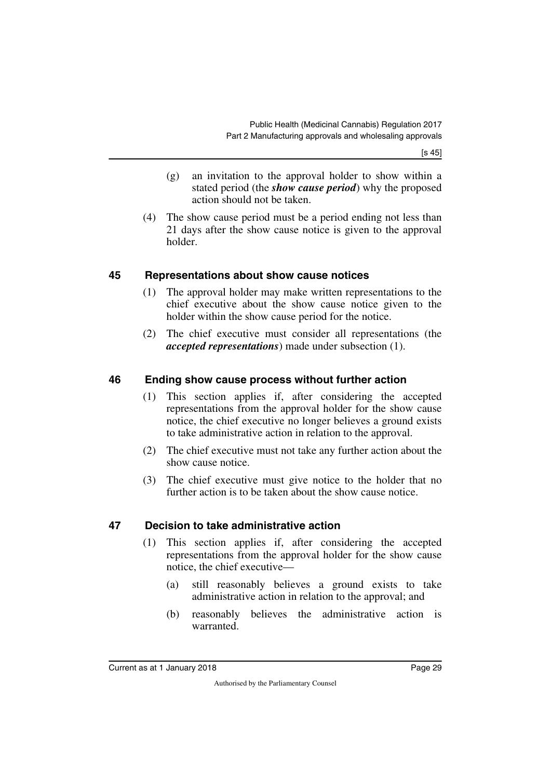[s 45]

- (g) an invitation to the approval holder to show within a stated period (the *show cause period*) why the proposed action should not be taken.
- (4) The show cause period must be a period ending not less than 21 days after the show cause notice is given to the approval holder.

#### <span id="page-30-0"></span>**45 Representations about show cause notices**

- <span id="page-30-1"></span>(1) The approval holder may make written representations to the chief executive about the show cause notice given to the holder within the show cause period for the notice.
- (2) The chief executive must consider all representations (the *accepted representations*) made under subsection (1).

## <span id="page-30-2"></span>**46 Ending show cause process without further action**

- <span id="page-30-3"></span>(1) This section applies if, after considering the accepted representations from the approval holder for the show cause notice, the chief executive no longer believes a ground exists to take administrative action in relation to the approval.
- (2) The chief executive must not take any further action about the show cause notice.
- (3) The chief executive must give notice to the holder that no further action is to be taken about the show cause notice.

## <span id="page-30-4"></span>**47 Decision to take administrative action**

- <span id="page-30-5"></span>(1) This section applies if, after considering the accepted representations from the approval holder for the show cause notice, the chief executive—
	- (a) still reasonably believes a ground exists to take administrative action in relation to the approval; and
	- (b) reasonably believes the administrative action is warranted.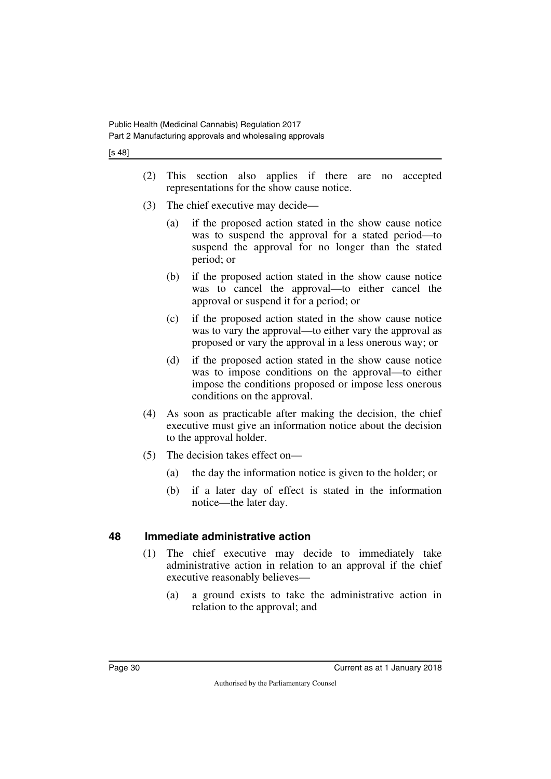[s 48]

- (2) This section also applies if there are no accepted representations for the show cause notice.
- (3) The chief executive may decide—
	- (a) if the proposed action stated in the show cause notice was to suspend the approval for a stated period—to suspend the approval for no longer than the stated period; or
	- (b) if the proposed action stated in the show cause notice was to cancel the approval—to either cancel the approval or suspend it for a period; or
	- (c) if the proposed action stated in the show cause notice was to vary the approval—to either vary the approval as proposed or vary the approval in a less onerous way; or
	- (d) if the proposed action stated in the show cause notice was to impose conditions on the approval—to either impose the conditions proposed or impose less onerous conditions on the approval.
- (4) As soon as practicable after making the decision, the chief executive must give an information notice about the decision to the approval holder.
- (5) The decision takes effect on—
	- (a) the day the information notice is given to the holder; or
	- (b) if a later day of effect is stated in the information notice—the later day.

## <span id="page-31-0"></span>**48 Immediate administrative action**

- <span id="page-31-1"></span>(1) The chief executive may decide to immediately take administrative action in relation to an approval if the chief executive reasonably believes—
	- (a) a ground exists to take the administrative action in relation to the approval; and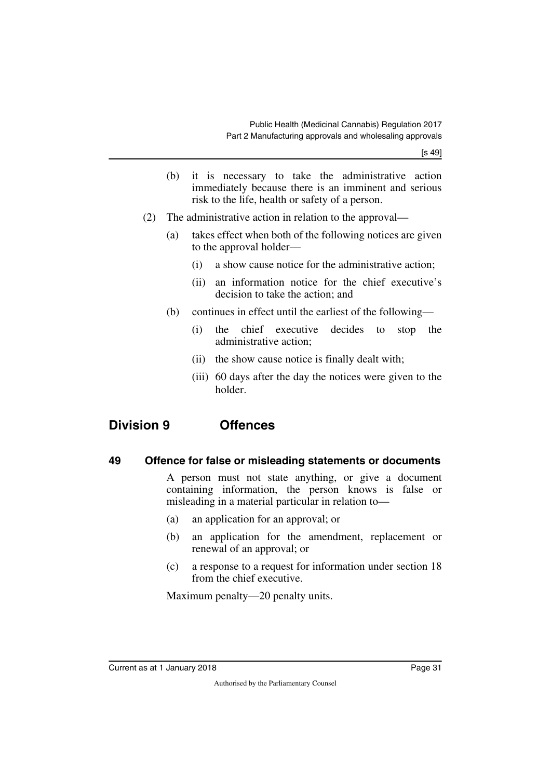- (b) it is necessary to take the administrative action immediately because there is an imminent and serious risk to the life, health or safety of a person.
- (2) The administrative action in relation to the approval—
	- (a) takes effect when both of the following notices are given to the approval holder—
		- (i) a show cause notice for the administrative action;
		- (ii) an information notice for the chief executive's decision to take the action; and
	- (b) continues in effect until the earliest of the following—
		- (i) the chief executive decides to stop the administrative action;
		- (ii) the show cause notice is finally dealt with;
		- (iii) 60 days after the day the notices were given to the holder.

# <span id="page-32-0"></span>**Division 9 Offences**

#### <span id="page-32-2"></span>**49 Offence for false or misleading statements or documents**

<span id="page-32-3"></span><span id="page-32-1"></span>A person must not state anything, or give a document containing information, the person knows is false or misleading in a material particular in relation to—

- (a) an application for an approval; or
- (b) an application for the amendment, replacement or renewal of an approval; or
- (c) a response to a request for information under section 18 from the chief executive.

Maximum penalty—20 penalty units.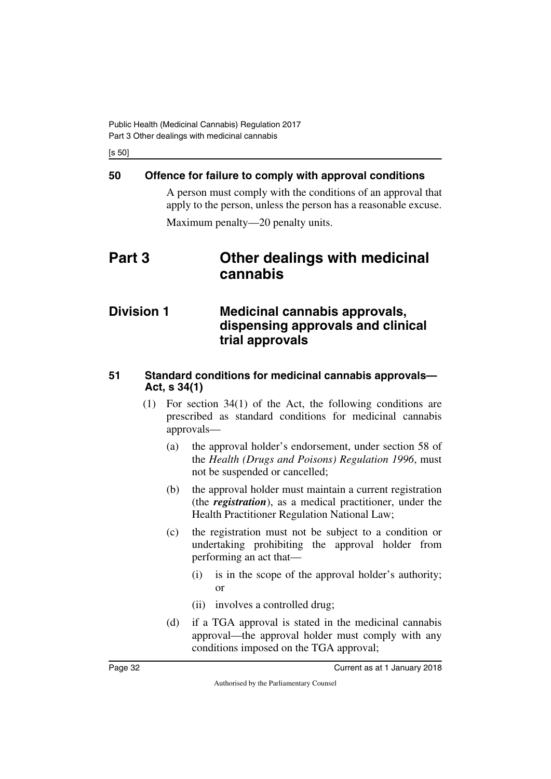[s 50]

# <span id="page-33-0"></span>**50 Offence for failure to comply with approval conditions**

<span id="page-33-3"></span><span id="page-33-1"></span>A person must comply with the conditions of an approval that apply to the person, unless the person has a reasonable excuse. Maximum penalty—20 penalty units.

# <span id="page-33-2"></span>**Part 3 Other dealings with medicinal cannabis**

# <span id="page-33-5"></span><span id="page-33-4"></span>**Division 1 Medicinal cannabis approvals, dispensing approvals and clinical trial approvals**

### <span id="page-33-7"></span><span id="page-33-6"></span>**51 Standard conditions for medicinal cannabis approvals— Act, s 34(1)**

- (1) For section 34(1) of the Act, the following conditions are prescribed as standard conditions for medicinal cannabis approvals—
	- (a) the approval holder's endorsement, under section 58 of the *Health (Drugs and Poisons) Regulation 1996*, must not be suspended or cancelled;
	- (b) the approval holder must maintain a current registration (the *registration*), as a medical practitioner, under the Health Practitioner Regulation National Law;
	- (c) the registration must not be subject to a condition or undertaking prohibiting the approval holder from performing an act that—
		- (i) is in the scope of the approval holder's authority; or
		- (ii) involves a controlled drug;
	- (d) if a TGA approval is stated in the medicinal cannabis approval—the approval holder must comply with any conditions imposed on the TGA approval;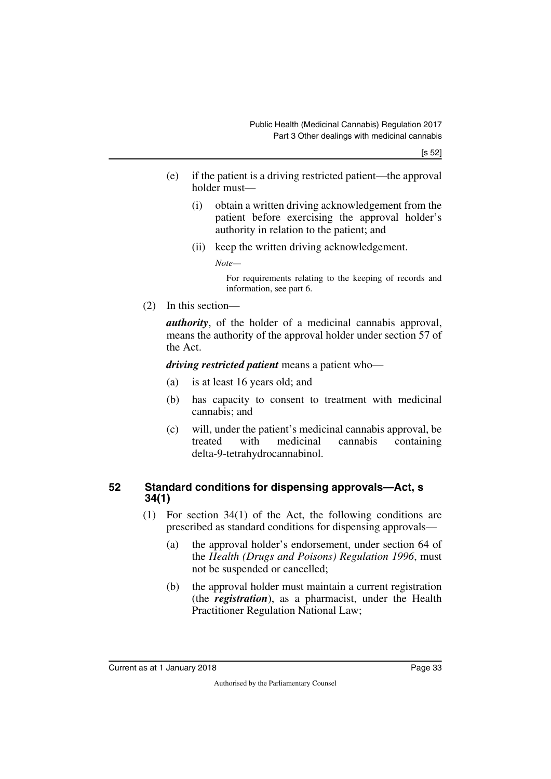- (e) if the patient is a driving restricted patient—the approval holder must—
	- (i) obtain a written driving acknowledgement from the patient before exercising the approval holder's authority in relation to the patient; and
	- (ii) keep the written driving acknowledgement.

*Note—*

For requirements relating to the keeping of records and information, see part 6.

(2) In this section—

*authority*, of the holder of a medicinal cannabis approval, means the authority of the approval holder under section 57 of the Act.

*driving restricted patient* means a patient who—

- (a) is at least 16 years old; and
- (b) has capacity to consent to treatment with medicinal cannabis; and
- (c) will, under the patient's medicinal cannabis approval, be treated with medicinal cannabis containing delta-9-tetrahydrocannabinol.

#### <span id="page-34-1"></span><span id="page-34-0"></span>**52 Standard conditions for dispensing approvals—Act, s 34(1)**

- (1) For section 34(1) of the Act, the following conditions are prescribed as standard conditions for dispensing approvals—
	- (a) the approval holder's endorsement, under section 64 of the *Health (Drugs and Poisons) Regulation 1996*, must not be suspended or cancelled;
	- (b) the approval holder must maintain a current registration (the *registration*), as a pharmacist, under the Health Practitioner Regulation National Law;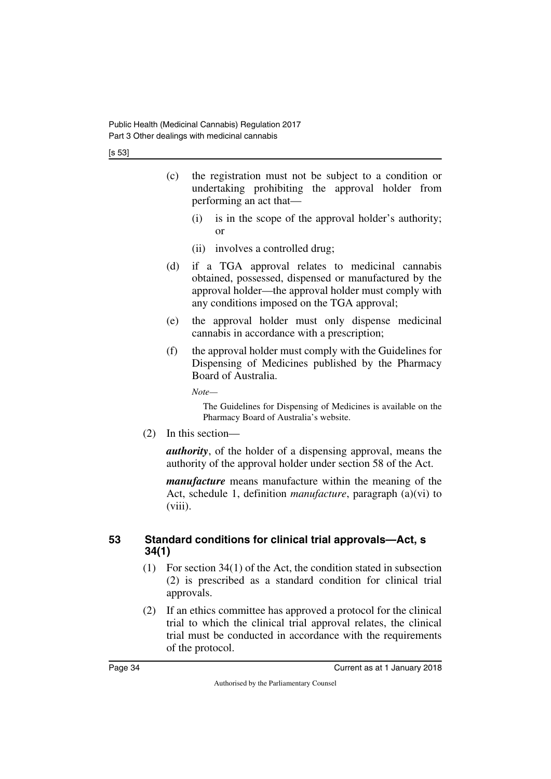[s 53]

- (c) the registration must not be subject to a condition or undertaking prohibiting the approval holder from performing an act that—
	- (i) is in the scope of the approval holder's authority; or
	- (ii) involves a controlled drug;
- (d) if a TGA approval relates to medicinal cannabis obtained, possessed, dispensed or manufactured by the approval holder—the approval holder must comply with any conditions imposed on the TGA approval;
- (e) the approval holder must only dispense medicinal cannabis in accordance with a prescription;
- (f) the approval holder must comply with the Guidelines for Dispensing of Medicines published by the Pharmacy Board of Australia.

*Note—*

The Guidelines for Dispensing of Medicines is available on the Pharmacy Board of Australia's website.

(2) In this section—

*authority*, of the holder of a dispensing approval, means the authority of the approval holder under section 58 of the Act.

*manufacture* means manufacture within the meaning of the Act, schedule 1, definition *manufacture*, paragraph (a)(vi) to  $(viii)$ .

### <span id="page-35-1"></span><span id="page-35-0"></span>**53 Standard conditions for clinical trial approvals—Act, s 34(1)**

- (1) For section 34(1) of the Act, the condition stated in subsection (2) is prescribed as a standard condition for clinical trial approvals.
- (2) If an ethics committee has approved a protocol for the clinical trial to which the clinical trial approval relates, the clinical trial must be conducted in accordance with the requirements of the protocol.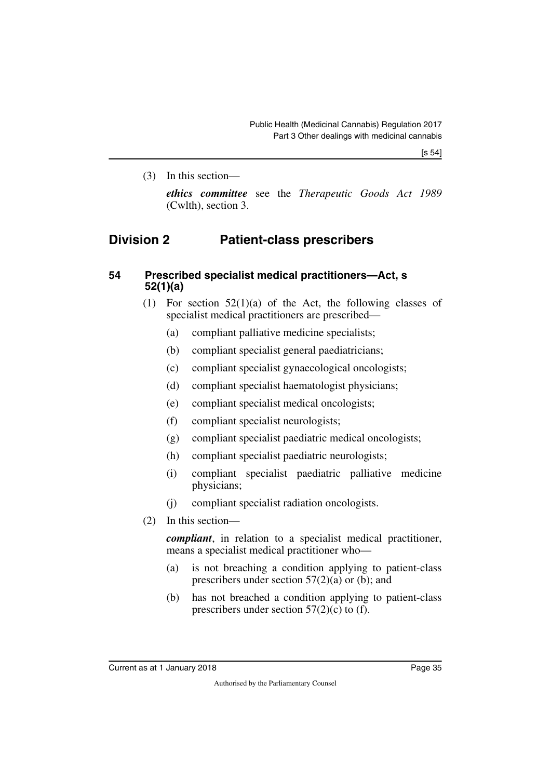(3) In this section—

*ethics committee* see the *Therapeutic Goods Act 1989* (Cwlth), section 3.

## **Division 2 Patient-class prescribers**

#### **54 Prescribed specialist medical practitioners—Act, s 52(1)(a)**

- (1) For section 52(1)(a) of the Act, the following classes of specialist medical practitioners are prescribed—
	- (a) compliant palliative medicine specialists;
	- (b) compliant specialist general paediatricians;
	- (c) compliant specialist gynaecological oncologists;
	- (d) compliant specialist haematologist physicians;
	- (e) compliant specialist medical oncologists;
	- (f) compliant specialist neurologists;
	- (g) compliant specialist paediatric medical oncologists;
	- (h) compliant specialist paediatric neurologists;
	- (i) compliant specialist paediatric palliative medicine physicians;
	- (j) compliant specialist radiation oncologists.
- (2) In this section—

*compliant*, in relation to a specialist medical practitioner, means a specialist medical practitioner who—

- (a) is not breaching a condition applying to patient-class prescribers under section 57(2)(a) or (b); and
- (b) has not breached a condition applying to patient-class prescribers under section  $57(2)(c)$  to (f).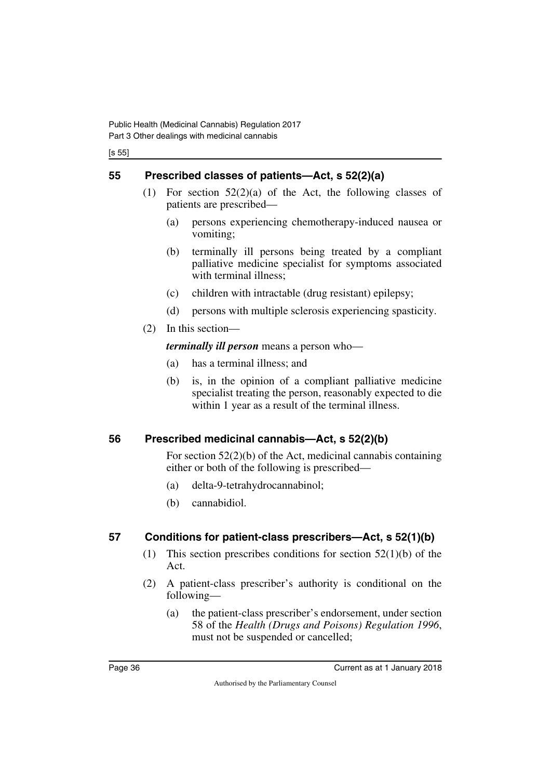[s 55]

## **55 Prescribed classes of patients—Act, s 52(2)(a)**

- (1) For section 52(2)(a) of the Act, the following classes of patients are prescribed—
	- (a) persons experiencing chemotherapy-induced nausea or vomiting;
	- (b) terminally ill persons being treated by a compliant palliative medicine specialist for symptoms associated with terminal illness;
	- (c) children with intractable (drug resistant) epilepsy;
	- (d) persons with multiple sclerosis experiencing spasticity.
- (2) In this section—

*terminally ill person* means a person who—

- (a) has a terminal illness; and
- (b) is, in the opinion of a compliant palliative medicine specialist treating the person, reasonably expected to die within 1 year as a result of the terminal illness.

## **56 Prescribed medicinal cannabis—Act, s 52(2)(b)**

For section 52(2)(b) of the Act, medicinal cannabis containing either or both of the following is prescribed—

- (a) delta-9-tetrahydrocannabinol;
- (b) cannabidiol.

## **57 Conditions for patient-class prescribers—Act, s 52(1)(b)**

- (1) This section prescribes conditions for section 52(1)(b) of the Act.
- (2) A patient-class prescriber's authority is conditional on the following—
	- (a) the patient-class prescriber's endorsement, under section 58 of the *Health (Drugs and Poisons) Regulation 1996*, must not be suspended or cancelled;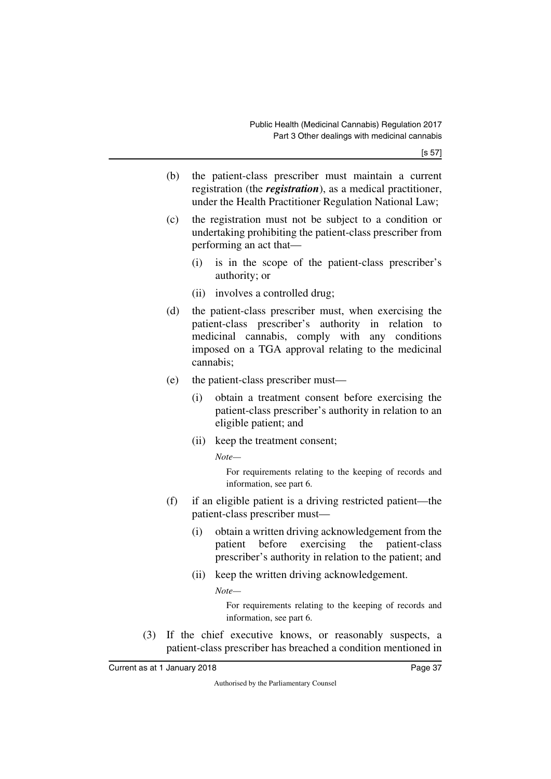- (b) the patient-class prescriber must maintain a current registration (the *registration*), as a medical practitioner, under the Health Practitioner Regulation National Law;
- (c) the registration must not be subject to a condition or undertaking prohibiting the patient-class prescriber from performing an act that—
	- (i) is in the scope of the patient-class prescriber's authority; or
	- (ii) involves a controlled drug;
- (d) the patient-class prescriber must, when exercising the patient-class prescriber's authority in relation to medicinal cannabis, comply with any conditions imposed on a TGA approval relating to the medicinal cannabis;
- (e) the patient-class prescriber must—
	- (i) obtain a treatment consent before exercising the patient-class prescriber's authority in relation to an eligible patient; and
	- (ii) keep the treatment consent;

*Note—*

For requirements relating to the keeping of records and information, see part 6.

- (f) if an eligible patient is a driving restricted patient—the patient-class prescriber must—
	- (i) obtain a written driving acknowledgement from the patient before exercising the patient-class prescriber's authority in relation to the patient; and
	- (ii) keep the written driving acknowledgement.

*Note—*

For requirements relating to the keeping of records and information, see part 6.

(3) If the chief executive knows, or reasonably suspects, a patient-class prescriber has breached a condition mentioned in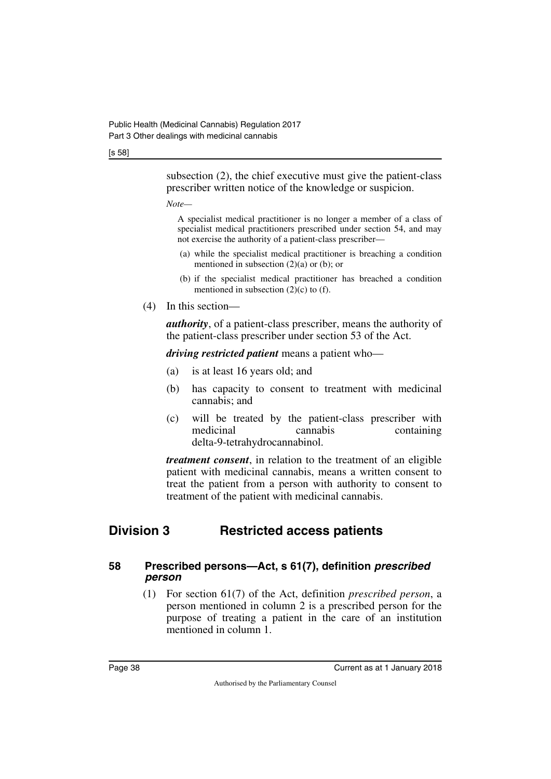#### [s 58]

subsection (2), the chief executive must give the patient-class prescriber written notice of the knowledge or suspicion.

#### *Note—*

A specialist medical practitioner is no longer a member of a class of specialist medical practitioners prescribed under section 54, and may not exercise the authority of a patient-class prescriber—

- (a) while the specialist medical practitioner is breaching a condition mentioned in subsection  $(2)(a)$  or  $(b)$ ; or
- (b) if the specialist medical practitioner has breached a condition mentioned in subsection  $(2)(c)$  to  $(f)$ .
- (4) In this section—

*authority*, of a patient-class prescriber, means the authority of the patient-class prescriber under section 53 of the Act.

*driving restricted patient* means a patient who—

- (a) is at least 16 years old; and
- (b) has capacity to consent to treatment with medicinal cannabis; and
- (c) will be treated by the patient-class prescriber with medicinal cannabis containing delta-9-tetrahydrocannabinol.

*treatment consent*, in relation to the treatment of an eligible patient with medicinal cannabis, means a written consent to treat the patient from a person with authority to consent to treatment of the patient with medicinal cannabis.

## **Division 3 Restricted access patients**

#### **58 Prescribed persons—Act, s 61(7), definition** *prescribed person*

(1) For section 61(7) of the Act, definition *prescribed person*, a person mentioned in column 2 is a prescribed person for the purpose of treating a patient in the care of an institution mentioned in column 1.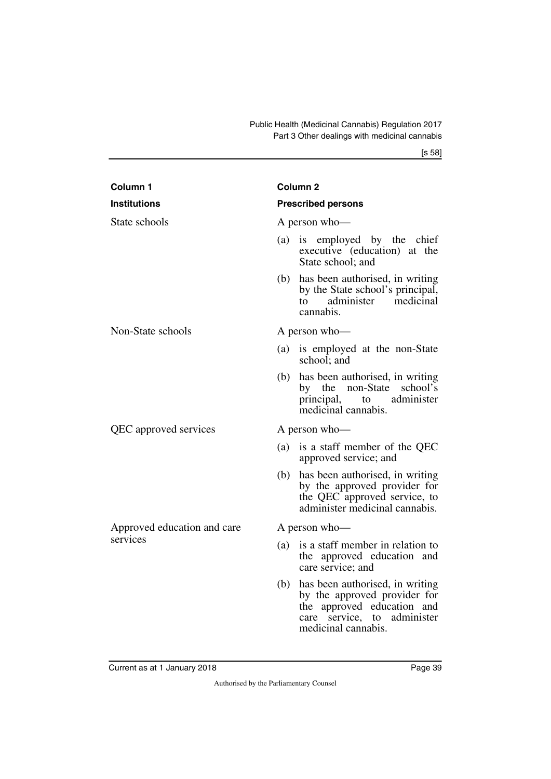[s 58]

| Column <sub>1</sub>                     | Column 2                                                                                                                                                      |
|-----------------------------------------|---------------------------------------------------------------------------------------------------------------------------------------------------------------|
| <b>Institutions</b>                     | <b>Prescribed persons</b>                                                                                                                                     |
| State schools                           | A person who-                                                                                                                                                 |
|                                         | is employed by the chief<br>(a)<br>executive (education) at the<br>State school; and                                                                          |
|                                         | has been authorised, in writing<br>(b)<br>by the State school's principal,<br>administer medicinal<br>to<br>cannabis.                                         |
| Non-State schools                       | A person who-                                                                                                                                                 |
|                                         | is employed at the non-State<br>(a)<br>school; and                                                                                                            |
|                                         | has been authorised, in writing<br>(b)<br>by the non-State school's<br>to administer<br>principal,<br>medicinal cannabis.                                     |
| QEC approved services                   | A person who-                                                                                                                                                 |
|                                         | is a staff member of the QEC<br>(a)<br>approved service; and                                                                                                  |
|                                         | has been authorised, in writing<br>(b)<br>by the approved provider for<br>the QEC approved service, to<br>administer medicinal cannabis.                      |
| Approved education and care<br>services | A person who-                                                                                                                                                 |
|                                         | is a staff member in relation to<br>(a)<br>the approved education and<br>care service; and                                                                    |
|                                         | has been authorised, in writing<br>(b)<br>by the approved provider for<br>the approved education and<br>administer<br>care service, to<br>medicinal cannabis. |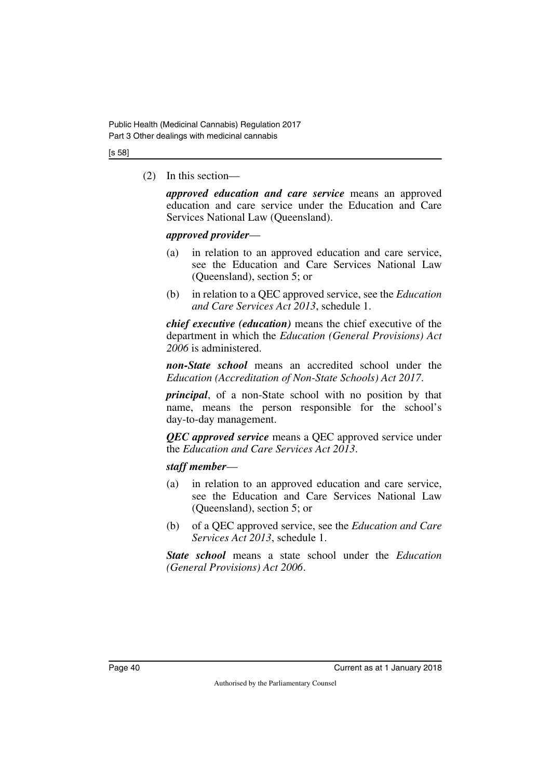#### [s 58]

(2) In this section—

*approved education and care service* means an approved education and care service under the Education and Care Services National Law (Queensland).

#### *approved provider*—

- (a) in relation to an approved education and care service, see the Education and Care Services National Law (Queensland), section 5; or
- (b) in relation to a QEC approved service, see the *Education and Care Services Act 2013*, schedule 1.

*chief executive (education)* means the chief executive of the department in which the *Education (General Provisions) Act 2006* is administered.

*non-State school* means an accredited school under the *Education (Accreditation of Non-State Schools) Act 2017*.

*principal*, of a non-State school with no position by that name, means the person responsible for the school's day-to-day management.

*QEC approved service* means a QEC approved service under the *Education and Care Services Act 2013*.

#### *staff member*—

- (a) in relation to an approved education and care service, see the Education and Care Services National Law (Queensland), section 5; or
- (b) of a QEC approved service, see the *Education and Care Services Act 2013*, schedule 1.

*State school* means a state school under the *Education (General Provisions) Act 2006*.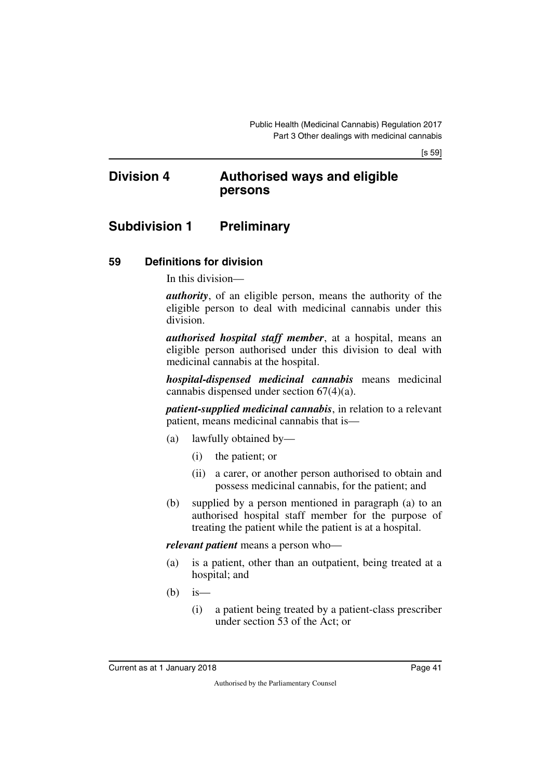[s 59]

## **Division 4 Authorised ways and eligible persons**

## **Subdivision 1 Preliminary**

#### **59 Definitions for division**

In this division—

*authority*, of an eligible person, means the authority of the eligible person to deal with medicinal cannabis under this division.

*authorised hospital staff member*, at a hospital, means an eligible person authorised under this division to deal with medicinal cannabis at the hospital.

*hospital-dispensed medicinal cannabis* means medicinal cannabis dispensed under section 67(4)(a).

*patient-supplied medicinal cannabis*, in relation to a relevant patient, means medicinal cannabis that is—

- (a) lawfully obtained by—
	- (i) the patient; or
	- (ii) a carer, or another person authorised to obtain and possess medicinal cannabis, for the patient; and
- (b) supplied by a person mentioned in paragraph (a) to an authorised hospital staff member for the purpose of treating the patient while the patient is at a hospital.

*relevant patient* means a person who—

- (a) is a patient, other than an outpatient, being treated at a hospital; and
- $(b)$  is
	- (i) a patient being treated by a patient-class prescriber under section 53 of the Act; or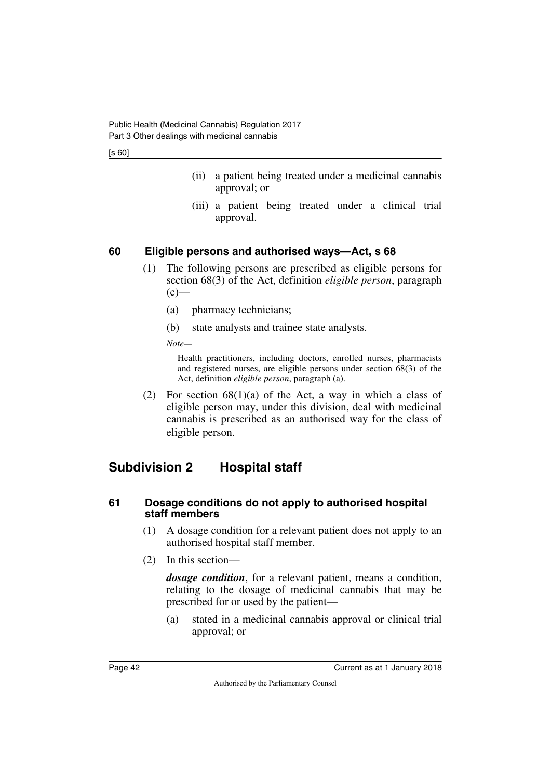[s 60]

- (ii) a patient being treated under a medicinal cannabis approval; or
- (iii) a patient being treated under a clinical trial approval.

## **60 Eligible persons and authorised ways—Act, s 68**

- (1) The following persons are prescribed as eligible persons for section 68(3) of the Act, definition *eligible person*, paragraph  $(c)$ —
	- (a) pharmacy technicians;
	- (b) state analysts and trainee state analysts.

*Note—*

Health practitioners, including doctors, enrolled nurses, pharmacists and registered nurses, are eligible persons under section 68(3) of the Act, definition *eligible person*, paragraph (a).

(2) For section  $68(1)(a)$  of the Act, a way in which a class of eligible person may, under this division, deal with medicinal cannabis is prescribed as an authorised way for the class of eligible person.

# **Subdivision 2 Hospital staff**

#### **61 Dosage conditions do not apply to authorised hospital staff members**

- (1) A dosage condition for a relevant patient does not apply to an authorised hospital staff member.
- (2) In this section—

*dosage condition*, for a relevant patient, means a condition, relating to the dosage of medicinal cannabis that may be prescribed for or used by the patient—

(a) stated in a medicinal cannabis approval or clinical trial approval; or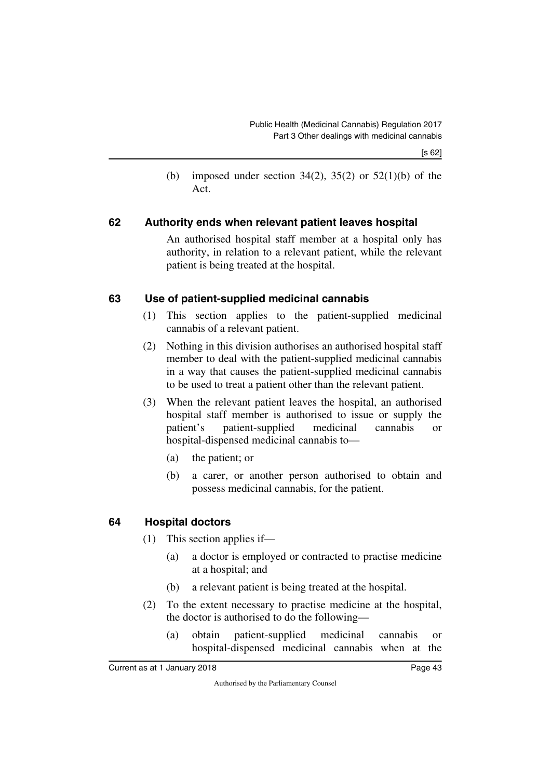(b) imposed under section 34(2), 35(2) or 52(1)(b) of the Act.

#### **62 Authority ends when relevant patient leaves hospital**

An authorised hospital staff member at a hospital only has authority, in relation to a relevant patient, while the relevant patient is being treated at the hospital.

#### **63 Use of patient-supplied medicinal cannabis**

- (1) This section applies to the patient-supplied medicinal cannabis of a relevant patient.
- (2) Nothing in this division authorises an authorised hospital staff member to deal with the patient-supplied medicinal cannabis in a way that causes the patient-supplied medicinal cannabis to be used to treat a patient other than the relevant patient.
- (3) When the relevant patient leaves the hospital, an authorised hospital staff member is authorised to issue or supply the patient's patient-supplied medicinal cannabis or hospital-dispensed medicinal cannabis to—
	- (a) the patient; or
	- (b) a carer, or another person authorised to obtain and possess medicinal cannabis, for the patient.

## **64 Hospital doctors**

- (1) This section applies if—
	- (a) a doctor is employed or contracted to practise medicine at a hospital; and
	- (b) a relevant patient is being treated at the hospital.
- (2) To the extent necessary to practise medicine at the hospital, the doctor is authorised to do the following—
	- (a) obtain patient-supplied medicinal cannabis or hospital-dispensed medicinal cannabis when at the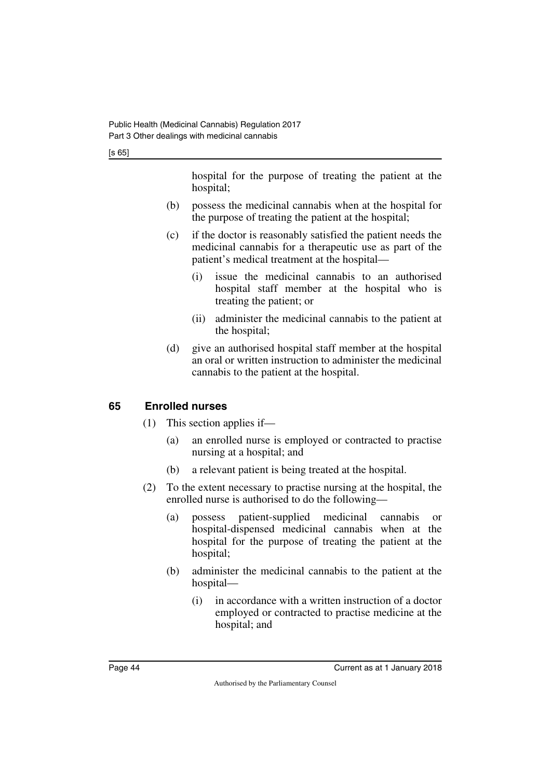hospital for the purpose of treating the patient at the hospital;

- (b) possess the medicinal cannabis when at the hospital for the purpose of treating the patient at the hospital;
- (c) if the doctor is reasonably satisfied the patient needs the medicinal cannabis for a therapeutic use as part of the patient's medical treatment at the hospital—
	- (i) issue the medicinal cannabis to an authorised hospital staff member at the hospital who is treating the patient; or
	- (ii) administer the medicinal cannabis to the patient at the hospital;
- (d) give an authorised hospital staff member at the hospital an oral or written instruction to administer the medicinal cannabis to the patient at the hospital.

## **65 Enrolled nurses**

- (1) This section applies if—
	- (a) an enrolled nurse is employed or contracted to practise nursing at a hospital; and
	- (b) a relevant patient is being treated at the hospital.
- (2) To the extent necessary to practise nursing at the hospital, the enrolled nurse is authorised to do the following—
	- (a) possess patient-supplied medicinal cannabis or hospital-dispensed medicinal cannabis when at the hospital for the purpose of treating the patient at the hospital;
	- (b) administer the medicinal cannabis to the patient at the hospital—
		- (i) in accordance with a written instruction of a doctor employed or contracted to practise medicine at the hospital; and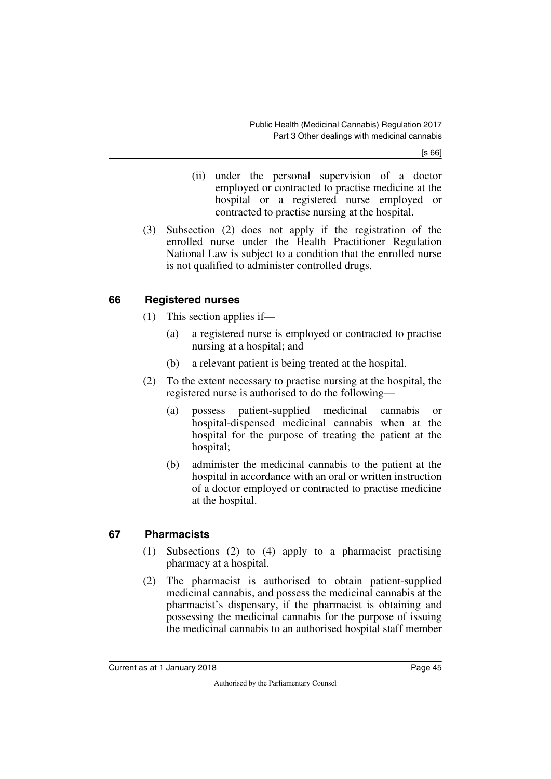[s 66]

- (ii) under the personal supervision of a doctor employed or contracted to practise medicine at the hospital or a registered nurse employed or contracted to practise nursing at the hospital.
- (3) Subsection (2) does not apply if the registration of the enrolled nurse under the Health Practitioner Regulation National Law is subject to a condition that the enrolled nurse is not qualified to administer controlled drugs.

#### **66 Registered nurses**

- (1) This section applies if—
	- (a) a registered nurse is employed or contracted to practise nursing at a hospital; and
	- (b) a relevant patient is being treated at the hospital.
- (2) To the extent necessary to practise nursing at the hospital, the registered nurse is authorised to do the following—
	- (a) possess patient-supplied medicinal cannabis or hospital-dispensed medicinal cannabis when at the hospital for the purpose of treating the patient at the hospital;
	- (b) administer the medicinal cannabis to the patient at the hospital in accordance with an oral or written instruction of a doctor employed or contracted to practise medicine at the hospital.

#### **67 Pharmacists**

- (1) Subsections (2) to (4) apply to a pharmacist practising pharmacy at a hospital.
- (2) The pharmacist is authorised to obtain patient-supplied medicinal cannabis, and possess the medicinal cannabis at the pharmacist's dispensary, if the pharmacist is obtaining and possessing the medicinal cannabis for the purpose of issuing the medicinal cannabis to an authorised hospital staff member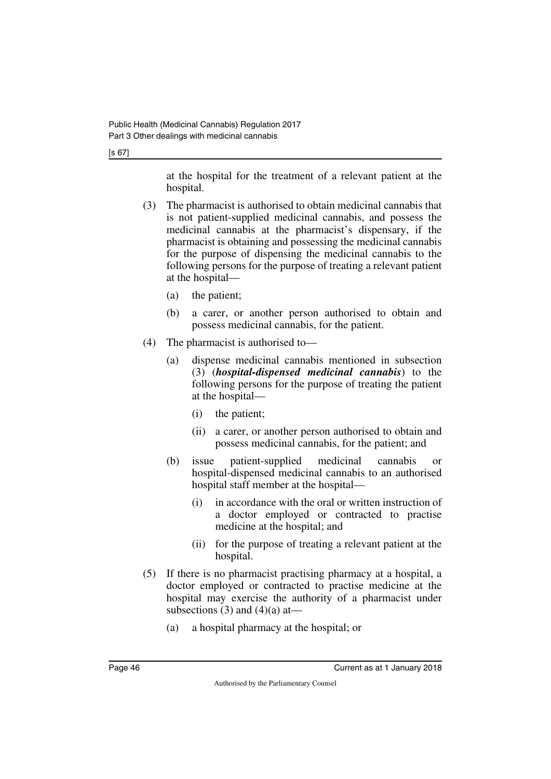[s 67]

at the hospital for the treatment of a relevant patient at the hospital.

- (3) The pharmacist is authorised to obtain medicinal cannabis that is not patient-supplied medicinal cannabis, and possess the medicinal cannabis at the pharmacist's dispensary, if the pharmacist is obtaining and possessing the medicinal cannabis for the purpose of dispensing the medicinal cannabis to the following persons for the purpose of treating a relevant patient at the hospital—
	- (a) the patient;
	- (b) a carer, or another person authorised to obtain and possess medicinal cannabis, for the patient.
- (4) The pharmacist is authorised to—
	- (a) dispense medicinal cannabis mentioned in subsection (3) (*hospital-dispensed medicinal cannabis*) to the following persons for the purpose of treating the patient at the hospital—
		- (i) the patient;
		- (ii) a carer, or another person authorised to obtain and possess medicinal cannabis, for the patient; and
	- (b) issue patient-supplied medicinal cannabis or hospital-dispensed medicinal cannabis to an authorised hospital staff member at the hospital—
		- (i) in accordance with the oral or written instruction of a doctor employed or contracted to practise medicine at the hospital; and
		- (ii) for the purpose of treating a relevant patient at the hospital.
- (5) If there is no pharmacist practising pharmacy at a hospital, a doctor employed or contracted to practise medicine at the hospital may exercise the authority of a pharmacist under subsections  $(3)$  and  $(4)(a)$  at —
	- (a) a hospital pharmacy at the hospital; or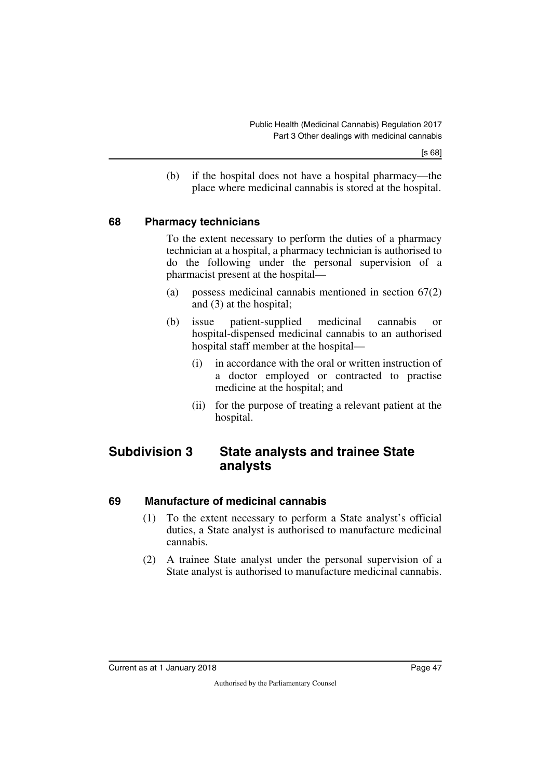(b) if the hospital does not have a hospital pharmacy—the place where medicinal cannabis is stored at the hospital.

#### **68 Pharmacy technicians**

To the extent necessary to perform the duties of a pharmacy technician at a hospital, a pharmacy technician is authorised to do the following under the personal supervision of a pharmacist present at the hospital—

- (a) possess medicinal cannabis mentioned in section 67(2) and (3) at the hospital;
- (b) issue patient-supplied medicinal cannabis or hospital-dispensed medicinal cannabis to an authorised hospital staff member at the hospital—
	- (i) in accordance with the oral or written instruction of a doctor employed or contracted to practise medicine at the hospital; and
	- (ii) for the purpose of treating a relevant patient at the hospital.

## **Subdivision 3 State analysts and trainee State analysts**

#### **69 Manufacture of medicinal cannabis**

- (1) To the extent necessary to perform a State analyst's official duties, a State analyst is authorised to manufacture medicinal cannabis.
- (2) A trainee State analyst under the personal supervision of a State analyst is authorised to manufacture medicinal cannabis.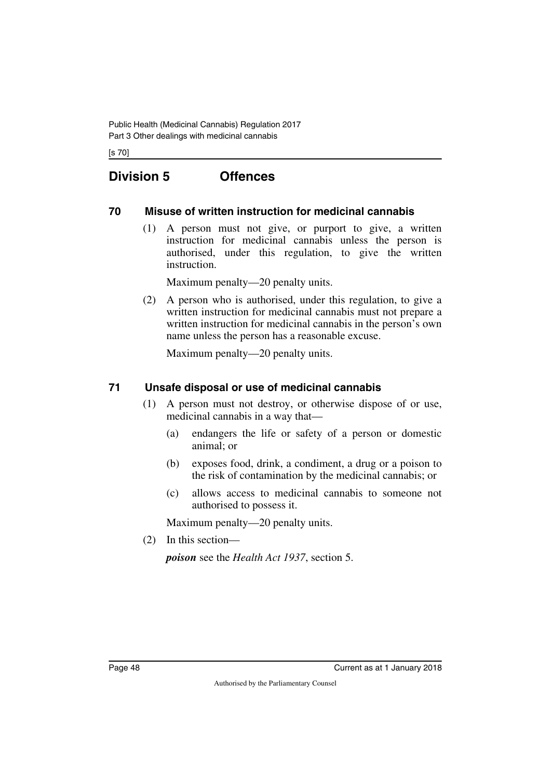[s 70]

# **Division 5 Offences**

#### **70 Misuse of written instruction for medicinal cannabis**

(1) A person must not give, or purport to give, a written instruction for medicinal cannabis unless the person is authorised, under this regulation, to give the written instruction.

Maximum penalty—20 penalty units.

(2) A person who is authorised, under this regulation, to give a written instruction for medicinal cannabis must not prepare a written instruction for medicinal cannabis in the person's own name unless the person has a reasonable excuse.

Maximum penalty—20 penalty units.

#### **71 Unsafe disposal or use of medicinal cannabis**

- (1) A person must not destroy, or otherwise dispose of or use, medicinal cannabis in a way that—
	- (a) endangers the life or safety of a person or domestic animal; or
	- (b) exposes food, drink, a condiment, a drug or a poison to the risk of contamination by the medicinal cannabis; or
	- (c) allows access to medicinal cannabis to someone not authorised to possess it.

Maximum penalty—20 penalty units.

(2) In this section—

*poison* see the *Health Act 1937*, section 5.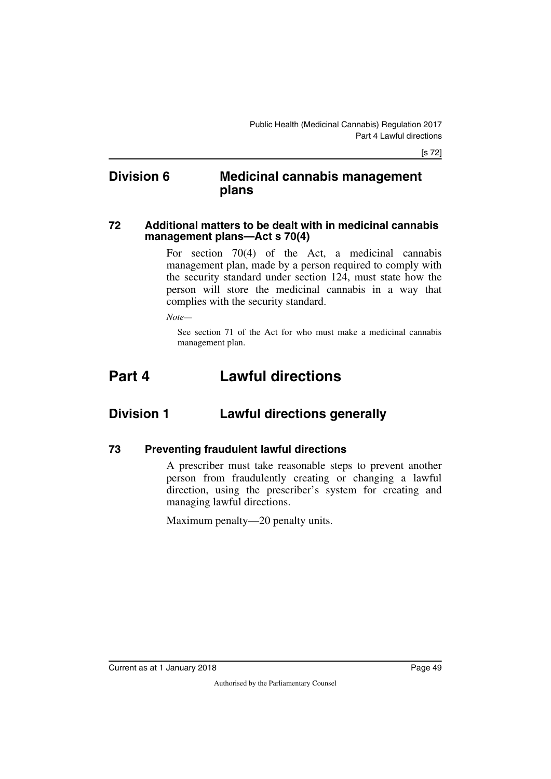## **Division 6 Medicinal cannabis management plans**

#### **72 Additional matters to be dealt with in medicinal cannabis management plans—Act s 70(4)**

For section 70(4) of the Act, a medicinal cannabis management plan, made by a person required to comply with the security standard under section 124, must state how the person will store the medicinal cannabis in a way that complies with the security standard.

*Note—*

See section 71 of the Act for who must make a medicinal cannabis management plan.

# **Part 4 Lawful directions**

## **Division 1 Lawful directions generally**

#### **73 Preventing fraudulent lawful directions**

A prescriber must take reasonable steps to prevent another person from fraudulently creating or changing a lawful direction, using the prescriber's system for creating and managing lawful directions.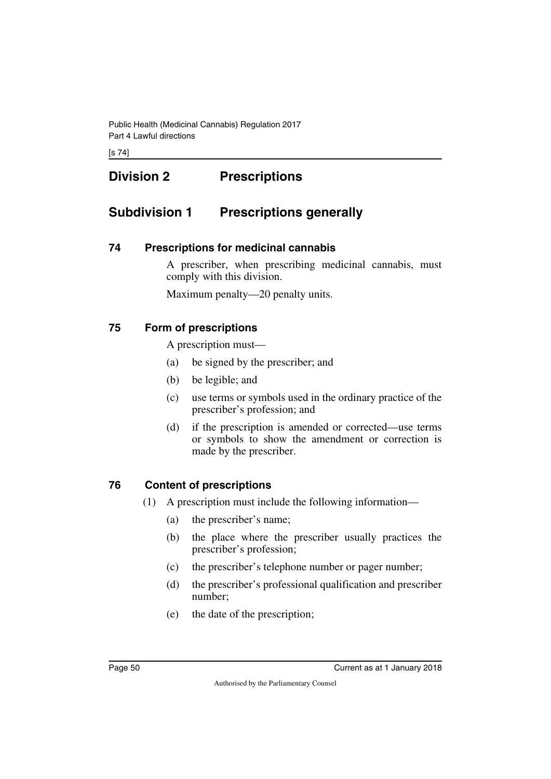[s 74]

# **Division 2 Prescriptions**

# **Subdivision 1 Prescriptions generally**

#### **74 Prescriptions for medicinal cannabis**

A prescriber, when prescribing medicinal cannabis, must comply with this division.

Maximum penalty—20 penalty units.

## **75 Form of prescriptions**

A prescription must—

- (a) be signed by the prescriber; and
- (b) be legible; and
- (c) use terms or symbols used in the ordinary practice of the prescriber's profession; and
- (d) if the prescription is amended or corrected—use terms or symbols to show the amendment or correction is made by the prescriber.

## **76 Content of prescriptions**

- (1) A prescription must include the following information—
	- (a) the prescriber's name;
	- (b) the place where the prescriber usually practices the prescriber's profession;
	- (c) the prescriber's telephone number or pager number;
	- (d) the prescriber's professional qualification and prescriber number;
	- (e) the date of the prescription;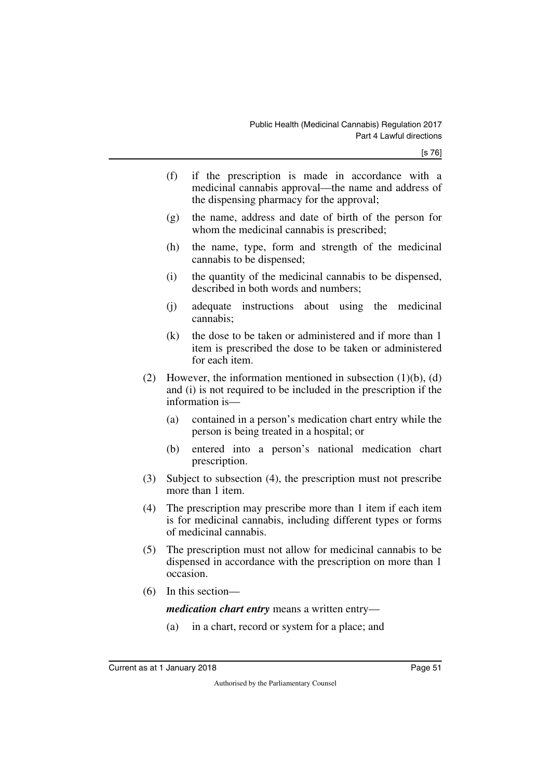- (f) if the prescription is made in accordance with a medicinal cannabis approval—the name and address of the dispensing pharmacy for the approval;
- (g) the name, address and date of birth of the person for whom the medicinal cannabis is prescribed;
- (h) the name, type, form and strength of the medicinal cannabis to be dispensed;
- (i) the quantity of the medicinal cannabis to be dispensed, described in both words and numbers;
- (j) adequate instructions about using the medicinal cannabis;
- (k) the dose to be taken or administered and if more than 1 item is prescribed the dose to be taken or administered for each item.
- (2) However, the information mentioned in subsection  $(1)(b)$ ,  $(d)$ and (i) is not required to be included in the prescription if the information is—
	- (a) contained in a person's medication chart entry while the person is being treated in a hospital; or
	- (b) entered into a person's national medication chart prescription.
- (3) Subject to subsection (4), the prescription must not prescribe more than 1 item.
- (4) The prescription may prescribe more than 1 item if each item is for medicinal cannabis, including different types or forms of medicinal cannabis.
- (5) The prescription must not allow for medicinal cannabis to be dispensed in accordance with the prescription on more than 1 occasion.
- (6) In this section—

*medication chart entry* means a written entry—

(a) in a chart, record or system for a place; and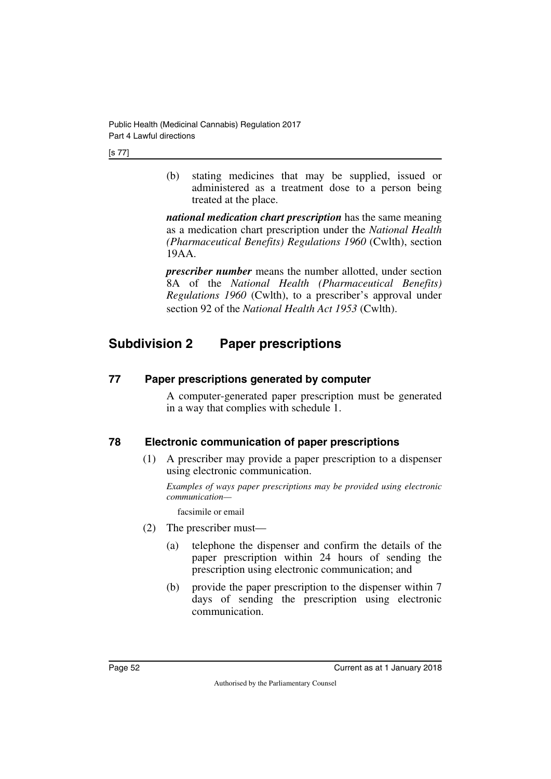(b) stating medicines that may be supplied, issued or administered as a treatment dose to a person being treated at the place.

*national medication chart prescription* has the same meaning as a medication chart prescription under the *National Health (Pharmaceutical Benefits) Regulations 1960* (Cwlth), section 19AA.

*prescriber number* means the number allotted, under section 8A of the *National Health (Pharmaceutical Benefits) Regulations 1960* (Cwlth), to a prescriber's approval under section 92 of the *National Health Act 1953* (Cwlth).

# **Subdivision 2 Paper prescriptions**

#### **77 Paper prescriptions generated by computer**

A computer-generated paper prescription must be generated in a way that complies with schedule 1.

## **78 Electronic communication of paper prescriptions**

(1) A prescriber may provide a paper prescription to a dispenser using electronic communication.

*Examples of ways paper prescriptions may be provided using electronic communication—*

facsimile or email

- (2) The prescriber must—
	- (a) telephone the dispenser and confirm the details of the paper prescription within 24 hours of sending the prescription using electronic communication; and
	- (b) provide the paper prescription to the dispenser within 7 days of sending the prescription using electronic communication.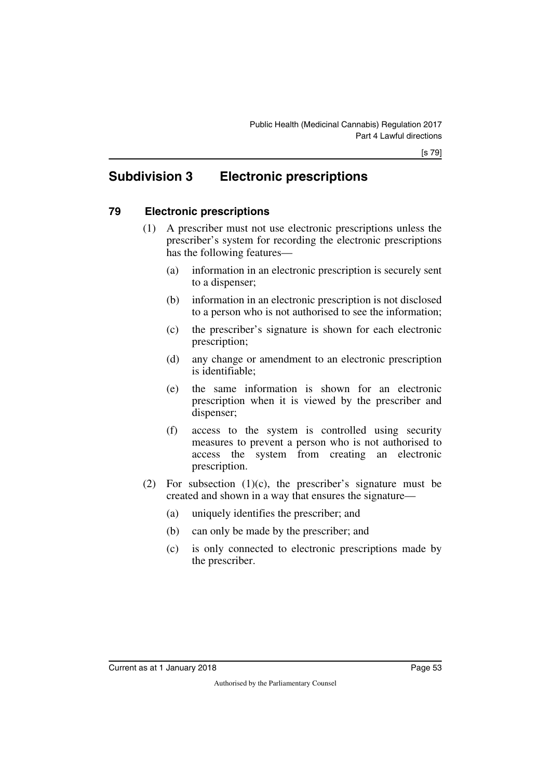# **Subdivision 3 Electronic prescriptions**

## **79 Electronic prescriptions**

- (1) A prescriber must not use electronic prescriptions unless the prescriber's system for recording the electronic prescriptions has the following features—
	- (a) information in an electronic prescription is securely sent to a dispenser;
	- (b) information in an electronic prescription is not disclosed to a person who is not authorised to see the information;
	- (c) the prescriber's signature is shown for each electronic prescription;
	- (d) any change or amendment to an electronic prescription is identifiable;
	- (e) the same information is shown for an electronic prescription when it is viewed by the prescriber and dispenser;
	- (f) access to the system is controlled using security measures to prevent a person who is not authorised to access the system from creating an electronic prescription.
- (2) For subsection  $(1)(c)$ , the prescriber's signature must be created and shown in a way that ensures the signature—
	- (a) uniquely identifies the prescriber; and
	- (b) can only be made by the prescriber; and
	- (c) is only connected to electronic prescriptions made by the prescriber.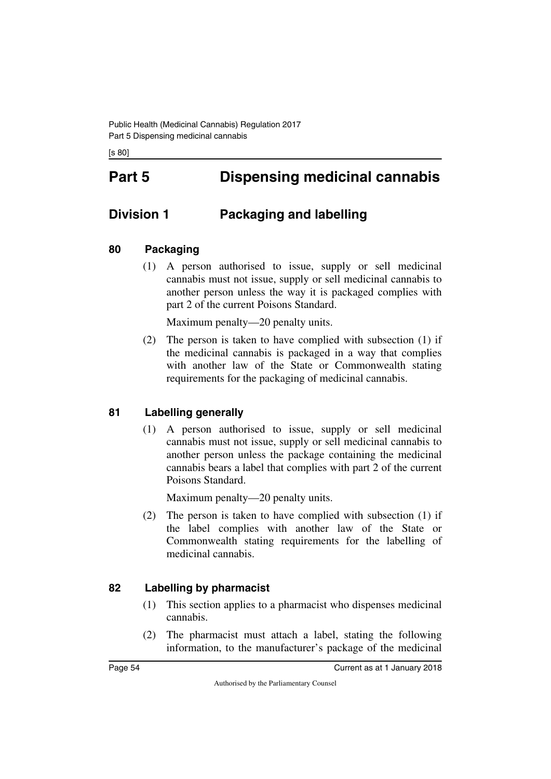[s 80]

# **Part 5 Dispensing medicinal cannabis**

# **Division 1 Packaging and labelling**

#### **80 Packaging**

(1) A person authorised to issue, supply or sell medicinal cannabis must not issue, supply or sell medicinal cannabis to another person unless the way it is packaged complies with part 2 of the current Poisons Standard.

Maximum penalty—20 penalty units.

(2) The person is taken to have complied with subsection (1) if the medicinal cannabis is packaged in a way that complies with another law of the State or Commonwealth stating requirements for the packaging of medicinal cannabis.

## **81 Labelling generally**

(1) A person authorised to issue, supply or sell medicinal cannabis must not issue, supply or sell medicinal cannabis to another person unless the package containing the medicinal cannabis bears a label that complies with part 2 of the current Poisons Standard.

Maximum penalty—20 penalty units.

(2) The person is taken to have complied with subsection (1) if the label complies with another law of the State or Commonwealth stating requirements for the labelling of medicinal cannabis.

## **82 Labelling by pharmacist**

- (1) This section applies to a pharmacist who dispenses medicinal cannabis.
- (2) The pharmacist must attach a label, stating the following information, to the manufacturer's package of the medicinal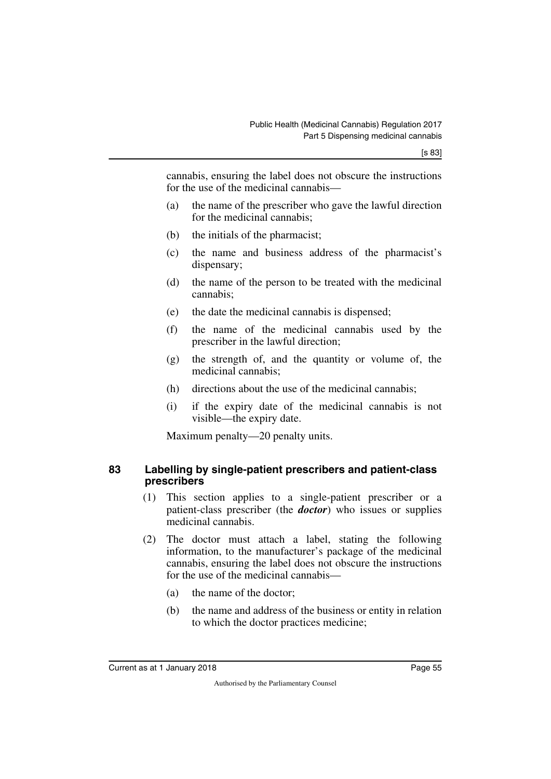cannabis, ensuring the label does not obscure the instructions for the use of the medicinal cannabis—

- (a) the name of the prescriber who gave the lawful direction for the medicinal cannabis;
- (b) the initials of the pharmacist;
- (c) the name and business address of the pharmacist's dispensary;
- (d) the name of the person to be treated with the medicinal cannabis;
- (e) the date the medicinal cannabis is dispensed;
- (f) the name of the medicinal cannabis used by the prescriber in the lawful direction;
- (g) the strength of, and the quantity or volume of, the medicinal cannabis;
- (h) directions about the use of the medicinal cannabis;
- (i) if the expiry date of the medicinal cannabis is not visible—the expiry date.

Maximum penalty—20 penalty units.

#### **83 Labelling by single-patient prescribers and patient-class prescribers**

- (1) This section applies to a single-patient prescriber or a patient-class prescriber (the *doctor*) who issues or supplies medicinal cannabis.
- (2) The doctor must attach a label, stating the following information, to the manufacturer's package of the medicinal cannabis, ensuring the label does not obscure the instructions for the use of the medicinal cannabis—
	- (a) the name of the doctor;
	- (b) the name and address of the business or entity in relation to which the doctor practices medicine;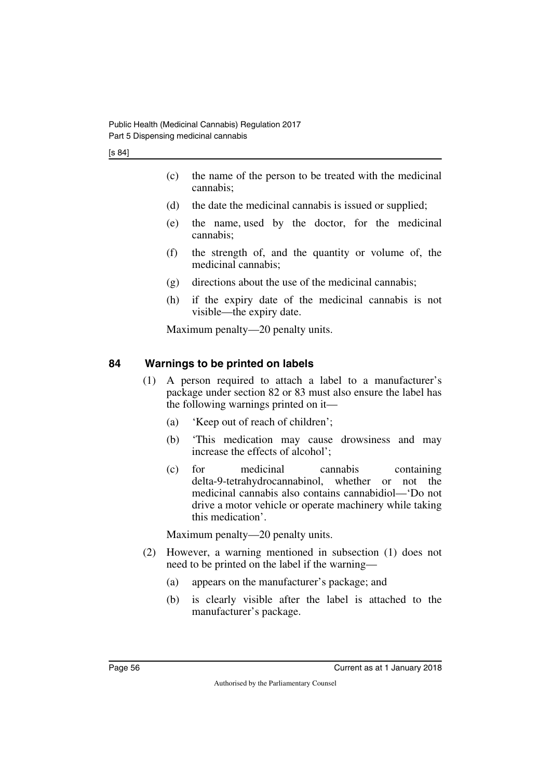[s 84]

- (c) the name of the person to be treated with the medicinal cannabis;
- (d) the date the medicinal cannabis is issued or supplied;
- (e) the name, used by the doctor, for the medicinal cannabis;
- (f) the strength of, and the quantity or volume of, the medicinal cannabis;
- (g) directions about the use of the medicinal cannabis;
- (h) if the expiry date of the medicinal cannabis is not visible—the expiry date.

Maximum penalty—20 penalty units.

#### **84 Warnings to be printed on labels**

- (1) A person required to attach a label to a manufacturer's package under section 82 or 83 must also ensure the label has the following warnings printed on it—
	- (a) 'Keep out of reach of children';
	- (b) 'This medication may cause drowsiness and may increase the effects of alcohol';
	- (c) for medicinal cannabis containing delta-9-tetrahydrocannabinol, whether or not the medicinal cannabis also contains cannabidiol—'Do not drive a motor vehicle or operate machinery while taking this medication'.

- (2) However, a warning mentioned in subsection (1) does not need to be printed on the label if the warning—
	- (a) appears on the manufacturer's package; and
	- (b) is clearly visible after the label is attached to the manufacturer's package.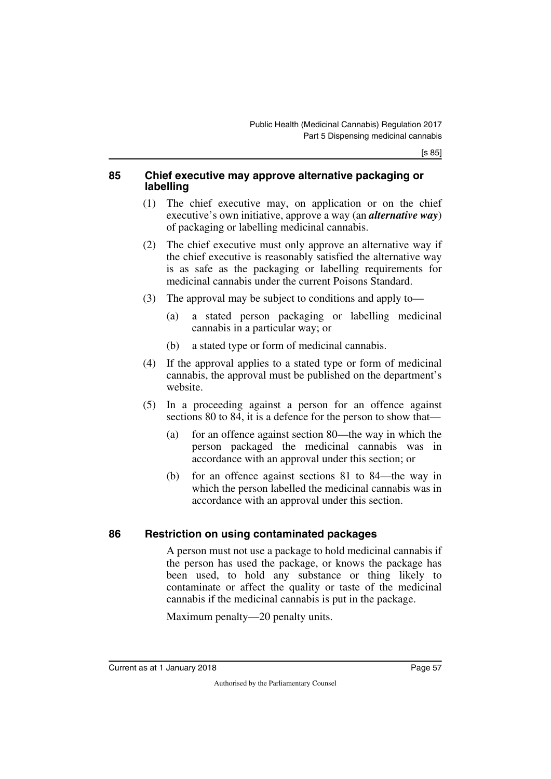#### **85 Chief executive may approve alternative packaging or labelling**

- (1) The chief executive may, on application or on the chief executive's own initiative, approve a way (an *alternative way*) of packaging or labelling medicinal cannabis.
- (2) The chief executive must only approve an alternative way if the chief executive is reasonably satisfied the alternative way is as safe as the packaging or labelling requirements for medicinal cannabis under the current Poisons Standard.
- (3) The approval may be subject to conditions and apply to—
	- (a) a stated person packaging or labelling medicinal cannabis in a particular way; or
	- (b) a stated type or form of medicinal cannabis.
- (4) If the approval applies to a stated type or form of medicinal cannabis, the approval must be published on the department's website.
- (5) In a proceeding against a person for an offence against sections 80 to 84, it is a defence for the person to show that—
	- (a) for an offence against section 80—the way in which the person packaged the medicinal cannabis was in accordance with an approval under this section; or
	- (b) for an offence against sections 81 to 84—the way in which the person labelled the medicinal cannabis was in accordance with an approval under this section.

## **86 Restriction on using contaminated packages**

A person must not use a package to hold medicinal cannabis if the person has used the package, or knows the package has been used, to hold any substance or thing likely to contaminate or affect the quality or taste of the medicinal cannabis if the medicinal cannabis is put in the package.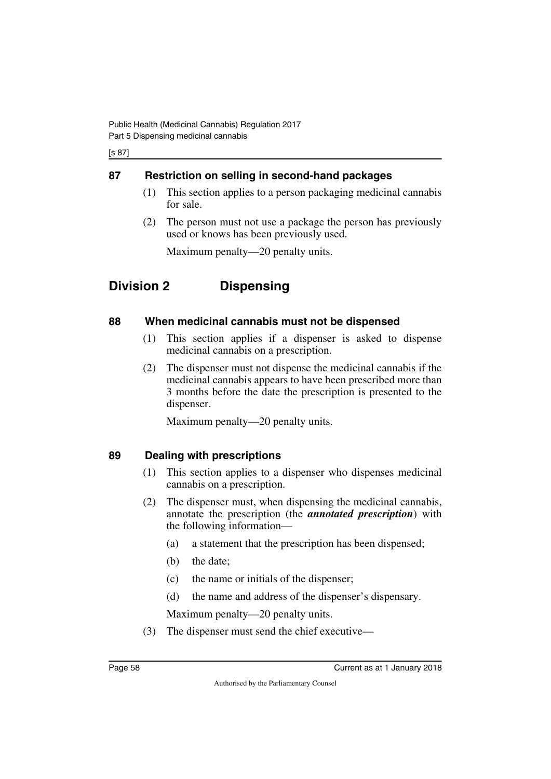#### [s 87]

## **87 Restriction on selling in second-hand packages**

- (1) This section applies to a person packaging medicinal cannabis for sale.
- (2) The person must not use a package the person has previously used or knows has been previously used.

Maximum penalty—20 penalty units.

# **Division 2 Dispensing**

#### **88 When medicinal cannabis must not be dispensed**

- (1) This section applies if a dispenser is asked to dispense medicinal cannabis on a prescription.
- (2) The dispenser must not dispense the medicinal cannabis if the medicinal cannabis appears to have been prescribed more than 3 months before the date the prescription is presented to the dispenser.

Maximum penalty—20 penalty units.

## **89 Dealing with prescriptions**

- (1) This section applies to a dispenser who dispenses medicinal cannabis on a prescription.
- (2) The dispenser must, when dispensing the medicinal cannabis, annotate the prescription (the *annotated prescription*) with the following information—
	- (a) a statement that the prescription has been dispensed;
	- (b) the date;
	- (c) the name or initials of the dispenser;
	- (d) the name and address of the dispenser's dispensary.

Maximum penalty—20 penalty units.

(3) The dispenser must send the chief executive—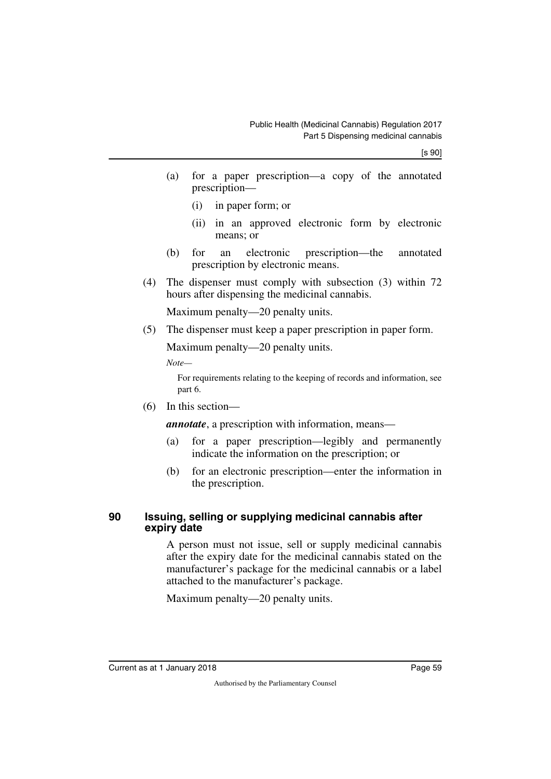- (a) for a paper prescription—a copy of the annotated prescription—
	- (i) in paper form; or
	- (ii) in an approved electronic form by electronic means; or
- (b) for an electronic prescription—the annotated prescription by electronic means.
- (4) The dispenser must comply with subsection (3) within 72 hours after dispensing the medicinal cannabis.

Maximum penalty—20 penalty units.

(5) The dispenser must keep a paper prescription in paper form.

Maximum penalty—20 penalty units.

*Note—*

For requirements relating to the keeping of records and information, see part 6.

(6) In this section—

*annotate*, a prescription with information, means—

- (a) for a paper prescription—legibly and permanently indicate the information on the prescription; or
- (b) for an electronic prescription—enter the information in the prescription.

#### **90 Issuing, selling or supplying medicinal cannabis after expiry date**

A person must not issue, sell or supply medicinal cannabis after the expiry date for the medicinal cannabis stated on the manufacturer's package for the medicinal cannabis or a label attached to the manufacturer's package.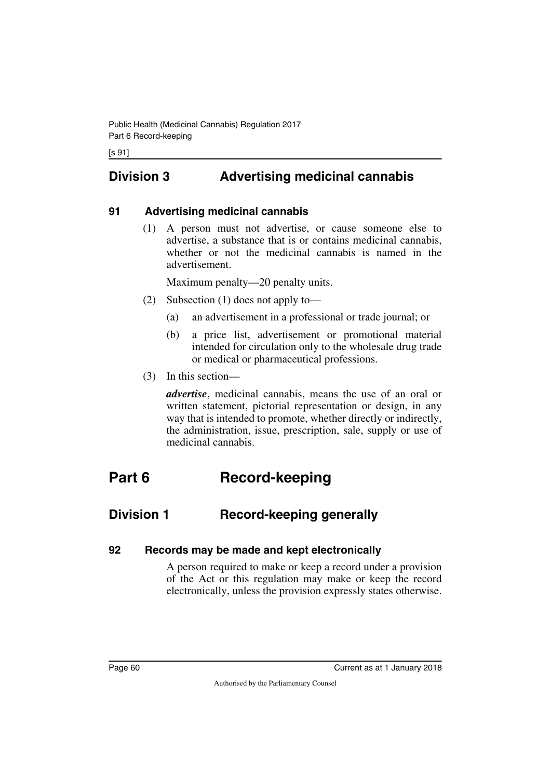# **Division 3 Advertising medicinal cannabis**

#### **91 Advertising medicinal cannabis**

(1) A person must not advertise, or cause someone else to advertise, a substance that is or contains medicinal cannabis, whether or not the medicinal cannabis is named in the advertisement.

Maximum penalty—20 penalty units.

- (2) Subsection (1) does not apply to—
	- (a) an advertisement in a professional or trade journal; or
	- (b) a price list, advertisement or promotional material intended for circulation only to the wholesale drug trade or medical or pharmaceutical professions.
- (3) In this section—

*advertise*, medicinal cannabis, means the use of an oral or written statement, pictorial representation or design, in any way that is intended to promote, whether directly or indirectly, the administration, issue, prescription, sale, supply or use of medicinal cannabis.

# **Part 6 Record-keeping**

# **Division 1 Record-keeping generally**

#### **92 Records may be made and kept electronically**

A person required to make or keep a record under a provision of the Act or this regulation may make or keep the record electronically, unless the provision expressly states otherwise.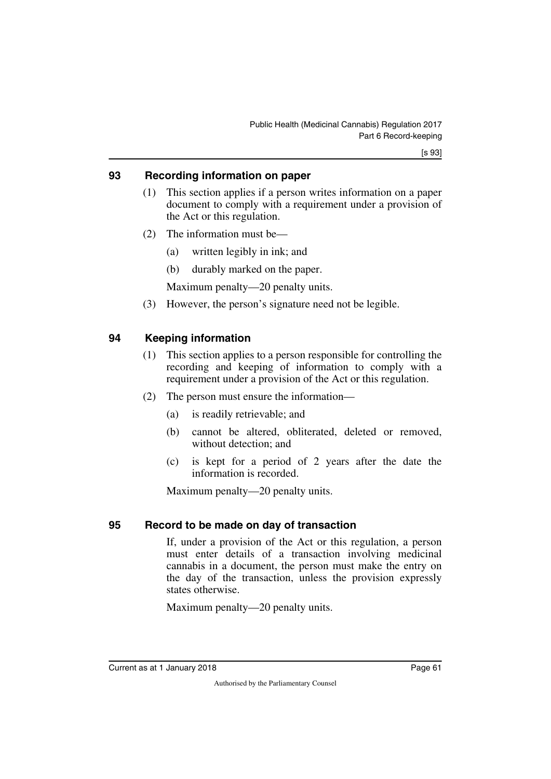#### **93 Recording information on paper**

- (1) This section applies if a person writes information on a paper document to comply with a requirement under a provision of the Act or this regulation.
- (2) The information must be—
	- (a) written legibly in ink; and
	- (b) durably marked on the paper.

Maximum penalty—20 penalty units.

(3) However, the person's signature need not be legible.

## **94 Keeping information**

- (1) This section applies to a person responsible for controlling the recording and keeping of information to comply with a requirement under a provision of the Act or this regulation.
- (2) The person must ensure the information—
	- (a) is readily retrievable; and
	- (b) cannot be altered, obliterated, deleted or removed, without detection; and
	- (c) is kept for a period of 2 years after the date the information is recorded.

Maximum penalty—20 penalty units.

#### **95 Record to be made on day of transaction**

If, under a provision of the Act or this regulation, a person must enter details of a transaction involving medicinal cannabis in a document, the person must make the entry on the day of the transaction, unless the provision expressly states otherwise.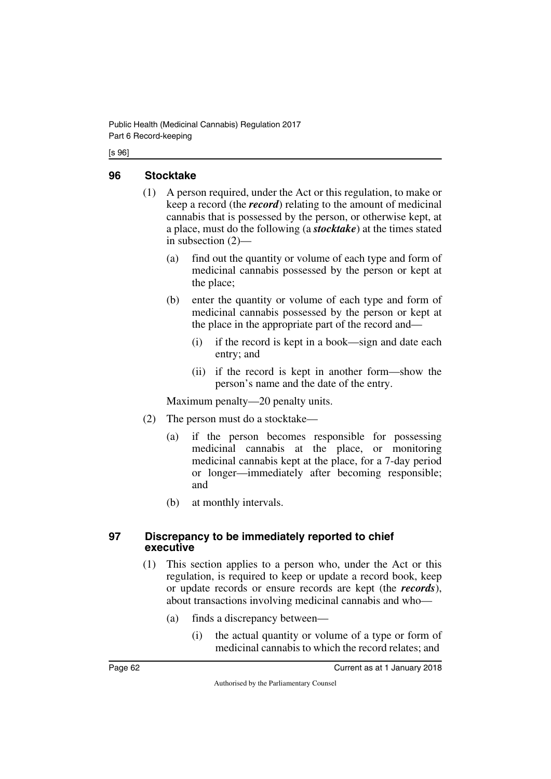#### [s 96]

#### **96 Stocktake**

- (1) A person required, under the Act or this regulation, to make or keep a record (the *record*) relating to the amount of medicinal cannabis that is possessed by the person, or otherwise kept, at a place, must do the following (a *stocktake*) at the times stated in subsection (2)—
	- (a) find out the quantity or volume of each type and form of medicinal cannabis possessed by the person or kept at the place;
	- (b) enter the quantity or volume of each type and form of medicinal cannabis possessed by the person or kept at the place in the appropriate part of the record and—
		- (i) if the record is kept in a book—sign and date each entry; and
		- (ii) if the record is kept in another form—show the person's name and the date of the entry.

Maximum penalty—20 penalty units.

- (2) The person must do a stocktake—
	- (a) if the person becomes responsible for possessing medicinal cannabis at the place, or monitoring medicinal cannabis kept at the place, for a 7-day period or longer—immediately after becoming responsible; and
	- (b) at monthly intervals.

#### **97 Discrepancy to be immediately reported to chief executive**

- (1) This section applies to a person who, under the Act or this regulation, is required to keep or update a record book, keep or update records or ensure records are kept (the *records*), about transactions involving medicinal cannabis and who—
	- (a) finds a discrepancy between—
		- (i) the actual quantity or volume of a type or form of medicinal cannabis to which the record relates; and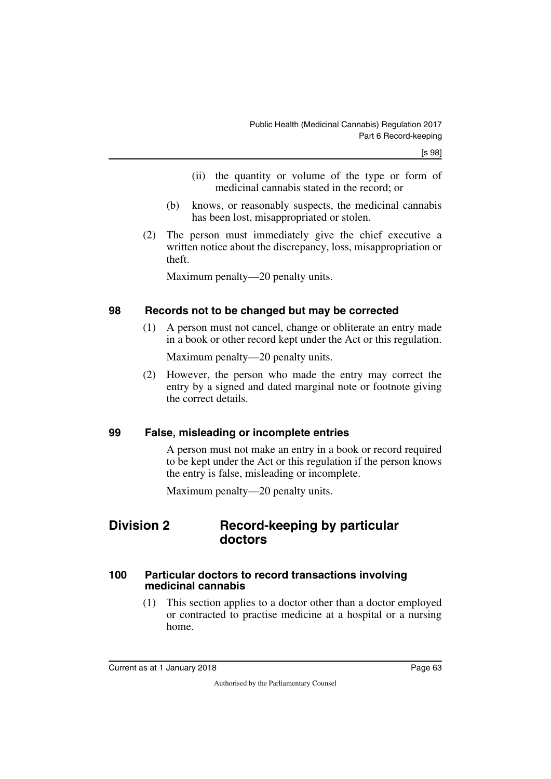- (ii) the quantity or volume of the type or form of medicinal cannabis stated in the record; or
- (b) knows, or reasonably suspects, the medicinal cannabis has been lost, misappropriated or stolen.
- (2) The person must immediately give the chief executive a written notice about the discrepancy, loss, misappropriation or theft.

Maximum penalty—20 penalty units.

#### **98 Records not to be changed but may be corrected**

(1) A person must not cancel, change or obliterate an entry made in a book or other record kept under the Act or this regulation.

Maximum penalty—20 penalty units.

(2) However, the person who made the entry may correct the entry by a signed and dated marginal note or footnote giving the correct details.

#### **99 False, misleading or incomplete entries**

A person must not make an entry in a book or record required to be kept under the Act or this regulation if the person knows the entry is false, misleading or incomplete.

Maximum penalty—20 penalty units.

## **Division 2 Record-keeping by particular doctors**

#### **100 Particular doctors to record transactions involving medicinal cannabis**

(1) This section applies to a doctor other than a doctor employed or contracted to practise medicine at a hospital or a nursing home.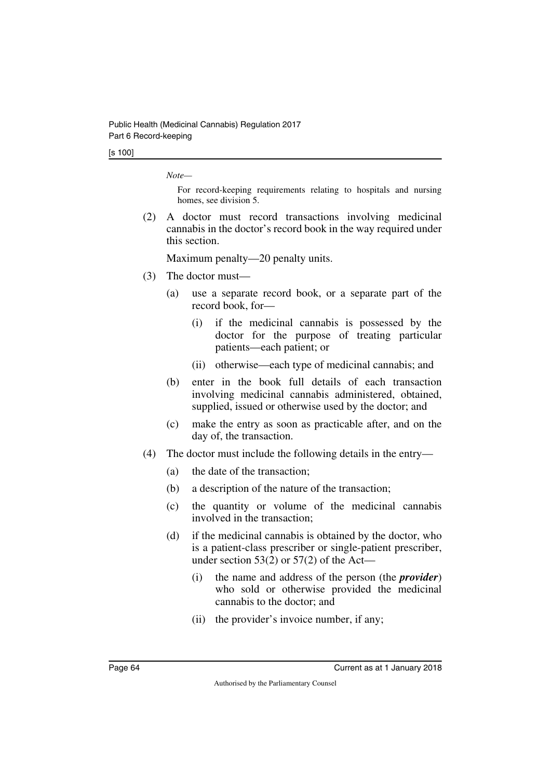#### [s 100]

*Note—*

For record-keeping requirements relating to hospitals and nursing homes, see division 5.

(2) A doctor must record transactions involving medicinal cannabis in the doctor's record book in the way required under this section.

- (3) The doctor must—
	- (a) use a separate record book, or a separate part of the record book, for—
		- (i) if the medicinal cannabis is possessed by the doctor for the purpose of treating particular patients—each patient; or
		- (ii) otherwise—each type of medicinal cannabis; and
	- (b) enter in the book full details of each transaction involving medicinal cannabis administered, obtained, supplied, issued or otherwise used by the doctor; and
	- (c) make the entry as soon as practicable after, and on the day of, the transaction.
- (4) The doctor must include the following details in the entry—
	- (a) the date of the transaction;
	- (b) a description of the nature of the transaction;
	- (c) the quantity or volume of the medicinal cannabis involved in the transaction;
	- (d) if the medicinal cannabis is obtained by the doctor, who is a patient-class prescriber or single-patient prescriber, under section  $53(2)$  or  $57(2)$  of the Act—
		- (i) the name and address of the person (the *provider*) who sold or otherwise provided the medicinal cannabis to the doctor; and
		- (ii) the provider's invoice number, if any;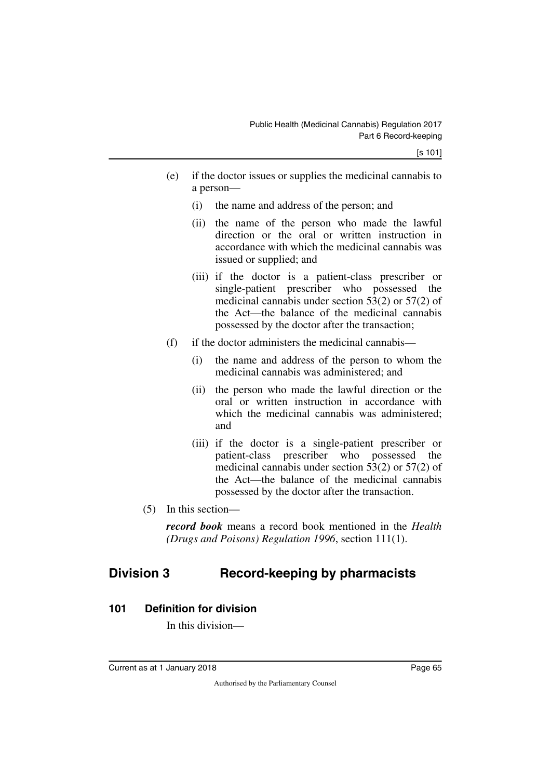- (e) if the doctor issues or supplies the medicinal cannabis to a person—
	- (i) the name and address of the person; and
	- (ii) the name of the person who made the lawful direction or the oral or written instruction in accordance with which the medicinal cannabis was issued or supplied; and
	- (iii) if the doctor is a patient-class prescriber or single-patient prescriber who possessed the medicinal cannabis under section 53(2) or 57(2) of the Act—the balance of the medicinal cannabis possessed by the doctor after the transaction;
- (f) if the doctor administers the medicinal cannabis—
	- (i) the name and address of the person to whom the medicinal cannabis was administered; and
	- (ii) the person who made the lawful direction or the oral or written instruction in accordance with which the medicinal cannabis was administered: and
	- (iii) if the doctor is a single-patient prescriber or patient-class prescriber who possessed the medicinal cannabis under section 53(2) or 57(2) of the Act—the balance of the medicinal cannabis possessed by the doctor after the transaction.
- (5) In this section—

*record book* means a record book mentioned in the *Health (Drugs and Poisons) Regulation 1996*, section 111(1).

# **Division 3 Record-keeping by pharmacists**

## **101 Definition for division**

In this division—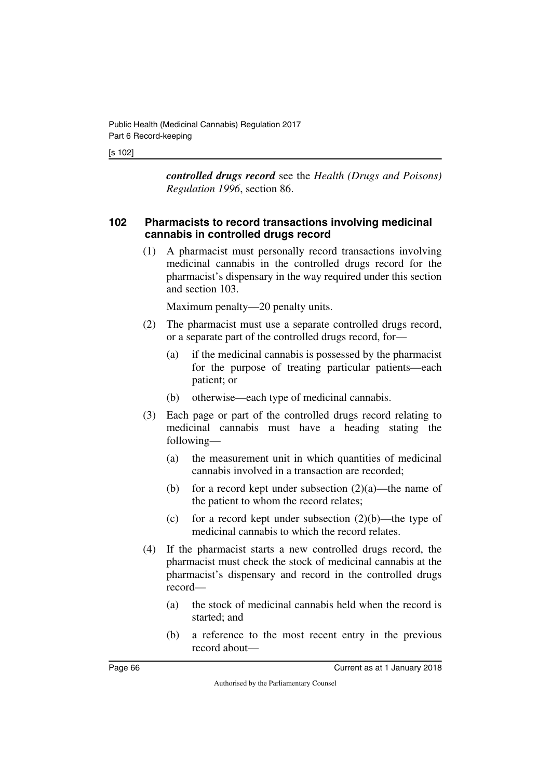#### [s 102]

*controlled drugs record* see the *Health (Drugs and Poisons) Regulation 1996*, section 86.

#### **102 Pharmacists to record transactions involving medicinal cannabis in controlled drugs record**

(1) A pharmacist must personally record transactions involving medicinal cannabis in the controlled drugs record for the pharmacist's dispensary in the way required under this section and section 103.

- (2) The pharmacist must use a separate controlled drugs record, or a separate part of the controlled drugs record, for—
	- (a) if the medicinal cannabis is possessed by the pharmacist for the purpose of treating particular patients—each patient; or
	- (b) otherwise—each type of medicinal cannabis.
- (3) Each page or part of the controlled drugs record relating to medicinal cannabis must have a heading stating the following—
	- (a) the measurement unit in which quantities of medicinal cannabis involved in a transaction are recorded;
	- (b) for a record kept under subsection  $(2)(a)$ —the name of the patient to whom the record relates;
	- (c) for a record kept under subsection  $(2)(b)$ —the type of medicinal cannabis to which the record relates.
- (4) If the pharmacist starts a new controlled drugs record, the pharmacist must check the stock of medicinal cannabis at the pharmacist's dispensary and record in the controlled drugs record—
	- (a) the stock of medicinal cannabis held when the record is started; and
	- (b) a reference to the most recent entry in the previous record about—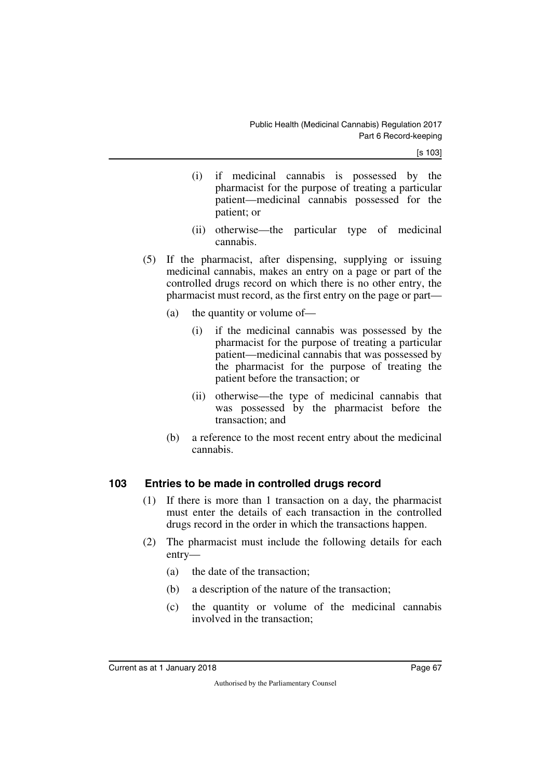[s 103]

- (i) if medicinal cannabis is possessed by the pharmacist for the purpose of treating a particular patient—medicinal cannabis possessed for the patient; or
- (ii) otherwise—the particular type of medicinal cannabis.
- (5) If the pharmacist, after dispensing, supplying or issuing medicinal cannabis, makes an entry on a page or part of the controlled drugs record on which there is no other entry, the pharmacist must record, as the first entry on the page or part—
	- (a) the quantity or volume of—
		- (i) if the medicinal cannabis was possessed by the pharmacist for the purpose of treating a particular patient—medicinal cannabis that was possessed by the pharmacist for the purpose of treating the patient before the transaction; or
		- (ii) otherwise—the type of medicinal cannabis that was possessed by the pharmacist before the transaction; and
	- (b) a reference to the most recent entry about the medicinal cannabis.

#### **103 Entries to be made in controlled drugs record**

- (1) If there is more than 1 transaction on a day, the pharmacist must enter the details of each transaction in the controlled drugs record in the order in which the transactions happen.
- (2) The pharmacist must include the following details for each entry—
	- (a) the date of the transaction;
	- (b) a description of the nature of the transaction;
	- (c) the quantity or volume of the medicinal cannabis involved in the transaction;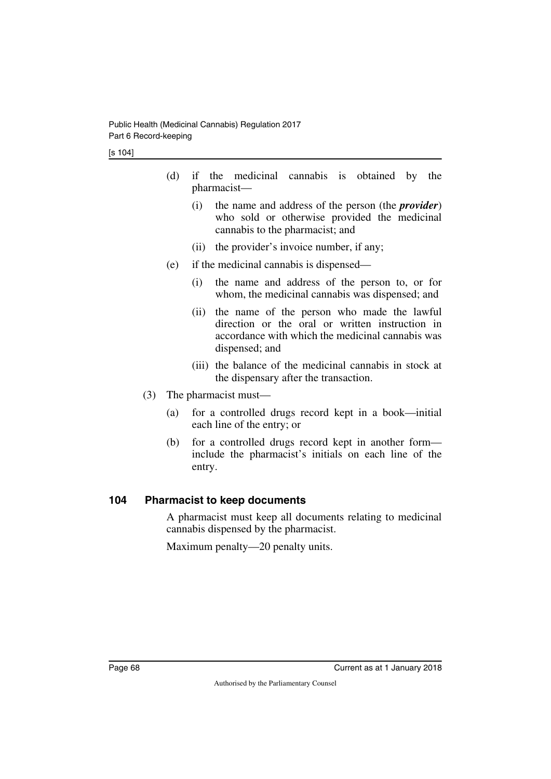- (d) if the medicinal cannabis is obtained by the pharmacist—
	- (i) the name and address of the person (the *provider*) who sold or otherwise provided the medicinal cannabis to the pharmacist; and
	- (ii) the provider's invoice number, if any;
- (e) if the medicinal cannabis is dispensed—
	- (i) the name and address of the person to, or for whom, the medicinal cannabis was dispensed; and
	- (ii) the name of the person who made the lawful direction or the oral or written instruction in accordance with which the medicinal cannabis was dispensed; and
	- (iii) the balance of the medicinal cannabis in stock at the dispensary after the transaction.
- (3) The pharmacist must—
	- (a) for a controlled drugs record kept in a book—initial each line of the entry; or
	- (b) for a controlled drugs record kept in another form include the pharmacist's initials on each line of the entry.

#### **104 Pharmacist to keep documents**

A pharmacist must keep all documents relating to medicinal cannabis dispensed by the pharmacist.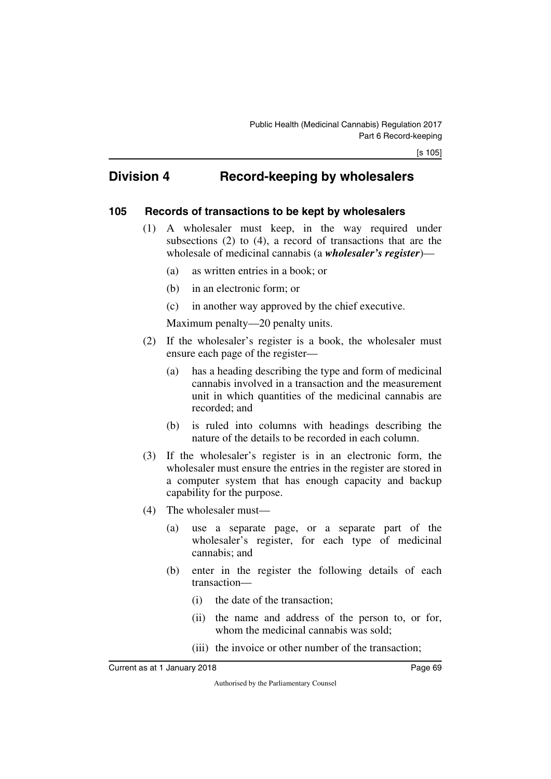## **Division 4 Record-keeping by wholesalers**

#### **105 Records of transactions to be kept by wholesalers**

- (1) A wholesaler must keep, in the way required under subsections (2) to (4), a record of transactions that are the wholesale of medicinal cannabis (a *wholesaler's register*)—
	- (a) as written entries in a book; or
	- (b) in an electronic form; or
	- (c) in another way approved by the chief executive.

- (2) If the wholesaler's register is a book, the wholesaler must ensure each page of the register—
	- (a) has a heading describing the type and form of medicinal cannabis involved in a transaction and the measurement unit in which quantities of the medicinal cannabis are recorded; and
	- (b) is ruled into columns with headings describing the nature of the details to be recorded in each column.
- (3) If the wholesaler's register is in an electronic form, the wholesaler must ensure the entries in the register are stored in a computer system that has enough capacity and backup capability for the purpose.
- (4) The wholesaler must—
	- (a) use a separate page, or a separate part of the wholesaler's register, for each type of medicinal cannabis; and
	- (b) enter in the register the following details of each transaction—
		- (i) the date of the transaction;
		- (ii) the name and address of the person to, or for, whom the medicinal cannabis was sold;
		- (iii) the invoice or other number of the transaction;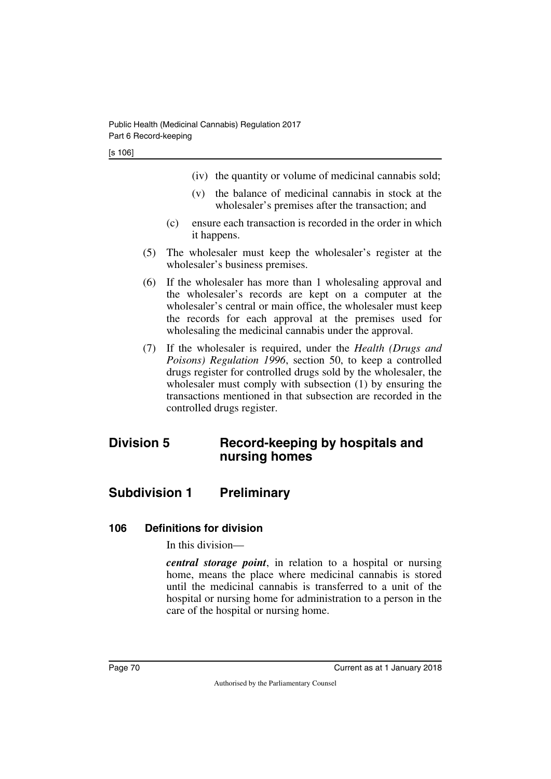- (iv) the quantity or volume of medicinal cannabis sold;
- (v) the balance of medicinal cannabis in stock at the wholesaler's premises after the transaction; and
- (c) ensure each transaction is recorded in the order in which it happens.
- (5) The wholesaler must keep the wholesaler's register at the wholesaler's business premises.
- (6) If the wholesaler has more than 1 wholesaling approval and the wholesaler's records are kept on a computer at the wholesaler's central or main office, the wholesaler must keep the records for each approval at the premises used for wholesaling the medicinal cannabis under the approval.
- (7) If the wholesaler is required, under the *Health (Drugs and Poisons) Regulation 1996*, section 50, to keep a controlled drugs register for controlled drugs sold by the wholesaler, the wholesaler must comply with subsection (1) by ensuring the transactions mentioned in that subsection are recorded in the controlled drugs register.

# **Division 5 Record-keeping by hospitals and nursing homes**

# **Subdivision 1 Preliminary**

#### **106 Definitions for division**

In this division—

*central storage point*, in relation to a hospital or nursing home, means the place where medicinal cannabis is stored until the medicinal cannabis is transferred to a unit of the hospital or nursing home for administration to a person in the care of the hospital or nursing home.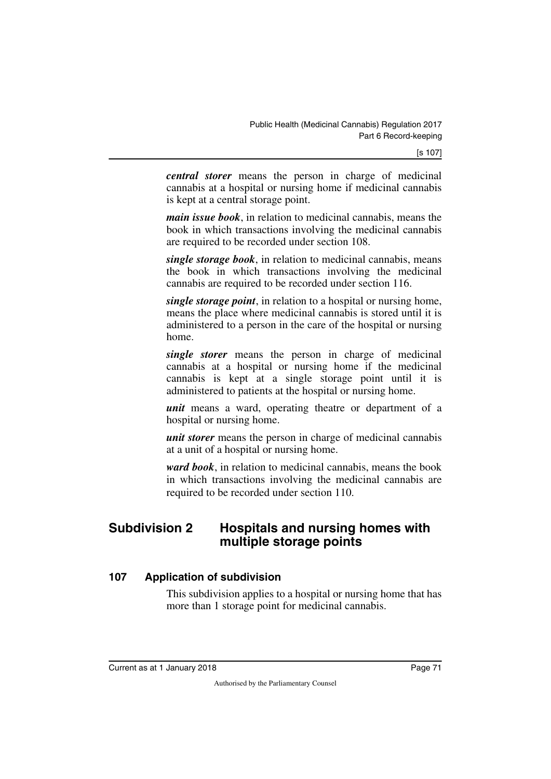*central storer* means the person in charge of medicinal cannabis at a hospital or nursing home if medicinal cannabis is kept at a central storage point.

*main issue book*, in relation to medicinal cannabis, means the book in which transactions involving the medicinal cannabis are required to be recorded under section 108.

*single storage book*, in relation to medicinal cannabis, means the book in which transactions involving the medicinal cannabis are required to be recorded under section 116.

*single storage point*, in relation to a hospital or nursing home, means the place where medicinal cannabis is stored until it is administered to a person in the care of the hospital or nursing home.

*single storer* means the person in charge of medicinal cannabis at a hospital or nursing home if the medicinal cannabis is kept at a single storage point until it is administered to patients at the hospital or nursing home.

*unit* means a ward, operating theatre or department of a hospital or nursing home.

*unit storer* means the person in charge of medicinal cannabis at a unit of a hospital or nursing home.

*ward book*, in relation to medicinal cannabis, means the book in which transactions involving the medicinal cannabis are required to be recorded under section 110.

## **Subdivision 2 Hospitals and nursing homes with multiple storage points**

#### **107 Application of subdivision**

This subdivision applies to a hospital or nursing home that has more than 1 storage point for medicinal cannabis.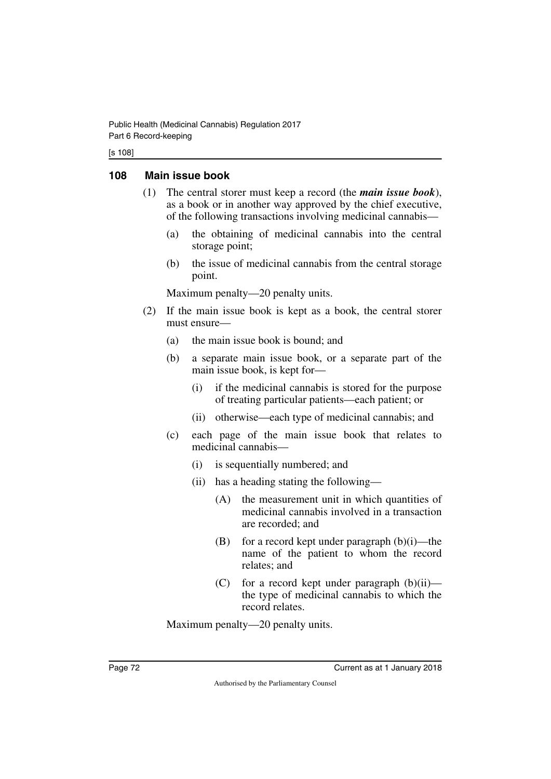#### [s 108]

### **108 Main issue book**

- (1) The central storer must keep a record (the *main issue book*), as a book or in another way approved by the chief executive, of the following transactions involving medicinal cannabis—
	- (a) the obtaining of medicinal cannabis into the central storage point;
	- (b) the issue of medicinal cannabis from the central storage point.

Maximum penalty—20 penalty units.

- (2) If the main issue book is kept as a book, the central storer must ensure—
	- (a) the main issue book is bound; and
	- (b) a separate main issue book, or a separate part of the main issue book, is kept for—
		- (i) if the medicinal cannabis is stored for the purpose of treating particular patients—each patient; or
		- (ii) otherwise—each type of medicinal cannabis; and
	- (c) each page of the main issue book that relates to medicinal cannabis—
		- (i) is sequentially numbered; and
		- (ii) has a heading stating the following—
			- (A) the measurement unit in which quantities of medicinal cannabis involved in a transaction are recorded; and
			- (B) for a record kept under paragraph  $(b)(i)$ —the name of the patient to whom the record relates; and
			- (C) for a record kept under paragraph  $(b)(ii)$  the type of medicinal cannabis to which the record relates.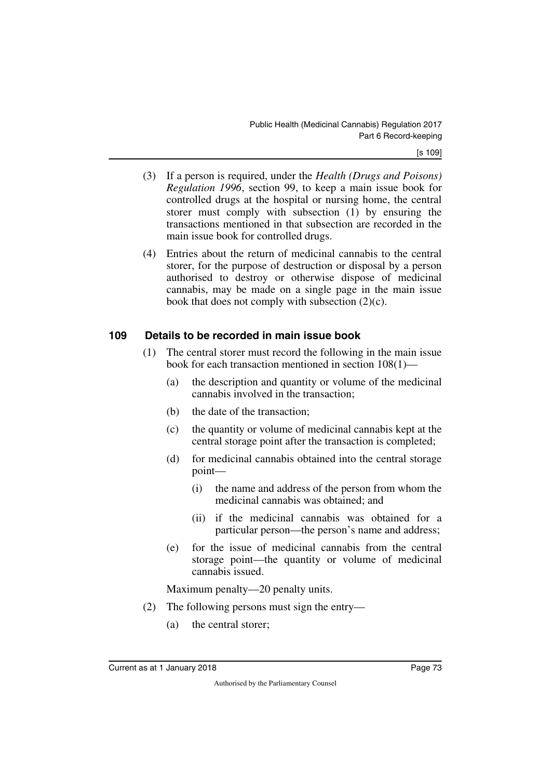- (3) If a person is required, under the *Health (Drugs and Poisons) Regulation 1996*, section 99, to keep a main issue book for controlled drugs at the hospital or nursing home, the central storer must comply with subsection (1) by ensuring the transactions mentioned in that subsection are recorded in the main issue book for controlled drugs.
- (4) Entries about the return of medicinal cannabis to the central storer, for the purpose of destruction or disposal by a person authorised to destroy or otherwise dispose of medicinal cannabis, may be made on a single page in the main issue book that does not comply with subsection (2)(c).

### **109 Details to be recorded in main issue book**

- (1) The central storer must record the following in the main issue book for each transaction mentioned in section 108(1)—
	- (a) the description and quantity or volume of the medicinal cannabis involved in the transaction;
	- (b) the date of the transaction;
	- (c) the quantity or volume of medicinal cannabis kept at the central storage point after the transaction is completed;
	- (d) for medicinal cannabis obtained into the central storage point—
		- (i) the name and address of the person from whom the medicinal cannabis was obtained; and
		- (ii) if the medicinal cannabis was obtained for a particular person—the person's name and address;
	- (e) for the issue of medicinal cannabis from the central storage point—the quantity or volume of medicinal cannabis issued.

- (2) The following persons must sign the entry—
	- (a) the central storer;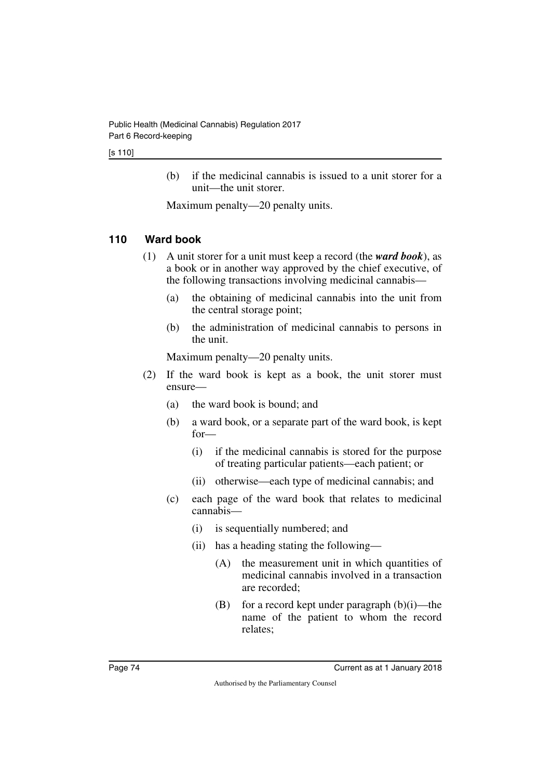#### [s 110]

(b) if the medicinal cannabis is issued to a unit storer for a unit—the unit storer.

Maximum penalty—20 penalty units.

## **110 Ward book**

- (1) A unit storer for a unit must keep a record (the *ward book*), as a book or in another way approved by the chief executive, of the following transactions involving medicinal cannabis—
	- (a) the obtaining of medicinal cannabis into the unit from the central storage point;
	- (b) the administration of medicinal cannabis to persons in the unit.

- (2) If the ward book is kept as a book, the unit storer must ensure—
	- (a) the ward book is bound; and
	- (b) a ward book, or a separate part of the ward book, is kept for—
		- (i) if the medicinal cannabis is stored for the purpose of treating particular patients—each patient; or
		- (ii) otherwise—each type of medicinal cannabis; and
	- (c) each page of the ward book that relates to medicinal cannabis—
		- (i) is sequentially numbered; and
		- (ii) has a heading stating the following—
			- (A) the measurement unit in which quantities of medicinal cannabis involved in a transaction are recorded;
			- (B) for a record kept under paragraph  $(b)(i)$ —the name of the patient to whom the record relates;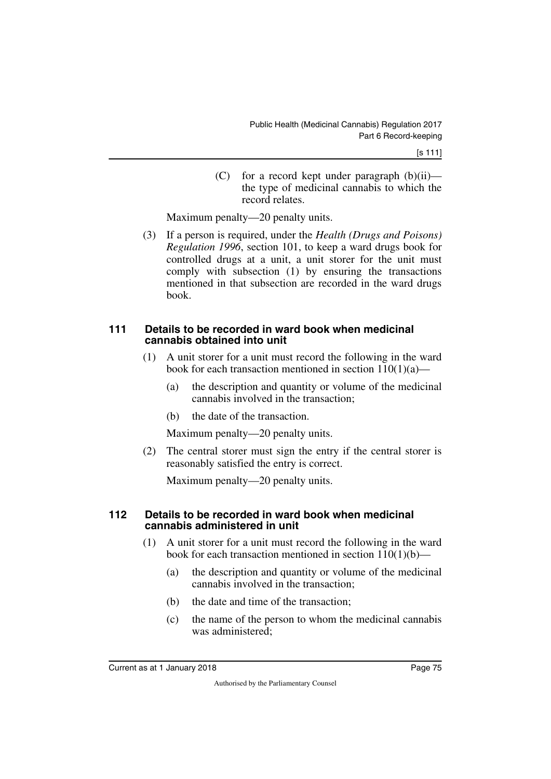(C) for a record kept under paragraph  $(b)(ii)$  the type of medicinal cannabis to which the record relates.

Maximum penalty—20 penalty units.

(3) If a person is required, under the *Health (Drugs and Poisons) Regulation 1996*, section 101, to keep a ward drugs book for controlled drugs at a unit, a unit storer for the unit must comply with subsection (1) by ensuring the transactions mentioned in that subsection are recorded in the ward drugs book.

#### **111 Details to be recorded in ward book when medicinal cannabis obtained into unit**

- (1) A unit storer for a unit must record the following in the ward book for each transaction mentioned in section  $110(1)(a)$ —
	- (a) the description and quantity or volume of the medicinal cannabis involved in the transaction;
	- (b) the date of the transaction.

Maximum penalty—20 penalty units.

(2) The central storer must sign the entry if the central storer is reasonably satisfied the entry is correct.

Maximum penalty—20 penalty units.

#### **112 Details to be recorded in ward book when medicinal cannabis administered in unit**

- (1) A unit storer for a unit must record the following in the ward book for each transaction mentioned in section  $110(1)(b)$ —
	- (a) the description and quantity or volume of the medicinal cannabis involved in the transaction;
	- (b) the date and time of the transaction;
	- (c) the name of the person to whom the medicinal cannabis was administered;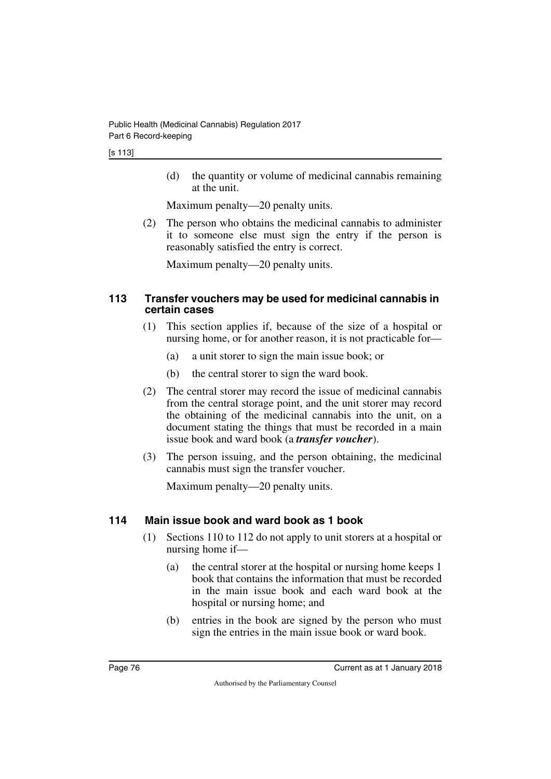(d) the quantity or volume of medicinal cannabis remaining at the unit.

Maximum penalty—20 penalty units.

(2) The person who obtains the medicinal cannabis to administer it to someone else must sign the entry if the person is reasonably satisfied the entry is correct.

Maximum penalty—20 penalty units.

#### **113 Transfer vouchers may be used for medicinal cannabis in certain cases**

- (1) This section applies if, because of the size of a hospital or nursing home, or for another reason, it is not practicable for—
	- (a) a unit storer to sign the main issue book; or
	- (b) the central storer to sign the ward book.
- (2) The central storer may record the issue of medicinal cannabis from the central storage point, and the unit storer may record the obtaining of the medicinal cannabis into the unit, on a document stating the things that must be recorded in a main issue book and ward book (a *transfer voucher*).
- (3) The person issuing, and the person obtaining, the medicinal cannabis must sign the transfer voucher.

Maximum penalty—20 penalty units.

## **114 Main issue book and ward book as 1 book**

- (1) Sections 110 to 112 do not apply to unit storers at a hospital or nursing home if—
	- (a) the central storer at the hospital or nursing home keeps 1 book that contains the information that must be recorded in the main issue book and each ward book at the hospital or nursing home; and
	- (b) entries in the book are signed by the person who must sign the entries in the main issue book or ward book.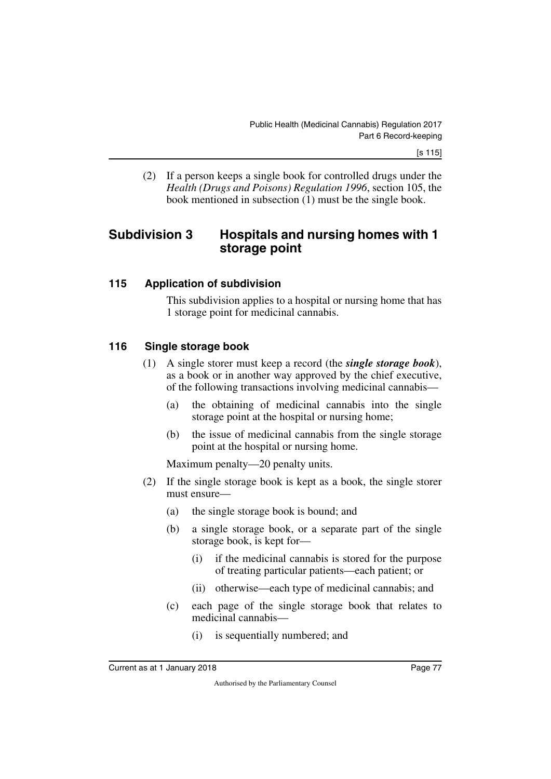(2) If a person keeps a single book for controlled drugs under the *Health (Drugs and Poisons) Regulation 1996*, section 105, the book mentioned in subsection (1) must be the single book.

## **Subdivision 3 Hospitals and nursing homes with 1 storage point**

### **115 Application of subdivision**

This subdivision applies to a hospital or nursing home that has 1 storage point for medicinal cannabis.

## **116 Single storage book**

- (1) A single storer must keep a record (the *single storage book*), as a book or in another way approved by the chief executive, of the following transactions involving medicinal cannabis—
	- (a) the obtaining of medicinal cannabis into the single storage point at the hospital or nursing home;
	- (b) the issue of medicinal cannabis from the single storage point at the hospital or nursing home.

- (2) If the single storage book is kept as a book, the single storer must ensure—
	- (a) the single storage book is bound; and
	- (b) a single storage book, or a separate part of the single storage book, is kept for—
		- (i) if the medicinal cannabis is stored for the purpose of treating particular patients—each patient; or
		- (ii) otherwise—each type of medicinal cannabis; and
	- (c) each page of the single storage book that relates to medicinal cannabis—
		- (i) is sequentially numbered; and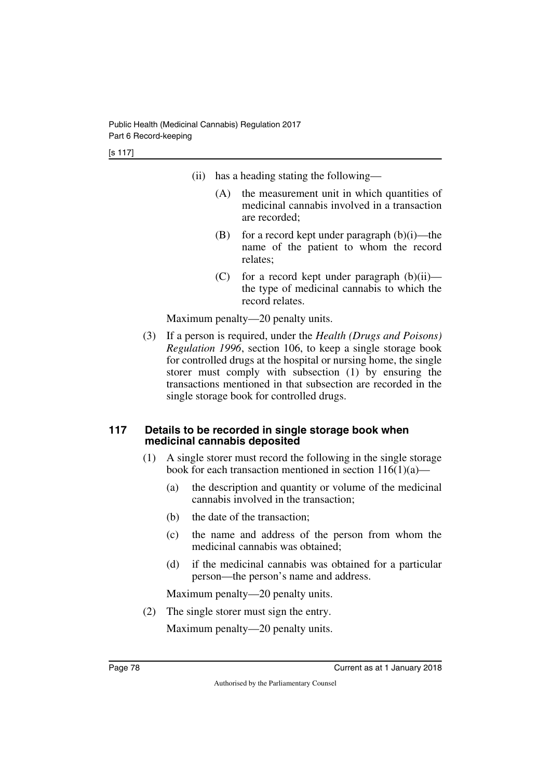[s 117]

- (ii) has a heading stating the following—
	- (A) the measurement unit in which quantities of medicinal cannabis involved in a transaction are recorded;
	- (B) for a record kept under paragraph  $(b)(i)$ —the name of the patient to whom the record relates;
	- (C) for a record kept under paragraph  $(b)(ii)$  the type of medicinal cannabis to which the record relates.

Maximum penalty—20 penalty units.

(3) If a person is required, under the *Health (Drugs and Poisons) Regulation 1996*, section 106, to keep a single storage book for controlled drugs at the hospital or nursing home, the single storer must comply with subsection (1) by ensuring the transactions mentioned in that subsection are recorded in the single storage book for controlled drugs.

#### **117 Details to be recorded in single storage book when medicinal cannabis deposited**

- (1) A single storer must record the following in the single storage book for each transaction mentioned in section  $116(1)(a)$ —
	- (a) the description and quantity or volume of the medicinal cannabis involved in the transaction;
	- (b) the date of the transaction;
	- (c) the name and address of the person from whom the medicinal cannabis was obtained;
	- (d) if the medicinal cannabis was obtained for a particular person—the person's name and address.

Maximum penalty—20 penalty units.

(2) The single storer must sign the entry.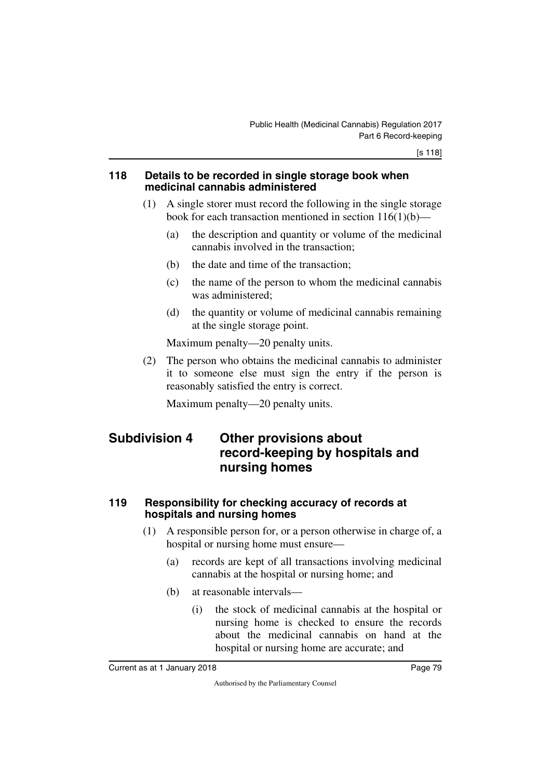#### **118 Details to be recorded in single storage book when medicinal cannabis administered**

- (1) A single storer must record the following in the single storage book for each transaction mentioned in section 116(1)(b)—
	- (a) the description and quantity or volume of the medicinal cannabis involved in the transaction;
	- (b) the date and time of the transaction;
	- (c) the name of the person to whom the medicinal cannabis was administered;
	- (d) the quantity or volume of medicinal cannabis remaining at the single storage point.

Maximum penalty—20 penalty units.

(2) The person who obtains the medicinal cannabis to administer it to someone else must sign the entry if the person is reasonably satisfied the entry is correct.

Maximum penalty—20 penalty units.

## **Subdivision 4 Other provisions about record-keeping by hospitals and nursing homes**

#### **119 Responsibility for checking accuracy of records at hospitals and nursing homes**

- (1) A responsible person for, or a person otherwise in charge of, a hospital or nursing home must ensure—
	- (a) records are kept of all transactions involving medicinal cannabis at the hospital or nursing home; and
	- (b) at reasonable intervals—
		- (i) the stock of medicinal cannabis at the hospital or nursing home is checked to ensure the records about the medicinal cannabis on hand at the hospital or nursing home are accurate; and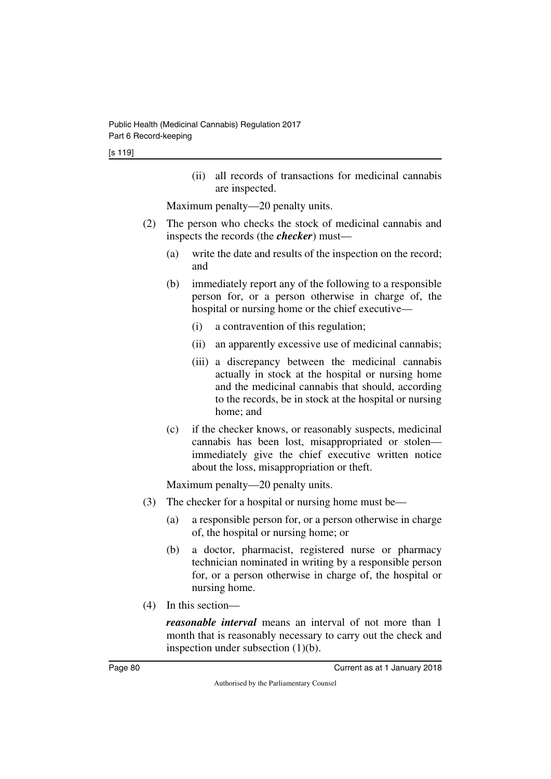(ii) all records of transactions for medicinal cannabis are inspected.

Maximum penalty—20 penalty units.

- (2) The person who checks the stock of medicinal cannabis and inspects the records (the *checker*) must—
	- (a) write the date and results of the inspection on the record; and
	- (b) immediately report any of the following to a responsible person for, or a person otherwise in charge of, the hospital or nursing home or the chief executive—
		- (i) a contravention of this regulation;
		- (ii) an apparently excessive use of medicinal cannabis;
		- (iii) a discrepancy between the medicinal cannabis actually in stock at the hospital or nursing home and the medicinal cannabis that should, according to the records, be in stock at the hospital or nursing home; and
	- (c) if the checker knows, or reasonably suspects, medicinal cannabis has been lost, misappropriated or stolen immediately give the chief executive written notice about the loss, misappropriation or theft.

Maximum penalty—20 penalty units.

- (3) The checker for a hospital or nursing home must be—
	- (a) a responsible person for, or a person otherwise in charge of, the hospital or nursing home; or
	- (b) a doctor, pharmacist, registered nurse or pharmacy technician nominated in writing by a responsible person for, or a person otherwise in charge of, the hospital or nursing home.
- (4) In this section—

*reasonable interval* means an interval of not more than 1 month that is reasonably necessary to carry out the check and inspection under subsection (1)(b).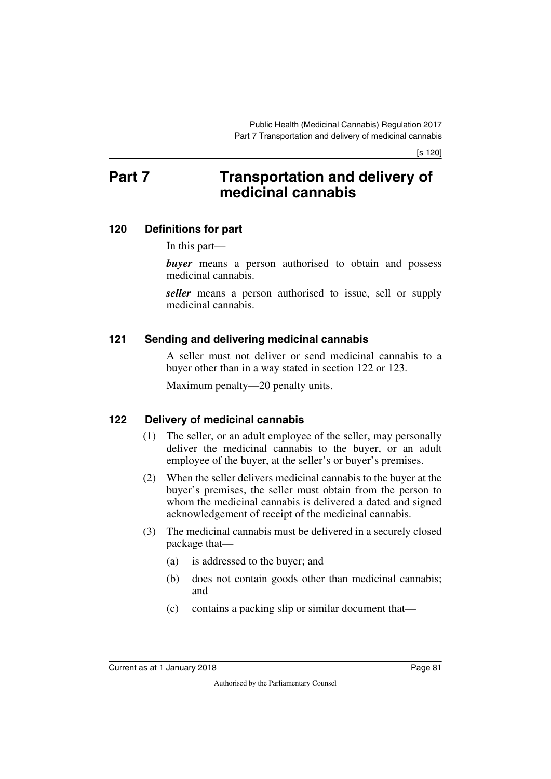# **Part 7** Transportation and delivery of **medicinal cannabis**

#### **120 Definitions for part**

In this part—

**buyer** means a person authorised to obtain and possess medicinal cannabis.

*seller* means a person authorised to issue, sell or supply medicinal cannabis.

#### **121 Sending and delivering medicinal cannabis**

A seller must not deliver or send medicinal cannabis to a buyer other than in a way stated in section 122 or 123.

Maximum penalty—20 penalty units.

#### **122 Delivery of medicinal cannabis**

- (1) The seller, or an adult employee of the seller, may personally deliver the medicinal cannabis to the buyer, or an adult employee of the buyer, at the seller's or buyer's premises.
- (2) When the seller delivers medicinal cannabis to the buyer at the buyer's premises, the seller must obtain from the person to whom the medicinal cannabis is delivered a dated and signed acknowledgement of receipt of the medicinal cannabis.
- (3) The medicinal cannabis must be delivered in a securely closed package that—
	- (a) is addressed to the buyer; and
	- (b) does not contain goods other than medicinal cannabis; and
	- (c) contains a packing slip or similar document that—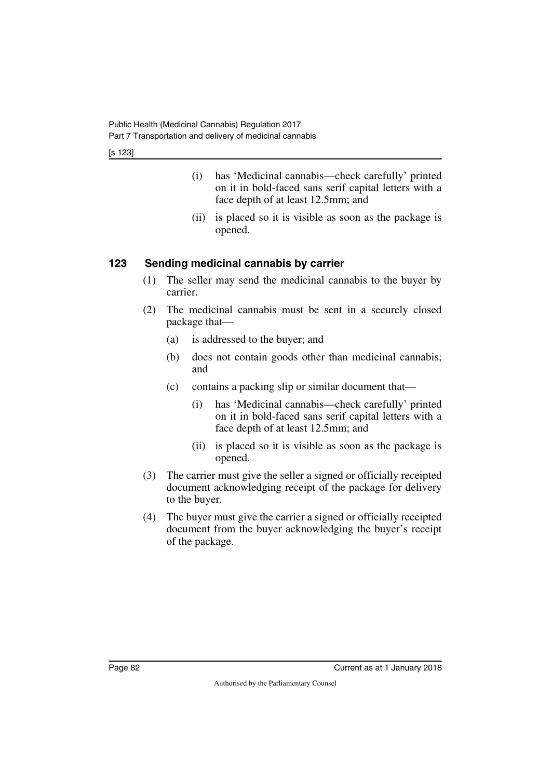[s 123]

- (i) has 'Medicinal cannabis—check carefully' printed on it in bold-faced sans serif capital letters with a face depth of at least 12.5mm; and
- (ii) is placed so it is visible as soon as the package is opened.

## **123 Sending medicinal cannabis by carrier**

- (1) The seller may send the medicinal cannabis to the buyer by carrier.
- (2) The medicinal cannabis must be sent in a securely closed package that—
	- (a) is addressed to the buyer; and
	- (b) does not contain goods other than medicinal cannabis; and
	- (c) contains a packing slip or similar document that—
		- (i) has 'Medicinal cannabis—check carefully' printed on it in bold-faced sans serif capital letters with a face depth of at least 12.5mm; and
		- (ii) is placed so it is visible as soon as the package is opened.
- (3) The carrier must give the seller a signed or officially receipted document acknowledging receipt of the package for delivery to the buyer.
- (4) The buyer must give the carrier a signed or officially receipted document from the buyer acknowledging the buyer's receipt of the package.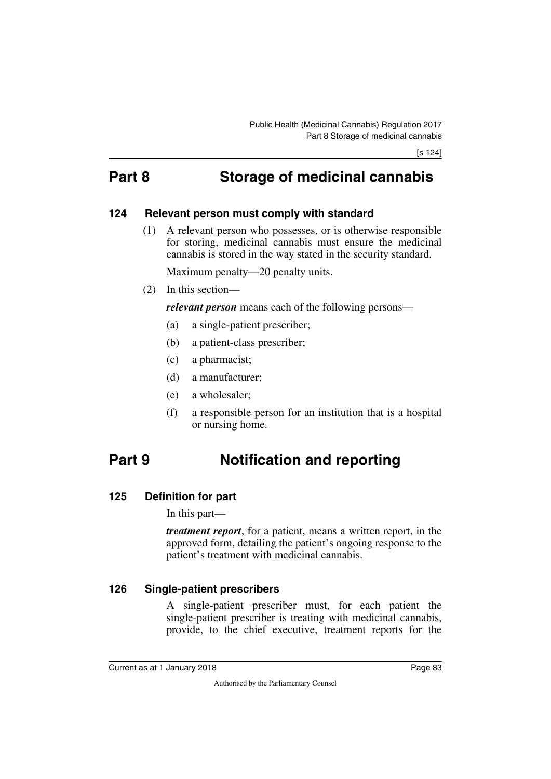# **Part 8 Storage of medicinal cannabis**

#### **124 Relevant person must comply with standard**

(1) A relevant person who possesses, or is otherwise responsible for storing, medicinal cannabis must ensure the medicinal cannabis is stored in the way stated in the security standard.

Maximum penalty—20 penalty units.

(2) In this section—

*relevant person* means each of the following persons—

- (a) a single-patient prescriber;
- (b) a patient-class prescriber;
- (c) a pharmacist;
- (d) a manufacturer;
- (e) a wholesaler;
- (f) a responsible person for an institution that is a hospital or nursing home.

# **Part 9 Notification and reporting**

#### **125 Definition for part**

In this part—

*treatment report*, for a patient, means a written report, in the approved form, detailing the patient's ongoing response to the patient's treatment with medicinal cannabis.

#### **126 Single-patient prescribers**

A single-patient prescriber must, for each patient the single-patient prescriber is treating with medicinal cannabis, provide, to the chief executive, treatment reports for the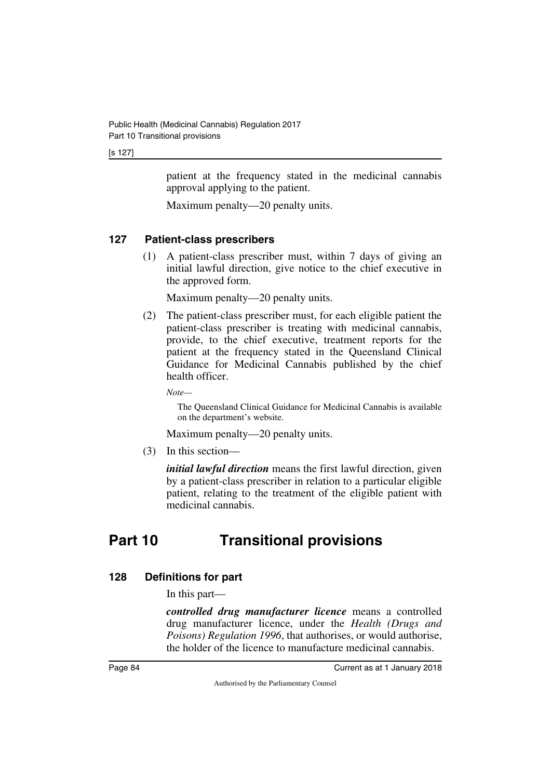#### [s 127]

patient at the frequency stated in the medicinal cannabis approval applying to the patient.

Maximum penalty—20 penalty units.

### **127 Patient-class prescribers**

(1) A patient-class prescriber must, within 7 days of giving an initial lawful direction, give notice to the chief executive in the approved form.

Maximum penalty—20 penalty units.

(2) The patient-class prescriber must, for each eligible patient the patient-class prescriber is treating with medicinal cannabis, provide, to the chief executive, treatment reports for the patient at the frequency stated in the Queensland Clinical Guidance for Medicinal Cannabis published by the chief health officer.

*Note—*

The Queensland Clinical Guidance for Medicinal Cannabis is available on the department's website.

Maximum penalty—20 penalty units.

(3) In this section—

*initial lawful direction* means the first lawful direction, given by a patient-class prescriber in relation to a particular eligible patient, relating to the treatment of the eligible patient with medicinal cannabis.

# **Part 10 Transitional provisions**

## **128 Definitions for part**

In this part—

*controlled drug manufacturer licence* means a controlled drug manufacturer licence, under the *Health (Drugs and Poisons) Regulation 1996*, that authorises, or would authorise, the holder of the licence to manufacture medicinal cannabis.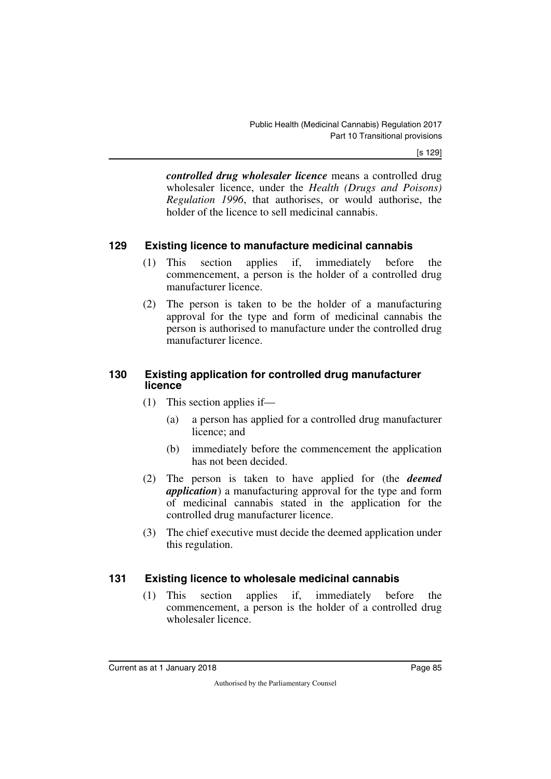[s 129]

*controlled drug wholesaler licence* means a controlled drug wholesaler licence, under the *Health (Drugs and Poisons) Regulation 1996*, that authorises, or would authorise, the holder of the licence to sell medicinal cannabis.

#### **129 Existing licence to manufacture medicinal cannabis**

- (1) This section applies if, immediately before the commencement, a person is the holder of a controlled drug manufacturer licence.
- (2) The person is taken to be the holder of a manufacturing approval for the type and form of medicinal cannabis the person is authorised to manufacture under the controlled drug manufacturer licence.

#### **130 Existing application for controlled drug manufacturer licence**

- (1) This section applies if—
	- (a) a person has applied for a controlled drug manufacturer licence; and
	- (b) immediately before the commencement the application has not been decided.
- (2) The person is taken to have applied for (the *deemed application*) a manufacturing approval for the type and form of medicinal cannabis stated in the application for the controlled drug manufacturer licence.
- (3) The chief executive must decide the deemed application under this regulation.

#### **131 Existing licence to wholesale medicinal cannabis**

(1) This section applies if, immediately before the commencement, a person is the holder of a controlled drug wholesaler licence.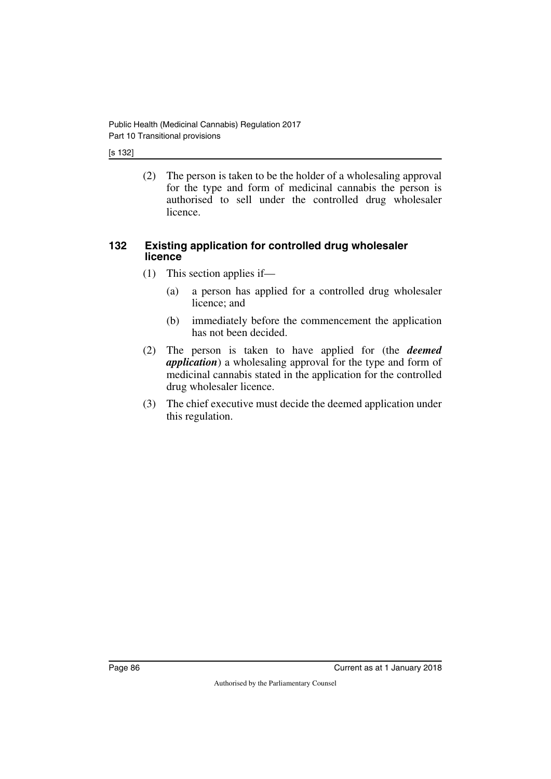#### [s 132]

(2) The person is taken to be the holder of a wholesaling approval for the type and form of medicinal cannabis the person is authorised to sell under the controlled drug wholesaler licence.

#### **132 Existing application for controlled drug wholesaler licence**

- (1) This section applies if—
	- (a) a person has applied for a controlled drug wholesaler licence; and
	- (b) immediately before the commencement the application has not been decided.
- (2) The person is taken to have applied for (the *deemed application*) a wholesaling approval for the type and form of medicinal cannabis stated in the application for the controlled drug wholesaler licence.
- (3) The chief executive must decide the deemed application under this regulation.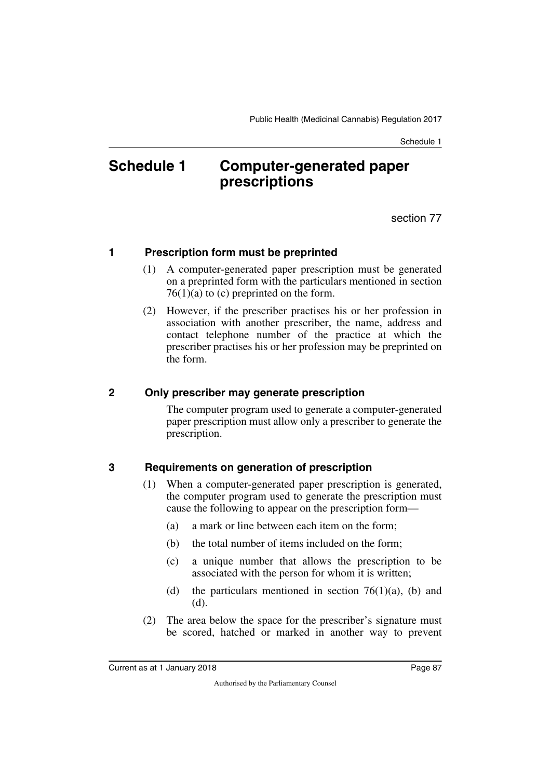# **Schedule 1 Computer-generated paper prescriptions**

section 77

#### **1 Prescription form must be preprinted**

- (1) A computer-generated paper prescription must be generated on a preprinted form with the particulars mentioned in section  $76(1)(a)$  to (c) preprinted on the form.
- (2) However, if the prescriber practises his or her profession in association with another prescriber, the name, address and contact telephone number of the practice at which the prescriber practises his or her profession may be preprinted on the form.

#### **2 Only prescriber may generate prescription**

The computer program used to generate a computer-generated paper prescription must allow only a prescriber to generate the prescription.

## **3 Requirements on generation of prescription**

- (1) When a computer-generated paper prescription is generated, the computer program used to generate the prescription must cause the following to appear on the prescription form—
	- (a) a mark or line between each item on the form;
	- (b) the total number of items included on the form;
	- (c) a unique number that allows the prescription to be associated with the person for whom it is written;
	- (d) the particulars mentioned in section  $76(1)(a)$ , (b) and (d).
- (2) The area below the space for the prescriber's signature must be scored, hatched or marked in another way to prevent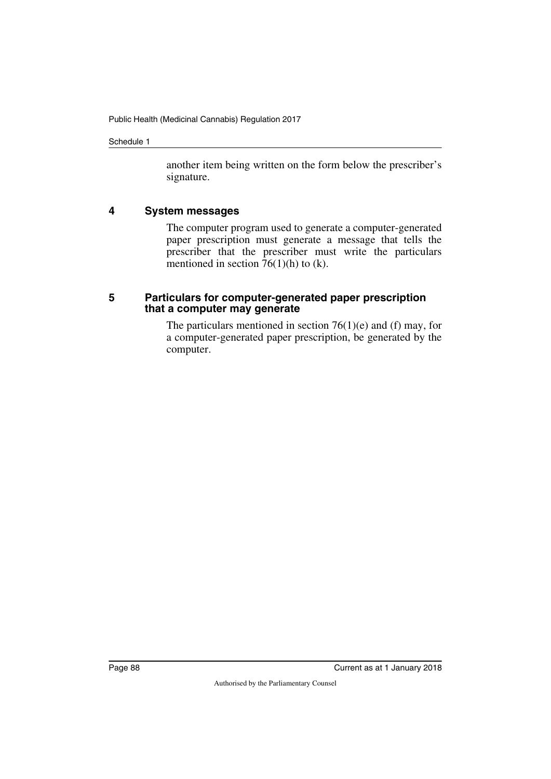another item being written on the form below the prescriber's signature.

#### **4 System messages**

The computer program used to generate a computer-generated paper prescription must generate a message that tells the prescriber that the prescriber must write the particulars mentioned in section  $76(1)(h)$  to (k).

#### **5 Particulars for computer-generated paper prescription that a computer may generate**

The particulars mentioned in section  $76(1)(e)$  and (f) may, for a computer-generated paper prescription, be generated by the computer.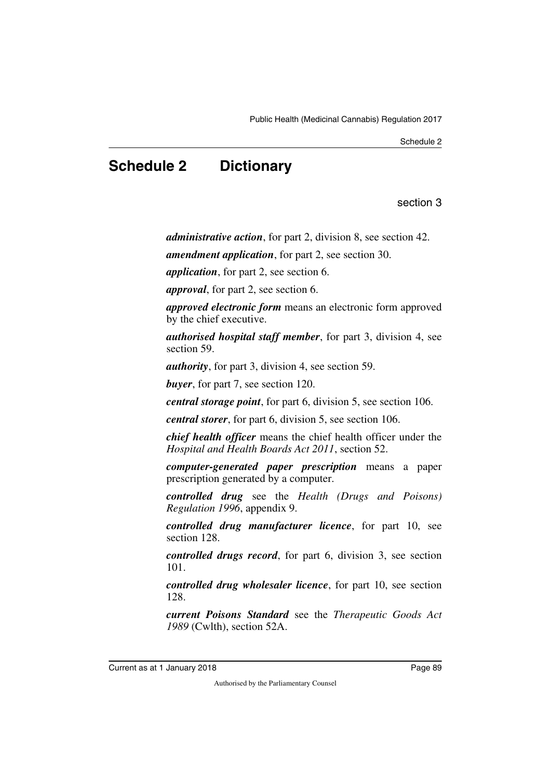# **Schedule 2 Dictionary**

section 3

*administrative action*, for part 2, division 8, see section 42.

*amendment application*, for part 2, see section 30.

*application*, for part 2, see section 6.

*approval*, for part 2, see section 6.

*approved electronic form* means an electronic form approved by the chief executive.

*authorised hospital staff member*, for part 3, division 4, see section 59.

*authority*, for part 3, division 4, see section 59.

*buyer*, for part 7, see section 120.

*central storage point*, for part 6, division 5, see section 106.

*central storer*, for part 6, division 5, see section 106.

*chief health officer* means the chief health officer under the *Hospital and Health Boards Act 2011*, section 52.

*computer-generated paper prescription* means a paper prescription generated by a computer.

*controlled drug* see the *Health (Drugs and Poisons) Regulation 1996*, appendix 9.

*controlled drug manufacturer licence*, for part 10, see section 128.

*controlled drugs record*, for part 6, division 3, see section 101.

*controlled drug wholesaler licence*, for part 10, see section 128.

*current Poisons Standard* see the *Therapeutic Goods Act 1989* (Cwlth), section 52A.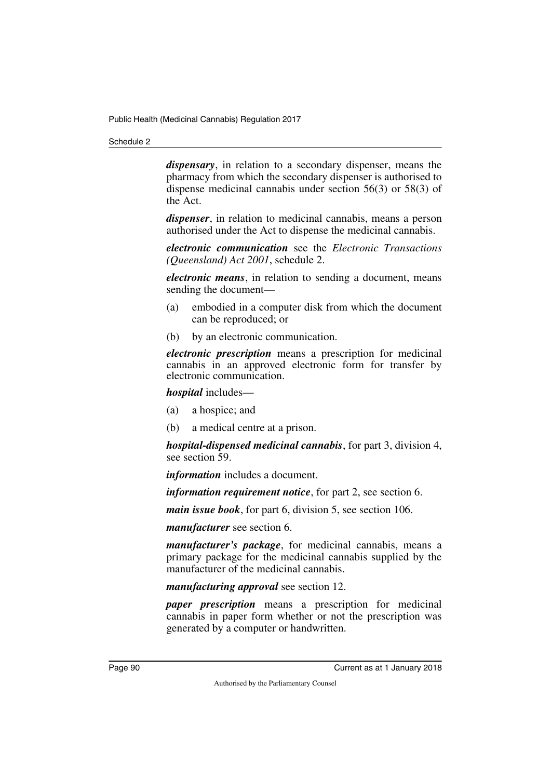*dispensary*, in relation to a secondary dispenser, means the pharmacy from which the secondary dispenser is authorised to dispense medicinal cannabis under section 56(3) or 58(3) of the Act.

*dispenser*, in relation to medicinal cannabis, means a person authorised under the Act to dispense the medicinal cannabis.

*electronic communication* see the *Electronic Transactions (Queensland) Act 2001*, schedule 2.

*electronic means*, in relation to sending a document, means sending the document—

- (a) embodied in a computer disk from which the document can be reproduced; or
- (b) by an electronic communication.

*electronic prescription* means a prescription for medicinal cannabis in an approved electronic form for transfer by electronic communication.

*hospital* includes—

- (a) a hospice; and
- (b) a medical centre at a prison.

*hospital-dispensed medicinal cannabis*, for part 3, division 4, see section 59.

*information* includes a document.

*information requirement notice*, for part 2, see section 6.

*main issue book*, for part 6, division 5, see section 106.

*manufacturer* see section 6.

*manufacturer's package*, for medicinal cannabis, means a primary package for the medicinal cannabis supplied by the manufacturer of the medicinal cannabis.

*manufacturing approval* see section 12.

*paper prescription* means a prescription for medicinal cannabis in paper form whether or not the prescription was generated by a computer or handwritten.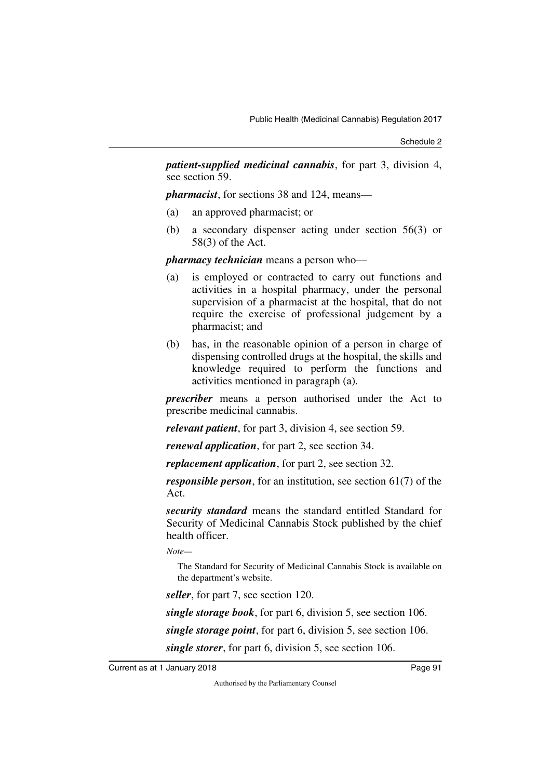*patient-supplied medicinal cannabis*, for part 3, division 4, see section 59.

*pharmacist*, for sections 38 and 124, means—

- (a) an approved pharmacist; or
- (b) a secondary dispenser acting under section 56(3) or 58(3) of the Act.

*pharmacy technician* means a person who—

- (a) is employed or contracted to carry out functions and activities in a hospital pharmacy, under the personal supervision of a pharmacist at the hospital, that do not require the exercise of professional judgement by a pharmacist; and
- (b) has, in the reasonable opinion of a person in charge of dispensing controlled drugs at the hospital, the skills and knowledge required to perform the functions and activities mentioned in paragraph (a).

*prescriber* means a person authorised under the Act to prescribe medicinal cannabis.

*relevant patient*, for part 3, division 4, see section 59.

*renewal application*, for part 2, see section 34.

*replacement application*, for part 2, see section 32.

*responsible person*, for an institution, see section 61(7) of the Act.

*security standard* means the standard entitled Standard for Security of Medicinal Cannabis Stock published by the chief health officer.

*Note—*

The Standard for Security of Medicinal Cannabis Stock is available on the department's website.

*seller*, for part 7, see section 120.

*single storage book*, for part 6, division 5, see section 106.

*single storage point*, for part 6, division 5, see section 106.

*single storer*, for part 6, division 5, see section 106.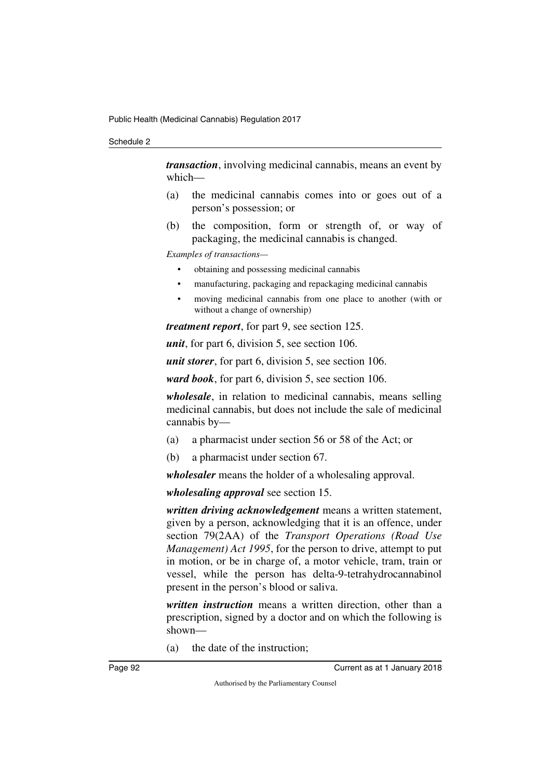*transaction*, involving medicinal cannabis, means an event by which—

- (a) the medicinal cannabis comes into or goes out of a person's possession; or
- (b) the composition, form or strength of, or way of packaging, the medicinal cannabis is changed.

*Examples of transactions—*

- obtaining and possessing medicinal cannabis
- manufacturing, packaging and repackaging medicinal cannabis
- moving medicinal cannabis from one place to another (with or without a change of ownership)

*treatment report*, for part 9, see section 125.

*unit*, for part 6, division 5, see section 106.

*unit storer*, for part 6, division 5, see section 106.

*ward book*, for part 6, division 5, see section 106.

*wholesale*, in relation to medicinal cannabis, means selling medicinal cannabis, but does not include the sale of medicinal cannabis by—

- (a) a pharmacist under section 56 or 58 of the Act; or
- (b) a pharmacist under section 67.

*wholesaler* means the holder of a wholesaling approval.

*wholesaling approval* see section 15.

*written driving acknowledgement* means a written statement, given by a person, acknowledging that it is an offence, under section 79(2AA) of the *Transport Operations (Road Use Management) Act 1995*, for the person to drive, attempt to put in motion, or be in charge of, a motor vehicle, tram, train or vessel, while the person has delta-9-tetrahydrocannabinol present in the person's blood or saliva.

*written instruction* means a written direction, other than a prescription, signed by a doctor and on which the following is shown—

(a) the date of the instruction;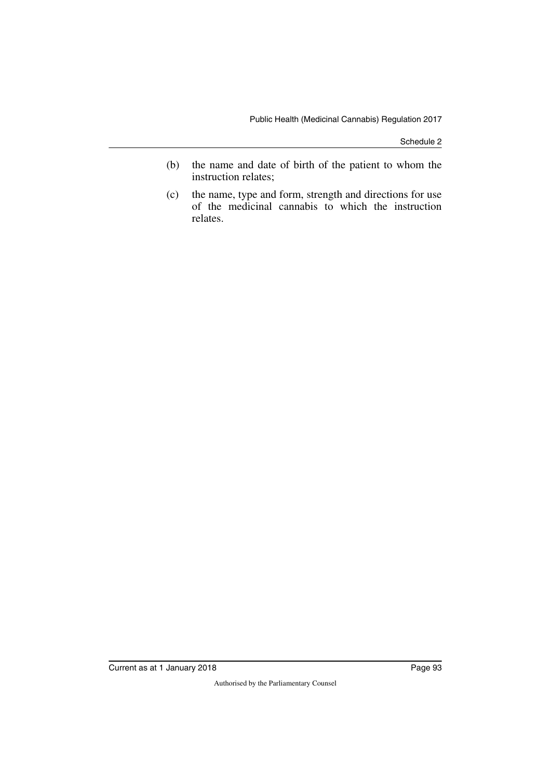- (b) the name and date of birth of the patient to whom the instruction relates;
- (c) the name, type and form, strength and directions for use of the medicinal cannabis to which the instruction relates.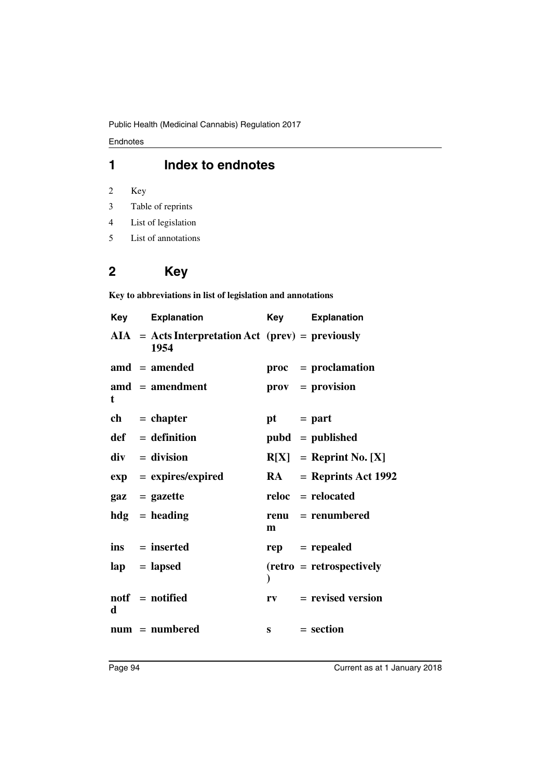Endnotes

## **1 Index to endnotes**

- 2 Key
- 3 Table of reprints
- 4 List of legislation
- 5 List of annotations

# **2 Key**

**Key to abbreviations in list of legislation and annotations**

| Key | <b>Explanation</b>                                          | Key         | <b>Explanation</b>              |
|-----|-------------------------------------------------------------|-------------|---------------------------------|
|     | $AIA = Acts Interpretation Act (prev) = previously$<br>1954 |             |                                 |
|     | $\text{and} = \text{amended}$                               |             | proc = proclamation             |
| t   | $\mathbf{a} \mathbf{m} \mathbf{d}$ = amendment              |             | $\mathbf{prox} = \mathbf{prox}$ |
|     | $ch = chapter$                                              | $pt = part$ |                                 |
|     | $def = definition$                                          |             | $pubd = published$              |
|     | $div = division$                                            |             | $R[X] =$ Reprint No. [X]        |
|     | $exp = expires/expired$                                     | <b>RA</b>   | $=$ Reprints Act 1992           |
|     | $\mathbf{gaz} = \mathbf{gazette}$                           |             | $reloc =$ relocated             |
|     | $hdg =$ heading                                             | m           | $renu = renumbered$             |
|     | $ins = inserted$                                            |             | $rep = rep\text{ }$             |
|     | $\mathbf{lap} = \mathbf{lapsed}$                            |             | $(retro = retrospectively)$     |
| d   | notf = notified                                             |             | $rv = revised version$          |
|     | $num = numbered$                                            |             | $s = section$                   |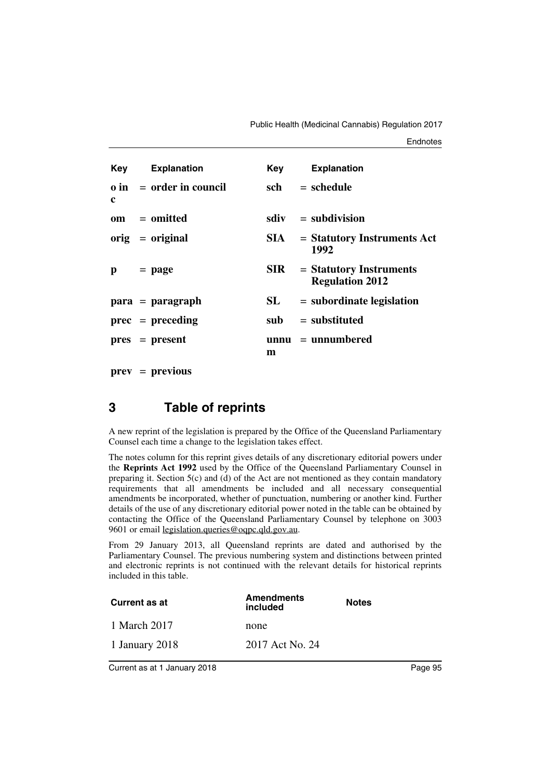| <b>Key</b> Explanation<br><b>Explanation</b><br>Key<br>sch<br>$=$ schedule<br>$\theta$ in = order in council<br>c<br>$sdiv = subdivision$<br>om = omitted<br>$orig = original$<br>$=$ Statutory Instruments Act<br>SIA –<br>1992<br>SIR<br>$=$ Statutory Instruments<br>$=$ page<br>р<br><b>Regulation 2012</b><br>SL<br>$=$ subordinate legislation<br>$para = paragraph$<br>$=$ substituted<br>$prec = preceding$<br>sub<br>$unnu = unnumbered$<br>$pres = present$<br>m |  |  |  |
|----------------------------------------------------------------------------------------------------------------------------------------------------------------------------------------------------------------------------------------------------------------------------------------------------------------------------------------------------------------------------------------------------------------------------------------------------------------------------|--|--|--|
|                                                                                                                                                                                                                                                                                                                                                                                                                                                                            |  |  |  |
|                                                                                                                                                                                                                                                                                                                                                                                                                                                                            |  |  |  |
|                                                                                                                                                                                                                                                                                                                                                                                                                                                                            |  |  |  |
|                                                                                                                                                                                                                                                                                                                                                                                                                                                                            |  |  |  |
|                                                                                                                                                                                                                                                                                                                                                                                                                                                                            |  |  |  |
|                                                                                                                                                                                                                                                                                                                                                                                                                                                                            |  |  |  |
|                                                                                                                                                                                                                                                                                                                                                                                                                                                                            |  |  |  |
|                                                                                                                                                                                                                                                                                                                                                                                                                                                                            |  |  |  |

**prev** = **previous**

## **3 Table of reprints**

A new reprint of the legislation is prepared by the Office of the Queensland Parliamentary Counsel each time a change to the legislation takes effect.

The notes column for this reprint gives details of any discretionary editorial powers under the **Reprints Act 1992** used by the Office of the Queensland Parliamentary Counsel in preparing it. Section  $5(c)$  and (d) of the Act are not mentioned as they contain mandatory requirements that all amendments be included and all necessary consequential amendments be incorporated, whether of punctuation, numbering or another kind. Further details of the use of any discretionary editorial power noted in the table can be obtained by contacting the Office of the Queensland Parliamentary Counsel by telephone on 3003 9601 or email legislation.queries@oqpc.qld.gov.au.

From 29 January 2013, all Queensland reprints are dated and authorised by the Parliamentary Counsel. The previous numbering system and distinctions between printed and electronic reprints is not continued with the relevant details for historical reprints included in this table.

| Current as at  | <b>Amendments</b><br>included | <b>Notes</b> |
|----------------|-------------------------------|--------------|
| 1 March 2017   | none                          |              |
| 1 January 2018 | 2017 Act No. 24               |              |